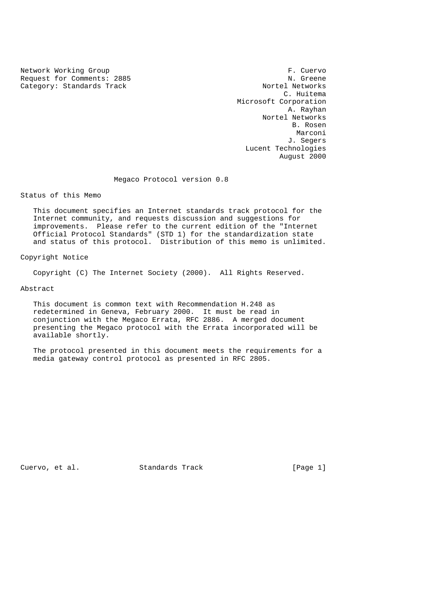Network Working Group<br>Request for Comments: 2885 Request for Comments: 2885<br>
Category: Standards Track<br>
Nortel Networks Category: Standards Track

 C. Huitema Microsoft Corporation A. Rayhan Nortel Networks B. Rosen Marconi (1999) and the set of the set of the set of the set of the set of the set of the set of the set of the J. Segers Lucent Technologies August 2000

Megaco Protocol version 0.8

Status of this Memo

 This document specifies an Internet standards track protocol for the Internet community, and requests discussion and suggestions for improvements. Please refer to the current edition of the "Internet Official Protocol Standards" (STD 1) for the standardization state and status of this protocol. Distribution of this memo is unlimited.

Copyright Notice

Copyright (C) The Internet Society (2000). All Rights Reserved.

Abstract

 This document is common text with Recommendation H.248 as redetermined in Geneva, February 2000. It must be read in conjunction with the Megaco Errata, RFC 2886. A merged document presenting the Megaco protocol with the Errata incorporated will be available shortly.

 The protocol presented in this document meets the requirements for a media gateway control protocol as presented in RFC 2805.

Cuervo, et al. Standards Track [Page 1]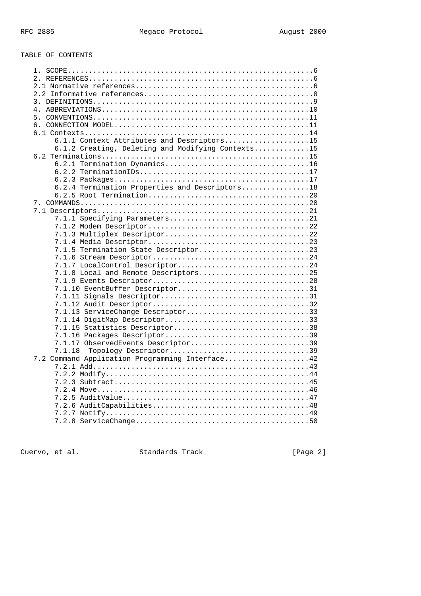# TABLE OF CONTENTS

| 6.1.1 Context Attributes and Descriptors15        |
|---------------------------------------------------|
| 6.1.2 Creating, Deleting and Modifying Contexts15 |
|                                                   |
|                                                   |
|                                                   |
|                                                   |
| 6.2.4 Termination Properties and Descriptors18    |
|                                                   |
|                                                   |
|                                                   |
|                                                   |
|                                                   |
| 7.1.3 Multiplex Descriptor22                      |
|                                                   |
| 7.1.5 Termination State Descriptor23              |
|                                                   |
| 7.1.7 LocalControl Descriptor24                   |
| 7.1.8 Local and Remote Descriptors25              |
|                                                   |
| 7.1.10 EventBuffer Descriptor31                   |
|                                                   |
|                                                   |
| 7.1.13 ServiceChange Descriptor33                 |
| 7.1.14 DigitMap Descriptor33                      |
| 7.1.15 Statistics Descriptor38                    |
|                                                   |
| 7.1.17 ObservedEvents Descriptor39                |
| Topology Descriptor39<br>7.1.18                   |
| 7.2 Command Application Programming Interface42   |
|                                                   |
|                                                   |
|                                                   |
|                                                   |
|                                                   |
|                                                   |
|                                                   |
|                                                   |
|                                                   |

Cuervo, et al. Standards Track [Page 2]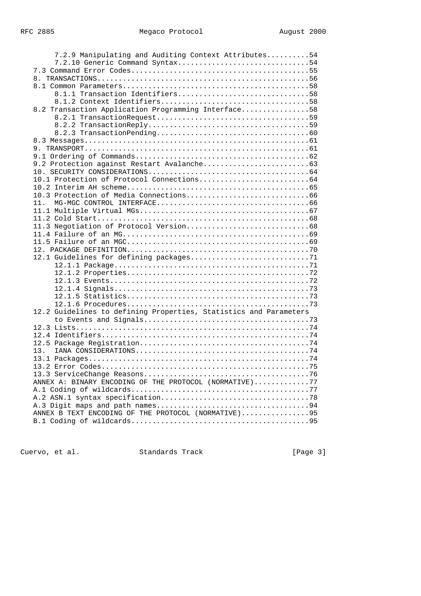| 7.2.9 Manipulating and Auditing Context Attributes54              |
|-------------------------------------------------------------------|
| 7.2.10 Generic Command Syntax54                                   |
|                                                                   |
|                                                                   |
|                                                                   |
| 8.1.1 Transaction Identifiers58                                   |
|                                                                   |
| 8.2 Transaction Application Programming Interface58               |
|                                                                   |
|                                                                   |
|                                                                   |
|                                                                   |
|                                                                   |
|                                                                   |
|                                                                   |
|                                                                   |
|                                                                   |
|                                                                   |
|                                                                   |
| 11.                                                               |
|                                                                   |
|                                                                   |
|                                                                   |
|                                                                   |
|                                                                   |
|                                                                   |
|                                                                   |
|                                                                   |
|                                                                   |
|                                                                   |
|                                                                   |
|                                                                   |
|                                                                   |
| 12.2 Guidelines to defining Properties, Statistics and Parameters |
|                                                                   |
|                                                                   |
|                                                                   |
|                                                                   |
| 13.                                                               |
|                                                                   |
|                                                                   |
|                                                                   |
| ANNEX A: BINARY ENCODING OF THE PROTOCOL (NORMATIVE)77            |
|                                                                   |
|                                                                   |
|                                                                   |
| ANNEX B TEXT ENCODING OF THE PROTOCOL (NORMATIVE)95               |
|                                                                   |

Cuervo, et al. Standards Track [Page 3]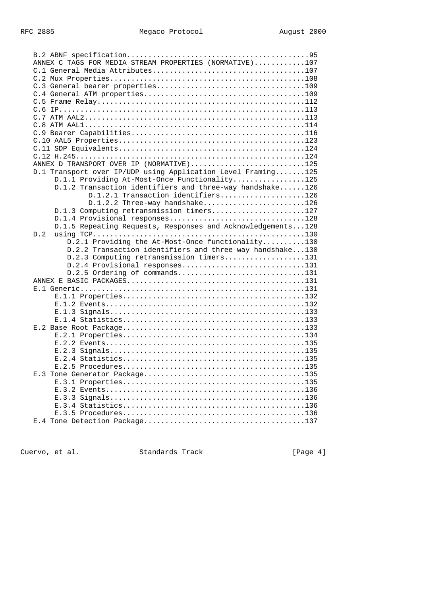| ANNEX C TAGS FOR MEDIA STREAM PROPERTIES (NORMATIVE)107      |  |
|--------------------------------------------------------------|--|
|                                                              |  |
|                                                              |  |
|                                                              |  |
|                                                              |  |
|                                                              |  |
|                                                              |  |
|                                                              |  |
|                                                              |  |
|                                                              |  |
|                                                              |  |
|                                                              |  |
|                                                              |  |
| ANNEX D TRANSPORT OVER IP (NORMATIVE)125                     |  |
| D.1 Transport over IP/UDP using Application Level Framing125 |  |
| D.1.1 Providing At-Most-Once Functionality125                |  |
| D.1.2 Transaction identifiers and three-way handshake126     |  |
| D.1.2.1 Transaction identifiers126                           |  |
| D.1.2.2 Three-way handshake126                               |  |
| D.1.3 Computing retransmission timers127                     |  |
| D.1.4 Provisional responses128                               |  |
| D.1.5 Repeating Requests, Responses and Acknowledgements128  |  |
| D.2                                                          |  |
| D.2.1 Providing the At-Most-Once functionality130            |  |
| D.2.2 Transaction identifiers and three way handshake130     |  |
| D.2.3 Computing retransmission timers131                     |  |
| D.2.4 Provisional responses131                               |  |
| D.2.5 Ordering of commands131                                |  |
|                                                              |  |
|                                                              |  |
|                                                              |  |
|                                                              |  |
|                                                              |  |
|                                                              |  |
|                                                              |  |
|                                                              |  |
|                                                              |  |
|                                                              |  |
|                                                              |  |
|                                                              |  |
|                                                              |  |
|                                                              |  |
|                                                              |  |
|                                                              |  |
|                                                              |  |
|                                                              |  |
|                                                              |  |

Cuervo, et al. Standards Track [Page 4]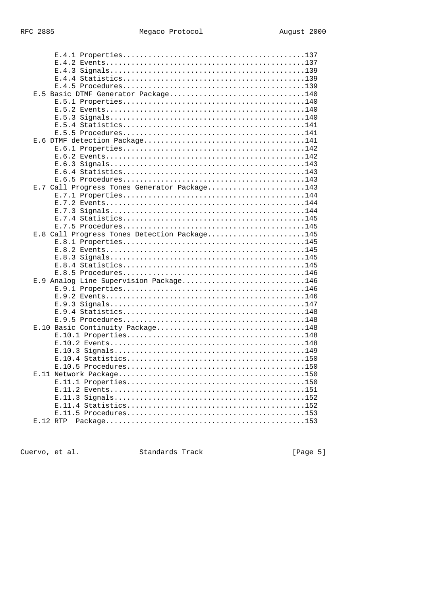| E.5 Basic DTMF Generator Package140          |  |
|----------------------------------------------|--|
|                                              |  |
|                                              |  |
|                                              |  |
|                                              |  |
|                                              |  |
|                                              |  |
|                                              |  |
|                                              |  |
|                                              |  |
|                                              |  |
|                                              |  |
|                                              |  |
| E.7 Call Progress Tones Generator Package143 |  |
|                                              |  |
|                                              |  |
|                                              |  |
|                                              |  |
|                                              |  |
| E.8 Call Progress Tones Detection Package145 |  |
|                                              |  |
|                                              |  |
|                                              |  |
|                                              |  |
|                                              |  |
| E.9 Analog Line Supervision Package146       |  |
|                                              |  |
|                                              |  |
|                                              |  |
|                                              |  |
|                                              |  |
| E.10 Basic Continuity Package148             |  |
|                                              |  |
|                                              |  |
|                                              |  |
|                                              |  |
|                                              |  |
|                                              |  |
|                                              |  |
|                                              |  |
|                                              |  |
|                                              |  |
|                                              |  |
| E.12 RTP                                     |  |
|                                              |  |

Cuervo, et al. Standards Track

[Page 5]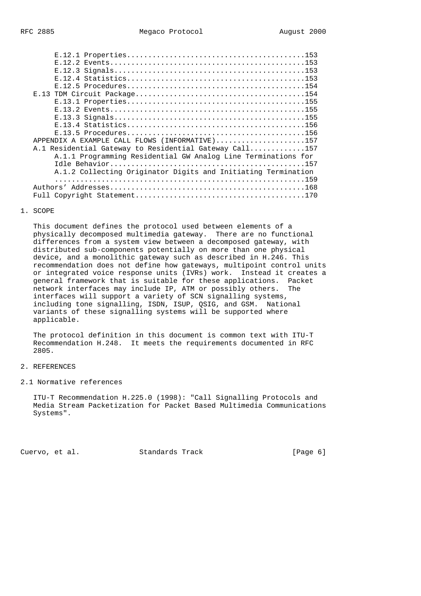| APPENDIX A EXAMPLE CALL FLOWS (INFORMATIVE)157                |
|---------------------------------------------------------------|
| A.1 Residential Gateway to Residential Gateway Call157        |
| A.1.1 Programming Residential GW Analog Line Terminations for |
|                                                               |
| A.1.2 Collecting Originator Digits and Initiating Termination |
|                                                               |
| Authors'                                                      |
|                                                               |
|                                                               |

#### 1. SCOPE

 This document defines the protocol used between elements of a physically decomposed multimedia gateway. There are no functional differences from a system view between a decomposed gateway, with distributed sub-components potentially on more than one physical device, and a monolithic gateway such as described in H.246. This recommendation does not define how gateways, multipoint control units or integrated voice response units (IVRs) work. Instead it creates a general framework that is suitable for these applications. Packet network interfaces may include IP, ATM or possibly others. The interfaces will support a variety of SCN signalling systems, including tone signalling, ISDN, ISUP, QSIG, and GSM. National variants of these signalling systems will be supported where applicable.

 The protocol definition in this document is common text with ITU-T Recommendation H.248. It meets the requirements documented in RFC 2805.

#### 2. REFERENCES

### 2.1 Normative references

 ITU-T Recommendation H.225.0 (1998): "Call Signalling Protocols and Media Stream Packetization for Packet Based Multimedia Communications Systems".

Cuervo, et al. Standards Track [Page 6]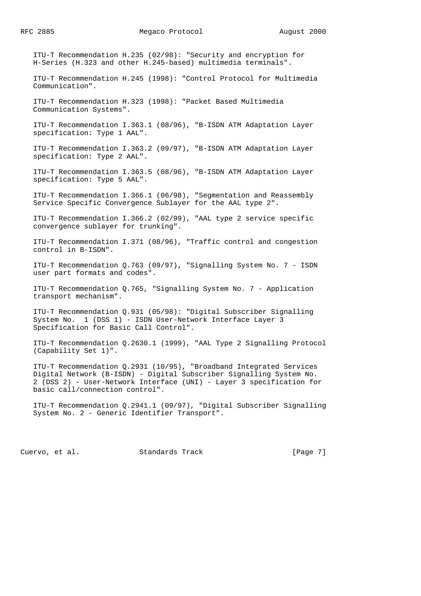ITU-T Recommendation H.235 (02/98): "Security and encryption for H-Series (H.323 and other H.245-based) multimedia terminals".

 ITU-T Recommendation H.245 (1998): "Control Protocol for Multimedia Communication".

 ITU-T Recommendation H.323 (1998): "Packet Based Multimedia Communication Systems".

 ITU-T Recommendation I.363.1 (08/96), "B-ISDN ATM Adaptation Layer specification: Type 1 AAL".

 ITU-T Recommendation I.363.2 (09/97), "B-ISDN ATM Adaptation Layer specification: Type 2 AAL".

 ITU-T Recommendation I.363.5 (08/96), "B-ISDN ATM Adaptation Layer specification: Type 5 AAL".

 ITU-T Recommendation I.366.1 (06/98), "Segmentation and Reassembly Service Specific Convergence Sublayer for the AAL type 2".

 ITU-T Recommendation I.366.2 (02/99), "AAL type 2 service specific convergence sublayer for trunking".

 ITU-T Recommendation I.371 (08/96), "Traffic control and congestion control in B-ISDN".

 ITU-T Recommendation Q.763 (09/97), "Signalling System No. 7 - ISDN user part formats and codes".

 ITU-T Recommendation Q.765, "Signalling System No. 7 - Application transport mechanism".

 ITU-T Recommendation Q.931 (05/98): "Digital Subscriber Signalling System No. 1 (DSS 1) - ISDN User-Network Interface Layer 3 Specification for Basic Call Control".

 ITU-T Recommendation Q.2630.1 (1999), "AAL Type 2 Signalling Protocol (Capability Set 1)".

 ITU-T Recommendation Q.2931 (10/95), "Broadband Integrated Services Digital Network (B-ISDN) - Digital Subscriber Signalling System No. 2 (DSS 2) - User-Network Interface (UNI) - Layer 3 specification for basic call/connection control".

 ITU-T Recommendation Q.2941.1 (09/97), "Digital Subscriber Signalling System No. 2 - Generic Identifier Transport".

Cuervo, et al. Standards Track [Page 7]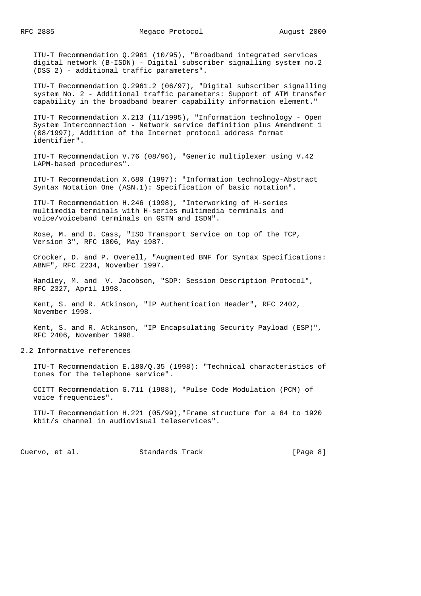ITU-T Recommendation Q.2961 (10/95), "Broadband integrated services digital network (B-ISDN) - Digital subscriber signalling system no.2 (DSS 2) - additional traffic parameters".

 ITU-T Recommendation Q.2961.2 (06/97), "Digital subscriber signalling system No. 2 - Additional traffic parameters: Support of ATM transfer capability in the broadband bearer capability information element."

 ITU-T Recommendation X.213 (11/1995), "Information technology - Open System Interconnection - Network service definition plus Amendment 1 (08/1997), Addition of the Internet protocol address format identifier".

 ITU-T Recommendation V.76 (08/96), "Generic multiplexer using V.42 LAPM-based procedures".

 ITU-T Recommendation X.680 (1997): "Information technology-Abstract Syntax Notation One (ASN.1): Specification of basic notation".

 ITU-T Recommendation H.246 (1998), "Interworking of H-series multimedia terminals with H-series multimedia terminals and voice/voiceband terminals on GSTN and ISDN".

 Rose, M. and D. Cass, "ISO Transport Service on top of the TCP, Version 3", RFC 1006, May 1987.

 Crocker, D. and P. Overell, "Augmented BNF for Syntax Specifications: ABNF", RFC 2234, November 1997.

 Handley, M. and V. Jacobson, "SDP: Session Description Protocol", RFC 2327, April 1998.

 Kent, S. and R. Atkinson, "IP Authentication Header", RFC 2402, November 1998.

 Kent, S. and R. Atkinson, "IP Encapsulating Security Payload (ESP)", RFC 2406, November 1998.

2.2 Informative references

 ITU-T Recommendation E.180/Q.35 (1998): "Technical characteristics of tones for the telephone service".

 CCITT Recommendation G.711 (1988), "Pulse Code Modulation (PCM) of voice frequencies".

 ITU-T Recommendation H.221 (05/99),"Frame structure for a 64 to 1920 kbit/s channel in audiovisual teleservices".

Cuervo, et al. Standards Track [Page 8]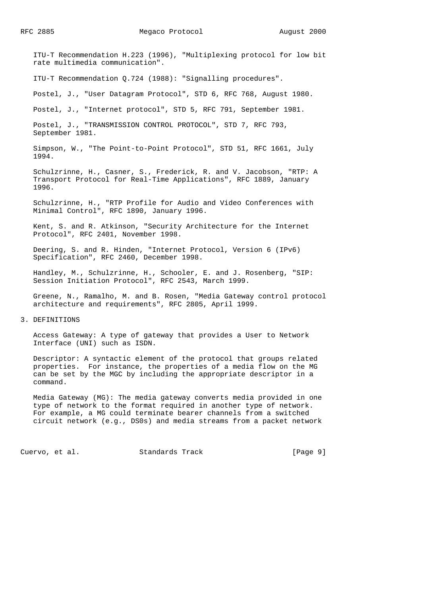ITU-T Recommendation H.223 (1996), "Multiplexing protocol for low bit rate multimedia communication".

ITU-T Recommendation Q.724 (1988): "Signalling procedures".

Postel, J., "User Datagram Protocol", STD 6, RFC 768, August 1980.

Postel, J., "Internet protocol", STD 5, RFC 791, September 1981.

 Postel, J., "TRANSMISSION CONTROL PROTOCOL", STD 7, RFC 793, September 1981.

 Simpson, W., "The Point-to-Point Protocol", STD 51, RFC 1661, July 1994.

 Schulzrinne, H., Casner, S., Frederick, R. and V. Jacobson, "RTP: A Transport Protocol for Real-Time Applications", RFC 1889, January 1996.

 Schulzrinne, H., "RTP Profile for Audio and Video Conferences with Minimal Control", RFC 1890, January 1996.

 Kent, S. and R. Atkinson, "Security Architecture for the Internet Protocol", RFC 2401, November 1998.

 Deering, S. and R. Hinden, "Internet Protocol, Version 6 (IPv6) Specification", RFC 2460, December 1998.

 Handley, M., Schulzrinne, H., Schooler, E. and J. Rosenberg, "SIP: Session Initiation Protocol", RFC 2543, March 1999.

 Greene, N., Ramalho, M. and B. Rosen, "Media Gateway control protocol architecture and requirements", RFC 2805, April 1999.

3. DEFINITIONS

 Access Gateway: A type of gateway that provides a User to Network Interface (UNI) such as ISDN.

 Descriptor: A syntactic element of the protocol that groups related properties. For instance, the properties of a media flow on the MG can be set by the MGC by including the appropriate descriptor in a command.

 Media Gateway (MG): The media gateway converts media provided in one type of network to the format required in another type of network. For example, a MG could terminate bearer channels from a switched circuit network (e.g., DS0s) and media streams from a packet network

Cuervo, et al. Standards Track [Page 9]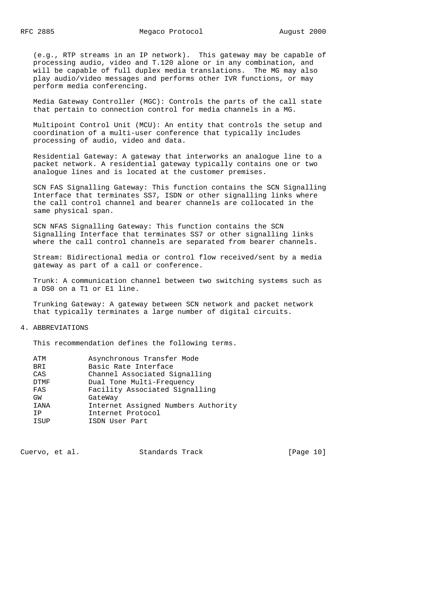(e.g., RTP streams in an IP network). This gateway may be capable of processing audio, video and T.120 alone or in any combination, and will be capable of full duplex media translations. The MG may also play audio/video messages and performs other IVR functions, or may perform media conferencing.

 Media Gateway Controller (MGC): Controls the parts of the call state that pertain to connection control for media channels in a MG.

 Multipoint Control Unit (MCU): An entity that controls the setup and coordination of a multi-user conference that typically includes processing of audio, video and data.

 Residential Gateway: A gateway that interworks an analogue line to a packet network. A residential gateway typically contains one or two analogue lines and is located at the customer premises.

 SCN FAS Signalling Gateway: This function contains the SCN Signalling Interface that terminates SS7, ISDN or other signalling links where the call control channel and bearer channels are collocated in the same physical span.

 SCN NFAS Signalling Gateway: This function contains the SCN Signalling Interface that terminates SS7 or other signalling links where the call control channels are separated from bearer channels.

 Stream: Bidirectional media or control flow received/sent by a media gateway as part of a call or conference.

 Trunk: A communication channel between two switching systems such as a DS0 on a T1 or E1 line.

 Trunking Gateway: A gateway between SCN network and packet network that typically terminates a large number of digital circuits.

# 4. ABBREVIATIONS

This recommendation defines the following terms.

| ATM         | Asynchronous Transfer Mode          |
|-------------|-------------------------------------|
| BRI         | Basic Rate Interface                |
| CAS         | Channel Associated Signalling       |
| DTMF        | Dual Tone Multi-Frequency           |
| FAS         | Facility Associated Signalling      |
| GW          | GateWay                             |
| <b>IANA</b> | Internet Assigned Numbers Authority |
| TP          | Internet Protocol                   |
| <b>TSUP</b> | ISDN User Part                      |
|             |                                     |

Cuervo, et al. Standards Track [Page 10]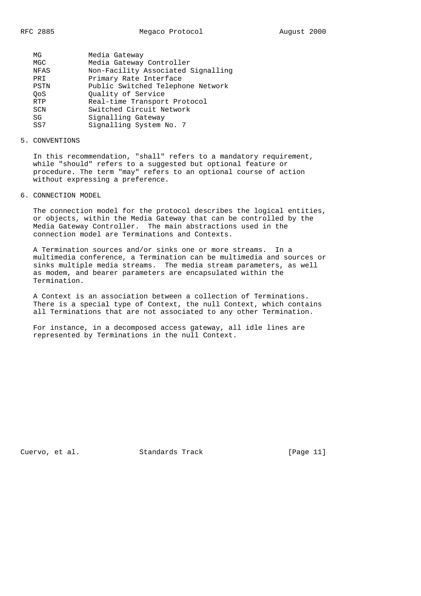| ΜG          | Media Gateway                      |
|-------------|------------------------------------|
| MGC         | Media Gateway Controller           |
| <b>NFAS</b> | Non-Facility Associated Signalling |
| PRI         | Primary Rate Interface             |
| PSTN        | Public Switched Telephone Network  |
| OoS         | Ouality of Service                 |
| <b>RTP</b>  | Real-time Transport Protocol       |
| SCN         | Switched Circuit Network           |
| SG          | Signalling Gateway                 |
| SS7         | Signalling System No. 7            |
|             |                                    |

#### 5. CONVENTIONS

 In this recommendation, "shall" refers to a mandatory requirement, while "should" refers to a suggested but optional feature or procedure. The term "may" refers to an optional course of action without expressing a preference.

6. CONNECTION MODEL

 The connection model for the protocol describes the logical entities, or objects, within the Media Gateway that can be controlled by the Media Gateway Controller. The main abstractions used in the connection model are Terminations and Contexts.

 A Termination sources and/or sinks one or more streams. In a multimedia conference, a Termination can be multimedia and sources or sinks multiple media streams. The media stream parameters, as well as modem, and bearer parameters are encapsulated within the Termination.

 A Context is an association between a collection of Terminations. There is a special type of Context, the null Context, which contains all Terminations that are not associated to any other Termination.

 For instance, in a decomposed access gateway, all idle lines are represented by Terminations in the null Context.

Cuervo, et al. Standards Track [Page 11]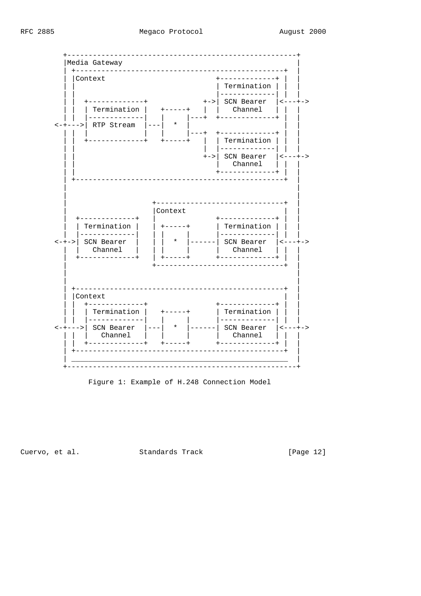Megaco Protocol



Figure 1: Example of H.248 Connection Model

Cuervo, et al.

Standards Track

[Page 12]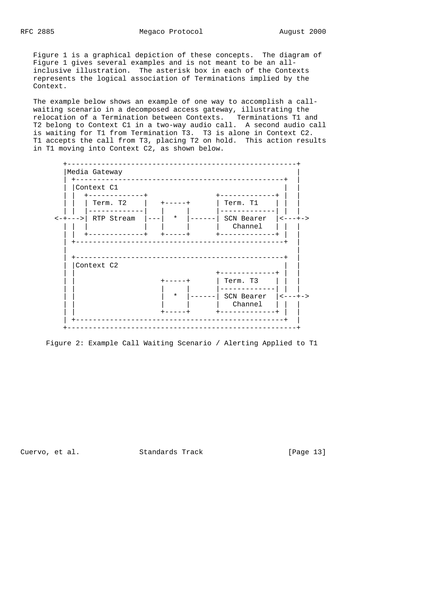Figure 1 is a graphical depiction of these concepts. The diagram of Figure 1 gives several examples and is not meant to be an all inclusive illustration. The asterisk box in each of the Contexts represents the logical association of Terminations implied by the Context.

 The example below shows an example of one way to accomplish a call waiting scenario in a decomposed access gateway, illustrating the relocation of a Termination between Contexts. Terminations T1 and T2 belong to Context C1 in a two-way audio call. A second audio call is waiting for T1 from Termination T3. T3 is alone in Context C2. T1 accepts the call from T3, placing T2 on hold. This action results in T1 moving into Context C2, as shown below.



Figure 2: Example Call Waiting Scenario / Alerting Applied to T1

Cuervo, et al. Standards Track [Page 13]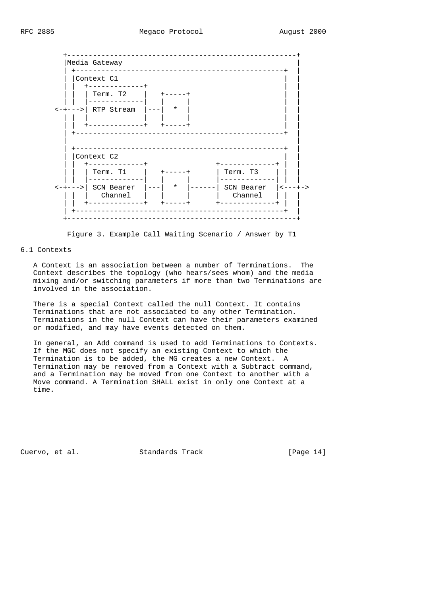

Figure 3. Example Call Waiting Scenario / Answer by T1

6.1 Contexts

 A Context is an association between a number of Terminations. The Context describes the topology (who hears/sees whom) and the media mixing and/or switching parameters if more than two Terminations are involved in the association.

 There is a special Context called the null Context. It contains Terminations that are not associated to any other Termination. Terminations in the null Context can have their parameters examined or modified, and may have events detected on them.

 In general, an Add command is used to add Terminations to Contexts. If the MGC does not specify an existing Context to which the Termination is to be added, the MG creates a new Context. A Termination may be removed from a Context with a Subtract command, and a Termination may be moved from one Context to another with a Move command. A Termination SHALL exist in only one Context at a time.

Cuervo, et al. Standards Track [Page 14]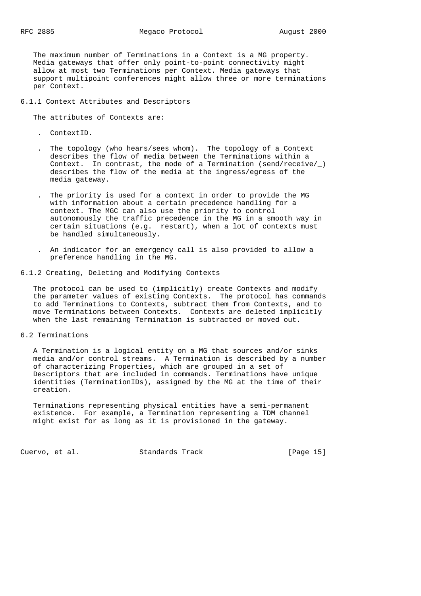The maximum number of Terminations in a Context is a MG property. Media gateways that offer only point-to-point connectivity might allow at most two Terminations per Context. Media gateways that support multipoint conferences might allow three or more terminations per Context.

## 6.1.1 Context Attributes and Descriptors

The attributes of Contexts are:

- . ContextID.
- . The topology (who hears/sees whom). The topology of a Context describes the flow of media between the Terminations within a Context. In contrast, the mode of a Termination (send/receive/\_) describes the flow of the media at the ingress/egress of the media gateway.
- . The priority is used for a context in order to provide the MG with information about a certain precedence handling for a context. The MGC can also use the priority to control autonomously the traffic precedence in the MG in a smooth way in certain situations (e.g. restart), when a lot of contexts must be handled simultaneously.
	- . An indicator for an emergency call is also provided to allow a preference handling in the MG.

## 6.1.2 Creating, Deleting and Modifying Contexts

 The protocol can be used to (implicitly) create Contexts and modify the parameter values of existing Contexts. The protocol has commands to add Terminations to Contexts, subtract them from Contexts, and to move Terminations between Contexts. Contexts are deleted implicitly when the last remaining Termination is subtracted or moved out.

#### 6.2 Terminations

 A Termination is a logical entity on a MG that sources and/or sinks media and/or control streams. A Termination is described by a number of characterizing Properties, which are grouped in a set of Descriptors that are included in commands. Terminations have unique identities (TerminationIDs), assigned by the MG at the time of their creation.

 Terminations representing physical entities have a semi-permanent existence. For example, a Termination representing a TDM channel might exist for as long as it is provisioned in the gateway.

Cuervo, et al. Standards Track [Page 15]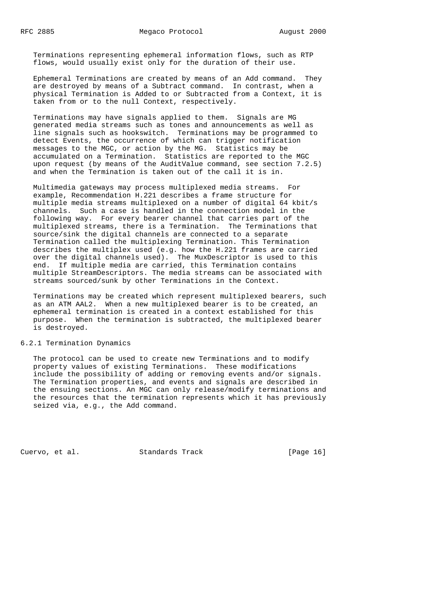Terminations representing ephemeral information flows, such as RTP flows, would usually exist only for the duration of their use.

 Ephemeral Terminations are created by means of an Add command. They are destroyed by means of a Subtract command. In contrast, when a physical Termination is Added to or Subtracted from a Context, it is taken from or to the null Context, respectively.

 Terminations may have signals applied to them. Signals are MG generated media streams such as tones and announcements as well as line signals such as hookswitch. Terminations may be programmed to detect Events, the occurrence of which can trigger notification messages to the MGC, or action by the MG. Statistics may be accumulated on a Termination. Statistics are reported to the MGC upon request (by means of the AuditValue command, see section 7.2.5) and when the Termination is taken out of the call it is in.

 Multimedia gateways may process multiplexed media streams. For example, Recommendation H.221 describes a frame structure for multiple media streams multiplexed on a number of digital 64 kbit/s channels. Such a case is handled in the connection model in the following way. For every bearer channel that carries part of the multiplexed streams, there is a Termination. The Terminations that source/sink the digital channels are connected to a separate Termination called the multiplexing Termination. This Termination describes the multiplex used (e.g. how the H.221 frames are carried over the digital channels used). The MuxDescriptor is used to this end. If multiple media are carried, this Termination contains multiple StreamDescriptors. The media streams can be associated with streams sourced/sunk by other Terminations in the Context.

 Terminations may be created which represent multiplexed bearers, such as an ATM AAL2. When a new multiplexed bearer is to be created, an ephemeral termination is created in a context established for this purpose. When the termination is subtracted, the multiplexed bearer is destroyed.

### 6.2.1 Termination Dynamics

 The protocol can be used to create new Terminations and to modify property values of existing Terminations. These modifications include the possibility of adding or removing events and/or signals. The Termination properties, and events and signals are described in the ensuing sections. An MGC can only release/modify terminations and the resources that the termination represents which it has previously seized via, e.g., the Add command.

Cuervo, et al. Standards Track [Page 16]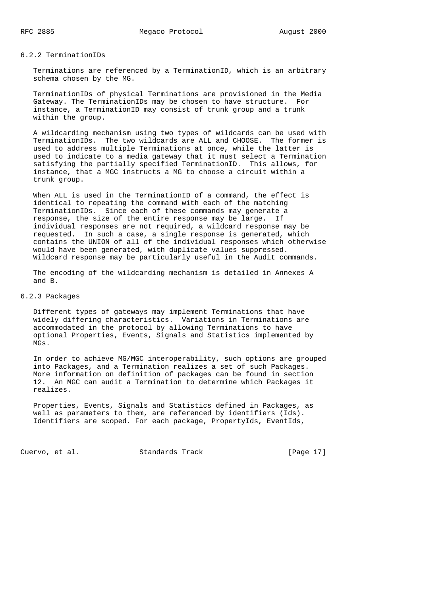### 6.2.2 TerminationIDs

 Terminations are referenced by a TerminationID, which is an arbitrary schema chosen by the MG.

 TerminationIDs of physical Terminations are provisioned in the Media Gateway. The TerminationIDs may be chosen to have structure. For instance, a TerminationID may consist of trunk group and a trunk within the group.

 A wildcarding mechanism using two types of wildcards can be used with TerminationIDs. The two wildcards are ALL and CHOOSE. The former is used to address multiple Terminations at once, while the latter is used to indicate to a media gateway that it must select a Termination satisfying the partially specified TerminationID. This allows, for instance, that a MGC instructs a MG to choose a circuit within a trunk group.

 When ALL is used in the TerminationID of a command, the effect is identical to repeating the command with each of the matching TerminationIDs. Since each of these commands may generate a response, the size of the entire response may be large. If individual responses are not required, a wildcard response may be requested. In such a case, a single response is generated, which contains the UNION of all of the individual responses which otherwise would have been generated, with duplicate values suppressed. Wildcard response may be particularly useful in the Audit commands.

 The encoding of the wildcarding mechanism is detailed in Annexes A and B.

# 6.2.3 Packages

 Different types of gateways may implement Terminations that have widely differing characteristics. Variations in Terminations are accommodated in the protocol by allowing Terminations to have optional Properties, Events, Signals and Statistics implemented by MGs.

 In order to achieve MG/MGC interoperability, such options are grouped into Packages, and a Termination realizes a set of such Packages. More information on definition of packages can be found in section 12. An MGC can audit a Termination to determine which Packages it realizes.

 Properties, Events, Signals and Statistics defined in Packages, as well as parameters to them, are referenced by identifiers (Ids). Identifiers are scoped. For each package, PropertyIds, EventIds,

Cuervo, et al. Standards Track [Page 17]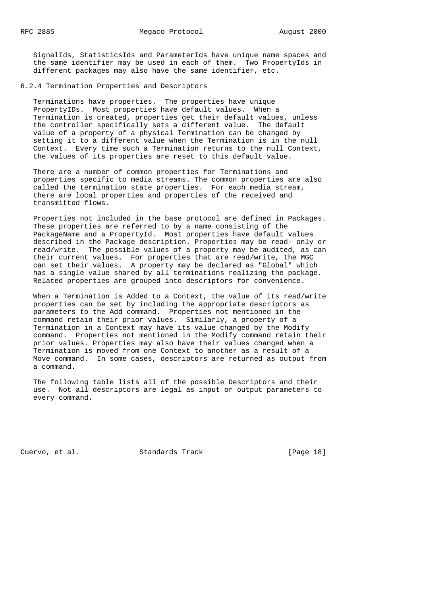SignalIds, StatisticsIds and ParameterIds have unique name spaces and the same identifier may be used in each of them. Two PropertyIds in different packages may also have the same identifier, etc.

6.2.4 Termination Properties and Descriptors

 Terminations have properties. The properties have unique PropertyIDs. Most properties have default values. When a Termination is created, properties get their default values, unless the controller specifically sets a different value. The default value of a property of a physical Termination can be changed by setting it to a different value when the Termination is in the null Context. Every time such a Termination returns to the null Context, the values of its properties are reset to this default value.

 There are a number of common properties for Terminations and properties specific to media streams. The common properties are also called the termination state properties. For each media stream, there are local properties and properties of the received and transmitted flows.

 Properties not included in the base protocol are defined in Packages. These properties are referred to by a name consisting of the PackageName and a PropertyId. Most properties have default values described in the Package description. Properties may be read- only or read/write. The possible values of a property may be audited, as can their current values. For properties that are read/write, the MGC can set their values. A property may be declared as "Global" which has a single value shared by all terminations realizing the package. Related properties are grouped into descriptors for convenience.

 When a Termination is Added to a Context, the value of its read/write properties can be set by including the appropriate descriptors as parameters to the Add command. Properties not mentioned in the command retain their prior values. Similarly, a property of a Termination in a Context may have its value changed by the Modify command. Properties not mentioned in the Modify command retain their prior values. Properties may also have their values changed when a Termination is moved from one Context to another as a result of a Move command. In some cases, descriptors are returned as output from a command.

 The following table lists all of the possible Descriptors and their use. Not all descriptors are legal as input or output parameters to every command.

Cuervo, et al. Standards Track [Page 18]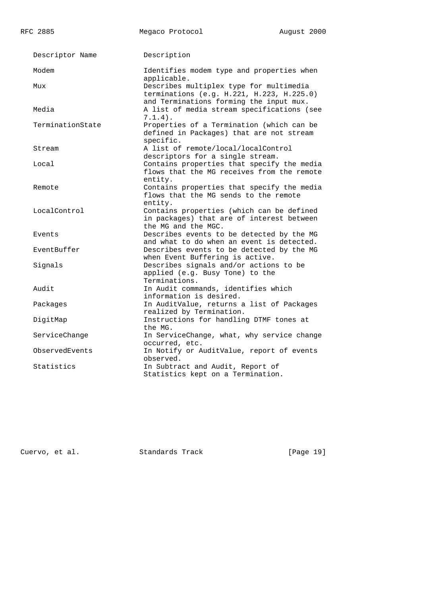RFC 2885 Megaco Protocol August 2000 Descriptor Name Description Modem Identifies modem type and properties when applicable. Mux Describes multiplex type for multimedia terminations (e.g. H.221, H.223, H.225.0) and Terminations forming the input mux. Media A list of media stream specifications (see 7.1.4). TerminationState Properties of a Termination (which can be defined in Packages) that are not stream specific. Stream A list of remote/local/localControl descriptors for a single stream. Local Contains properties that specify the media flows that the MG receives from the remote entity. Remote Contains properties that specify the media flows that the MG sends to the remote entity. LocalControl Contains properties (which can be defined in packages) that are of interest between the MG and the MGC. Events Describes events to be detected by the MG and what to do when an event is detected. EventBuffer Describes events to be detected by the MG when Event Buffering is active. Signals Describes signals and/or actions to be applied (e.g. Busy Tone) to the Terminations. Audit In Audit commands, identifies which information is desired. Packages In AuditValue, returns a list of Packages realized by Termination. DigitMap Instructions for handling DTMF tones at the MG. ServiceChange In ServiceChange, what, why service change occurred, etc. ObservedEvents In Notify or AuditValue, report of events observed. Statistics In Subtract and Audit, Report of Statistics kept on a Termination.

Cuervo, et al. Standards Track [Page 19]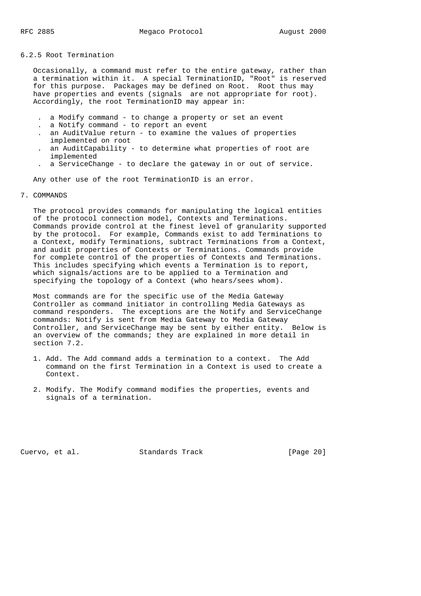6.2.5 Root Termination

 Occasionally, a command must refer to the entire gateway, rather than a termination within it. A special TerminationID, "Root" is reserved for this purpose. Packages may be defined on Root. Root thus may have properties and events (signals are not appropriate for root). Accordingly, the root TerminationID may appear in:

- . a Modify command to change a property or set an event
- . a Notify command to report an event
- . an AuditValue return to examine the values of properties implemented on root
- . an AuditCapability to determine what properties of root are implemented
- . a ServiceChange to declare the gateway in or out of service.

Any other use of the root TerminationID is an error.

## 7. COMMANDS

 The protocol provides commands for manipulating the logical entities of the protocol connection model, Contexts and Terminations. Commands provide control at the finest level of granularity supported by the protocol. For example, Commands exist to add Terminations to a Context, modify Terminations, subtract Terminations from a Context, and audit properties of Contexts or Terminations. Commands provide for complete control of the properties of Contexts and Terminations. This includes specifying which events a Termination is to report, which signals/actions are to be applied to a Termination and specifying the topology of a Context (who hears/sees whom).

 Most commands are for the specific use of the Media Gateway Controller as command initiator in controlling Media Gateways as command responders. The exceptions are the Notify and ServiceChange commands: Notify is sent from Media Gateway to Media Gateway Controller, and ServiceChange may be sent by either entity. Below is an overview of the commands; they are explained in more detail in section 7.2.

- 1. Add. The Add command adds a termination to a context. The Add command on the first Termination in a Context is used to create a Context.
- 2. Modify. The Modify command modifies the properties, events and signals of a termination.

Cuervo, et al. Standards Track [Page 20]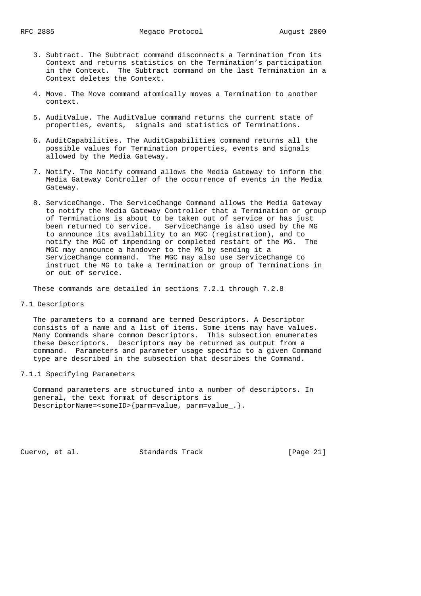- 3. Subtract. The Subtract command disconnects a Termination from its Context and returns statistics on the Termination's participation in the Context. The Subtract command on the last Termination in a Context deletes the Context.
- 4. Move. The Move command atomically moves a Termination to another context.
- 5. AuditValue. The AuditValue command returns the current state of properties, events, signals and statistics of Terminations.
- 6. AuditCapabilities. The AuditCapabilities command returns all the possible values for Termination properties, events and signals allowed by the Media Gateway.
- 7. Notify. The Notify command allows the Media Gateway to inform the Media Gateway Controller of the occurrence of events in the Media Gateway.
- 8. ServiceChange. The ServiceChange Command allows the Media Gateway to notify the Media Gateway Controller that a Termination or group of Terminations is about to be taken out of service or has just been returned to service. ServiceChange is also used by the MG to announce its availability to an MGC (registration), and to notify the MGC of impending or completed restart of the MG. The MGC may announce a handover to the MG by sending it a ServiceChange command. The MGC may also use ServiceChange to instruct the MG to take a Termination or group of Terminations in or out of service.

These commands are detailed in sections 7.2.1 through 7.2.8

## 7.1 Descriptors

 The parameters to a command are termed Descriptors. A Descriptor consists of a name and a list of items. Some items may have values. Many Commands share common Descriptors. This subsection enumerates these Descriptors. Descriptors may be returned as output from a command. Parameters and parameter usage specific to a given Command type are described in the subsection that describes the Command.

# 7.1.1 Specifying Parameters

 Command parameters are structured into a number of descriptors. In general, the text format of descriptors is DescriptorName=<someID>{parm=value, parm=value\_.}.

Cuervo, et al. Standards Track [Page 21]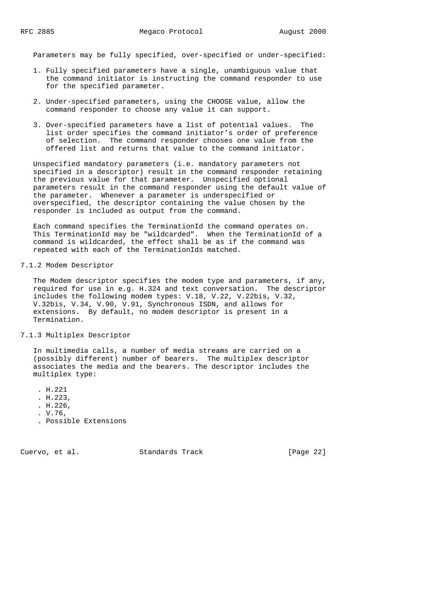Parameters may be fully specified, over-specified or under-specified:

- 1. Fully specified parameters have a single, unambiguous value that the command initiator is instructing the command responder to use for the specified parameter.
- 2. Under-specified parameters, using the CHOOSE value, allow the command responder to choose any value it can support.
- 3. Over-specified parameters have a list of potential values. The list order specifies the command initiator's order of preference of selection. The command responder chooses one value from the offered list and returns that value to the command initiator.

 Unspecified mandatory parameters (i.e. mandatory parameters not specified in a descriptor) result in the command responder retaining the previous value for that parameter. Unspecified optional parameters result in the command responder using the default value of the parameter. Whenever a parameter is underspecified or overspecified, the descriptor containing the value chosen by the responder is included as output from the command.

 Each command specifies the TerminationId the command operates on. This TerminationId may be "wildcarded". When the TerminationId of a command is wildcarded, the effect shall be as if the command was repeated with each of the TerminationIds matched.

#### 7.1.2 Modem Descriptor

 The Modem descriptor specifies the modem type and parameters, if any, required for use in e.g. H.324 and text conversation. The descriptor includes the following modem types: V.18, V.22, V.22bis, V.32, V.32bis, V.34, V.90, V.91, Synchronous ISDN, and allows for extensions. By default, no modem descriptor is present in a Termination.

#### 7.1.3 Multiplex Descriptor

 In multimedia calls, a number of media streams are carried on a (possibly different) number of bearers. The multiplex descriptor associates the media and the bearers. The descriptor includes the multiplex type:

- . H.221
- . H.223,
- . H.226,
- . V.76,
- . Possible Extensions

Cuervo, et al. Standards Track [Page 22]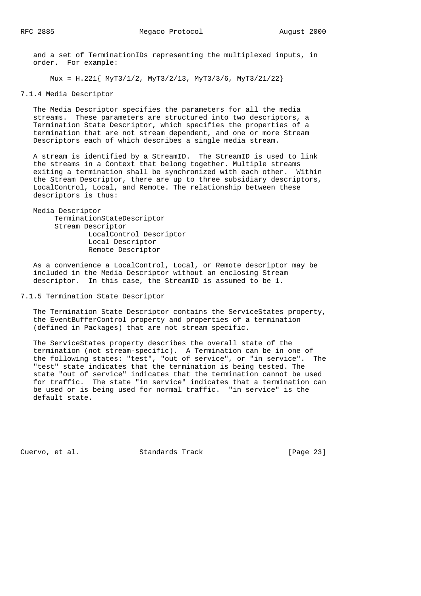and a set of TerminationIDs representing the multiplexed inputs, in order. For example:

Mux = H.221{ MyT3/1/2, MyT3/2/13, MyT3/3/6, MyT3/21/22}

7.1.4 Media Descriptor

 The Media Descriptor specifies the parameters for all the media streams. These parameters are structured into two descriptors, a Termination State Descriptor, which specifies the properties of a termination that are not stream dependent, and one or more Stream Descriptors each of which describes a single media stream.

 A stream is identified by a StreamID. The StreamID is used to link the streams in a Context that belong together. Multiple streams exiting a termination shall be synchronized with each other. Within the Stream Descriptor, there are up to three subsidiary descriptors, LocalControl, Local, and Remote. The relationship between these descriptors is thus:

 Media Descriptor TerminationStateDescriptor Stream Descriptor LocalControl Descriptor Local Descriptor Remote Descriptor

 As a convenience a LocalControl, Local, or Remote descriptor may be included in the Media Descriptor without an enclosing Stream descriptor. In this case, the StreamID is assumed to be 1.

7.1.5 Termination State Descriptor

 The Termination State Descriptor contains the ServiceStates property, the EventBufferControl property and properties of a termination (defined in Packages) that are not stream specific.

 The ServiceStates property describes the overall state of the termination (not stream-specific). A Termination can be in one of the following states: "test", "out of service", or "in service". The "test" state indicates that the termination is being tested. The state "out of service" indicates that the termination cannot be used for traffic. The state "in service" indicates that a termination can be used or is being used for normal traffic. "in service" is the default state.

Cuervo, et al. Standards Track [Page 23]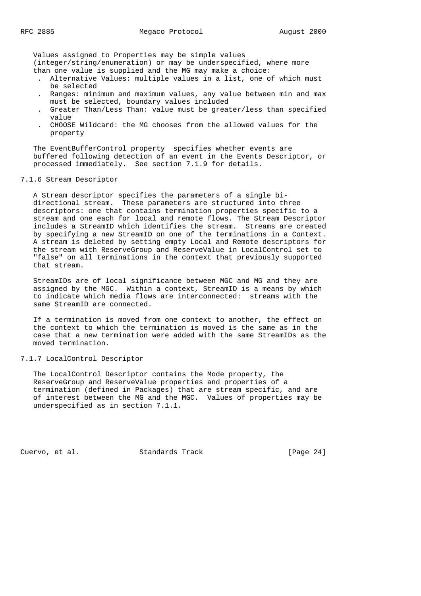Values assigned to Properties may be simple values

 (integer/string/enumeration) or may be underspecified, where more than one value is supplied and the MG may make a choice:

- . Alternative Values: multiple values in a list, one of which must be selected
- . Ranges: minimum and maximum values, any value between min and max must be selected, boundary values included
- . Greater Than/Less Than: value must be greater/less than specified value
- . CHOOSE Wildcard: the MG chooses from the allowed values for the property

 The EventBufferControl property specifies whether events are buffered following detection of an event in the Events Descriptor, or processed immediately. See section 7.1.9 for details.

## 7.1.6 Stream Descriptor

 A Stream descriptor specifies the parameters of a single bi directional stream. These parameters are structured into three descriptors: one that contains termination properties specific to a stream and one each for local and remote flows. The Stream Descriptor includes a StreamID which identifies the stream. Streams are created by specifying a new StreamID on one of the terminations in a Context. A stream is deleted by setting empty Local and Remote descriptors for the stream with ReserveGroup and ReserveValue in LocalControl set to "false" on all terminations in the context that previously supported that stream.

 StreamIDs are of local significance between MGC and MG and they are assigned by the MGC. Within a context, StreamID is a means by which to indicate which media flows are interconnected: streams with the same StreamID are connected.

 If a termination is moved from one context to another, the effect on the context to which the termination is moved is the same as in the case that a new termination were added with the same StreamIDs as the moved termination.

# 7.1.7 LocalControl Descriptor

 The LocalControl Descriptor contains the Mode property, the ReserveGroup and ReserveValue properties and properties of a termination (defined in Packages) that are stream specific, and are of interest between the MG and the MGC. Values of properties may be underspecified as in section 7.1.1.

Cuervo, et al. Standards Track [Page 24]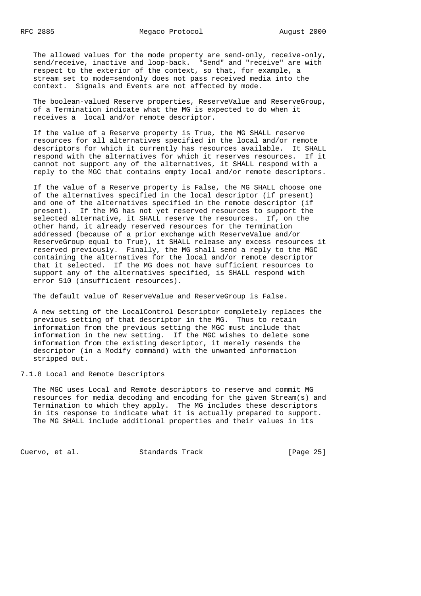The allowed values for the mode property are send-only, receive-only, send/receive, inactive and loop-back. "Send" and "receive" are with respect to the exterior of the context, so that, for example, a stream set to mode=sendonly does not pass received media into the context. Signals and Events are not affected by mode.

 The boolean-valued Reserve properties, ReserveValue and ReserveGroup, of a Termination indicate what the MG is expected to do when it receives a local and/or remote descriptor.

 If the value of a Reserve property is True, the MG SHALL reserve resources for all alternatives specified in the local and/or remote descriptors for which it currently has resources available. It SHALL respond with the alternatives for which it reserves resources. If it cannot not support any of the alternatives, it SHALL respond with a reply to the MGC that contains empty local and/or remote descriptors.

 If the value of a Reserve property is False, the MG SHALL choose one of the alternatives specified in the local descriptor (if present) and one of the alternatives specified in the remote descriptor (if present). If the MG has not yet reserved resources to support the selected alternative, it SHALL reserve the resources. If, on the other hand, it already reserved resources for the Termination addressed (because of a prior exchange with ReserveValue and/or ReserveGroup equal to True), it SHALL release any excess resources it reserved previously. Finally, the MG shall send a reply to the MGC containing the alternatives for the local and/or remote descriptor that it selected. If the MG does not have sufficient resources to support any of the alternatives specified, is SHALL respond with error 510 (insufficient resources).

The default value of ReserveValue and ReserveGroup is False.

 A new setting of the LocalControl Descriptor completely replaces the previous setting of that descriptor in the MG. Thus to retain information from the previous setting the MGC must include that information in the new setting. If the MGC wishes to delete some information from the existing descriptor, it merely resends the descriptor (in a Modify command) with the unwanted information stripped out.

7.1.8 Local and Remote Descriptors

 The MGC uses Local and Remote descriptors to reserve and commit MG resources for media decoding and encoding for the given Stream(s) and Termination to which they apply. The MG includes these descriptors in its response to indicate what it is actually prepared to support. The MG SHALL include additional properties and their values in its

Cuervo, et al. Standards Track [Page 25]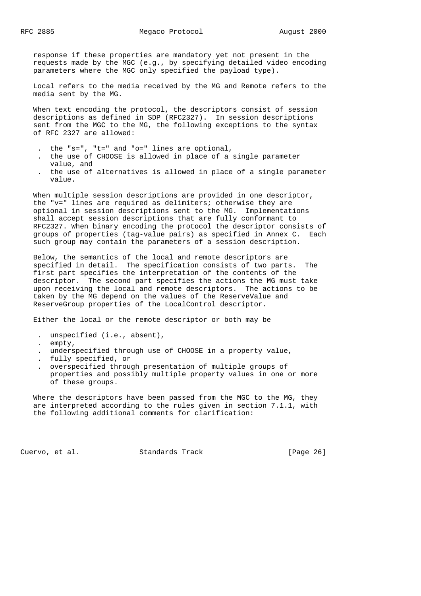response if these properties are mandatory yet not present in the requests made by the MGC (e.g., by specifying detailed video encoding parameters where the MGC only specified the payload type).

 Local refers to the media received by the MG and Remote refers to the media sent by the MG.

 When text encoding the protocol, the descriptors consist of session descriptions as defined in SDP (RFC2327). In session descriptions sent from the MGC to the MG, the following exceptions to the syntax of RFC 2327 are allowed:

- . the "s=", "t=" and "o=" lines are optional,
- . the use of CHOOSE is allowed in place of a single parameter value, and
- . the use of alternatives is allowed in place of a single parameter value.

 When multiple session descriptions are provided in one descriptor, the "v=" lines are required as delimiters; otherwise they are optional in session descriptions sent to the MG. Implementations shall accept session descriptions that are fully conformant to RFC2327. When binary encoding the protocol the descriptor consists of groups of properties (tag-value pairs) as specified in Annex C. Each such group may contain the parameters of a session description.

 Below, the semantics of the local and remote descriptors are specified in detail. The specification consists of two parts. The first part specifies the interpretation of the contents of the descriptor. The second part specifies the actions the MG must take upon receiving the local and remote descriptors. The actions to be taken by the MG depend on the values of the ReserveValue and ReserveGroup properties of the LocalControl descriptor.

Either the local or the remote descriptor or both may be

- . unspecified (i.e., absent),
- . empty,
- . underspecified through use of CHOOSE in a property value,
- . fully specified, or
- . overspecified through presentation of multiple groups of properties and possibly multiple property values in one or more of these groups.

Where the descriptors have been passed from the MGC to the MG, they are interpreted according to the rules given in section 7.1.1, with the following additional comments for clarification:

Cuervo, et al. Standards Track [Page 26]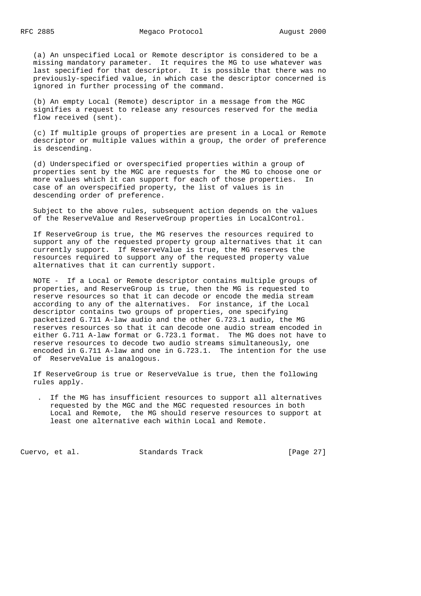(a) An unspecified Local or Remote descriptor is considered to be a missing mandatory parameter. It requires the MG to use whatever was last specified for that descriptor. It is possible that there was no previously-specified value, in which case the descriptor concerned is ignored in further processing of the command.

 (b) An empty Local (Remote) descriptor in a message from the MGC signifies a request to release any resources reserved for the media flow received (sent).

 (c) If multiple groups of properties are present in a Local or Remote descriptor or multiple values within a group, the order of preference is descending.

 (d) Underspecified or overspecified properties within a group of properties sent by the MGC are requests for the MG to choose one or more values which it can support for each of those properties. In case of an overspecified property, the list of values is in descending order of preference.

 Subject to the above rules, subsequent action depends on the values of the ReserveValue and ReserveGroup properties in LocalControl.

 If ReserveGroup is true, the MG reserves the resources required to support any of the requested property group alternatives that it can currently support. If ReserveValue is true, the MG reserves the resources required to support any of the requested property value alternatives that it can currently support.

 NOTE - If a Local or Remote descriptor contains multiple groups of properties, and ReserveGroup is true, then the MG is requested to reserve resources so that it can decode or encode the media stream according to any of the alternatives. For instance, if the Local descriptor contains two groups of properties, one specifying packetized G.711 A-law audio and the other G.723.1 audio, the MG reserves resources so that it can decode one audio stream encoded in either G.711 A-law format or G.723.1 format. The MG does not have to reserve resources to decode two audio streams simultaneously, one encoded in G.711 A-law and one in G.723.1. The intention for the use of ReserveValue is analogous.

 If ReserveGroup is true or ReserveValue is true, then the following rules apply.

 . If the MG has insufficient resources to support all alternatives requested by the MGC and the MGC requested resources in both Local and Remote, the MG should reserve resources to support at least one alternative each within Local and Remote.

Cuervo, et al. Standards Track [Page 27]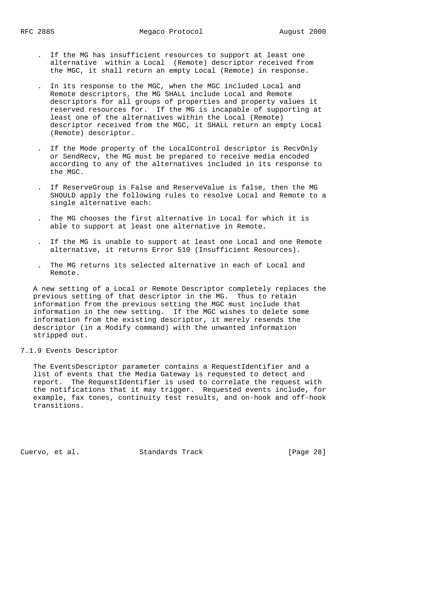- . If the MG has insufficient resources to support at least one alternative within a Local (Remote) descriptor received from the MGC, it shall return an empty Local (Remote) in response.
- . In its response to the MGC, when the MGC included Local and Remote descriptors, the MG SHALL include Local and Remote descriptors for all groups of properties and property values it reserved resources for. If the MG is incapable of supporting at least one of the alternatives within the Local (Remote) descriptor received from the MGC, it SHALL return an empty Local (Remote) descriptor.
- . If the Mode property of the LocalControl descriptor is RecvOnly or SendRecv, the MG must be prepared to receive media encoded according to any of the alternatives included in its response to the MGC.
- . If ReserveGroup is False and ReserveValue is false, then the MG SHOULD apply the following rules to resolve Local and Remote to a single alternative each:
- . The MG chooses the first alternative in Local for which it is able to support at least one alternative in Remote.
- . If the MG is unable to support at least one Local and one Remote alternative, it returns Error 510 (Insufficient Resources).
- . The MG returns its selected alternative in each of Local and Remote.

 A new setting of a Local or Remote Descriptor completely replaces the previous setting of that descriptor in the MG. Thus to retain information from the previous setting the MGC must include that information in the new setting. If the MGC wishes to delete some information from the existing descriptor, it merely resends the descriptor (in a Modify command) with the unwanted information stripped out.

## 7.1.9 Events Descriptor

 The EventsDescriptor parameter contains a RequestIdentifier and a list of events that the Media Gateway is requested to detect and report. The RequestIdentifier is used to correlate the request with the notifications that it may trigger. Requested events include, for example, fax tones, continuity test results, and on-hook and off-hook transitions.

Cuervo, et al. Standards Track [Page 28]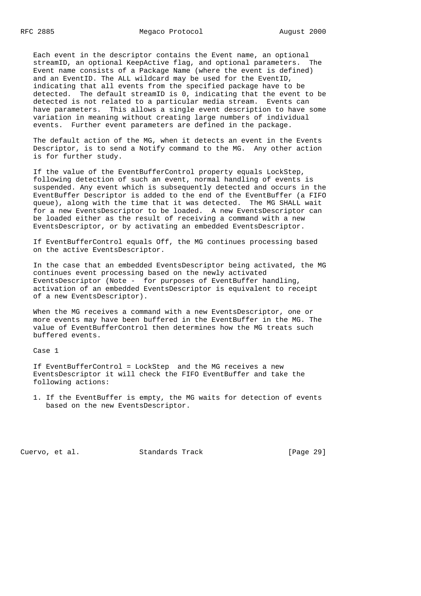Each event in the descriptor contains the Event name, an optional streamID, an optional KeepActive flag, and optional parameters. The Event name consists of a Package Name (where the event is defined) and an EventID. The ALL wildcard may be used for the EventID, indicating that all events from the specified package have to be detected. The default streamID is 0, indicating that the event to be detected is not related to a particular media stream. Events can have parameters. This allows a single event description to have some variation in meaning without creating large numbers of individual events. Further event parameters are defined in the package.

 The default action of the MG, when it detects an event in the Events Descriptor, is to send a Notify command to the MG. Any other action is for further study.

 If the value of the EventBufferControl property equals LockStep, following detection of such an event, normal handling of events is suspended. Any event which is subsequently detected and occurs in the EventBuffer Descriptor is added to the end of the EventBuffer (a FIFO queue), along with the time that it was detected. The MG SHALL wait for a new EventsDescriptor to be loaded. A new EventsDescriptor can be loaded either as the result of receiving a command with a new EventsDescriptor, or by activating an embedded EventsDescriptor.

 If EventBufferControl equals Off, the MG continues processing based on the active EventsDescriptor.

 In the case that an embedded EventsDescriptor being activated, the MG continues event processing based on the newly activated EventsDescriptor (Note - for purposes of EventBuffer handling, activation of an embedded EventsDescriptor is equivalent to receipt of a new EventsDescriptor).

 When the MG receives a command with a new EventsDescriptor, one or more events may have been buffered in the EventBuffer in the MG. The value of EventBufferControl then determines how the MG treats such buffered events.

Case 1

 If EventBufferControl = LockStep and the MG receives a new EventsDescriptor it will check the FIFO EventBuffer and take the following actions:

 1. If the EventBuffer is empty, the MG waits for detection of events based on the new EventsDescriptor.

Cuervo, et al. Standards Track [Page 29]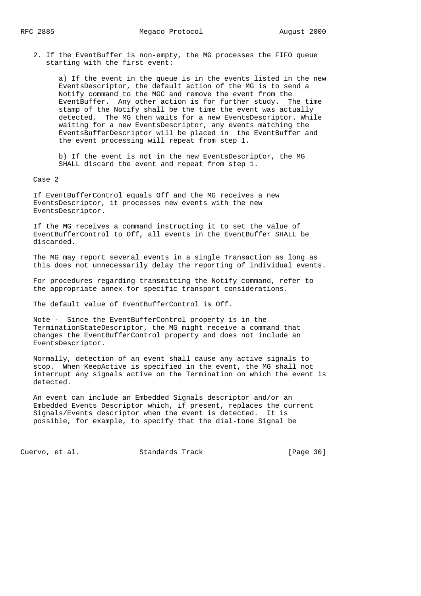2. If the EventBuffer is non-empty, the MG processes the FIFO queue starting with the first event:

 a) If the event in the queue is in the events listed in the new EventsDescriptor, the default action of the MG is to send a Notify command to the MGC and remove the event from the EventBuffer. Any other action is for further study. The time stamp of the Notify shall be the time the event was actually detected. The MG then waits for a new EventsDescriptor. While waiting for a new EventsDescriptor, any events matching the EventsBufferDescriptor will be placed in the EventBuffer and the event processing will repeat from step 1.

 b) If the event is not in the new EventsDescriptor, the MG SHALL discard the event and repeat from step 1.

Case 2

 If EventBufferControl equals Off and the MG receives a new EventsDescriptor, it processes new events with the new EventsDescriptor.

 If the MG receives a command instructing it to set the value of EventBufferControl to Off, all events in the EventBuffer SHALL be discarded.

 The MG may report several events in a single Transaction as long as this does not unnecessarily delay the reporting of individual events.

 For procedures regarding transmitting the Notify command, refer to the appropriate annex for specific transport considerations.

The default value of EventBufferControl is Off.

 Note - Since the EventBufferControl property is in the TerminationStateDescriptor, the MG might receive a command that changes the EventBufferControl property and does not include an EventsDescriptor.

 Normally, detection of an event shall cause any active signals to stop. When KeepActive is specified in the event, the MG shall not interrupt any signals active on the Termination on which the event is detected.

 An event can include an Embedded Signals descriptor and/or an Embedded Events Descriptor which, if present, replaces the current Signals/Events descriptor when the event is detected. It is possible, for example, to specify that the dial-tone Signal be

Cuervo, et al. Standards Track [Page 30]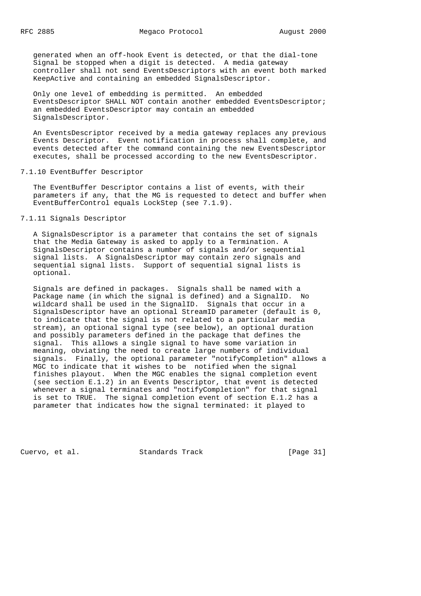generated when an off-hook Event is detected, or that the dial-tone Signal be stopped when a digit is detected. A media gateway controller shall not send EventsDescriptors with an event both marked KeepActive and containing an embedded SignalsDescriptor.

 Only one level of embedding is permitted. An embedded EventsDescriptor SHALL NOT contain another embedded EventsDescriptor; an embedded EventsDescriptor may contain an embedded SignalsDescriptor.

 An EventsDescriptor received by a media gateway replaces any previous Events Descriptor. Event notification in process shall complete, and events detected after the command containing the new EventsDescriptor executes, shall be processed according to the new EventsDescriptor.

# 7.1.10 EventBuffer Descriptor

 The EventBuffer Descriptor contains a list of events, with their parameters if any, that the MG is requested to detect and buffer when EventBufferControl equals LockStep (see 7.1.9).

# 7.1.11 Signals Descriptor

 A SignalsDescriptor is a parameter that contains the set of signals that the Media Gateway is asked to apply to a Termination. A SignalsDescriptor contains a number of signals and/or sequential signal lists. A SignalsDescriptor may contain zero signals and sequential signal lists. Support of sequential signal lists is optional.

 Signals are defined in packages. Signals shall be named with a Package name (in which the signal is defined) and a SignalID. No wildcard shall be used in the SignalID. Signals that occur in a SignalsDescriptor have an optional StreamID parameter (default is 0, to indicate that the signal is not related to a particular media stream), an optional signal type (see below), an optional duration and possibly parameters defined in the package that defines the signal. This allows a single signal to have some variation in meaning, obviating the need to create large numbers of individual signals. Finally, the optional parameter "notifyCompletion" allows a MGC to indicate that it wishes to be notified when the signal finishes playout. When the MGC enables the signal completion event (see section E.1.2) in an Events Descriptor, that event is detected whenever a signal terminates and "notifyCompletion" for that signal is set to TRUE. The signal completion event of section E.1.2 has a parameter that indicates how the signal terminated: it played to

Cuervo, et al. Standards Track [Page 31]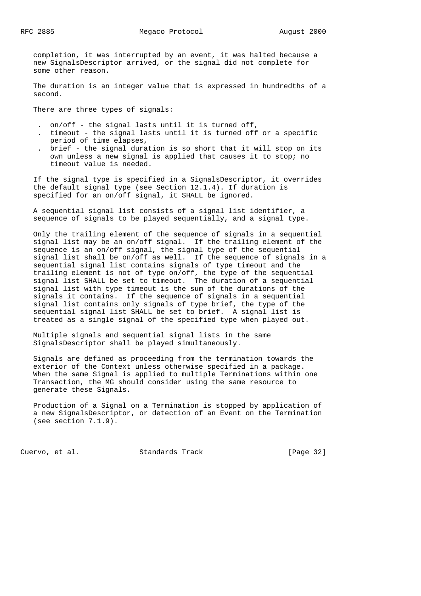completion, it was interrupted by an event, it was halted because a new SignalsDescriptor arrived, or the signal did not complete for some other reason.

 The duration is an integer value that is expressed in hundredths of a second.

There are three types of signals:

- . on/off the signal lasts until it is turned off,
- . timeout the signal lasts until it is turned off or a specific period of time elapses,
- . brief the signal duration is so short that it will stop on its own unless a new signal is applied that causes it to stop; no timeout value is needed.

 If the signal type is specified in a SignalsDescriptor, it overrides the default signal type (see Section 12.1.4). If duration is specified for an on/off signal, it SHALL be ignored.

 A sequential signal list consists of a signal list identifier, a sequence of signals to be played sequentially, and a signal type.

 Only the trailing element of the sequence of signals in a sequential signal list may be an on/off signal. If the trailing element of the sequence is an on/off signal, the signal type of the sequential signal list shall be on/off as well. If the sequence of signals in a sequential signal list contains signals of type timeout and the trailing element is not of type on/off, the type of the sequential signal list SHALL be set to timeout. The duration of a sequential signal list with type timeout is the sum of the durations of the signals it contains. If the sequence of signals in a sequential signal list contains only signals of type brief, the type of the sequential signal list SHALL be set to brief. A signal list is treated as a single signal of the specified type when played out.

 Multiple signals and sequential signal lists in the same SignalsDescriptor shall be played simultaneously.

 Signals are defined as proceeding from the termination towards the exterior of the Context unless otherwise specified in a package. When the same Signal is applied to multiple Terminations within one Transaction, the MG should consider using the same resource to generate these Signals.

 Production of a Signal on a Termination is stopped by application of a new SignalsDescriptor, or detection of an Event on the Termination (see section 7.1.9).

Cuervo, et al. Standards Track [Page 32]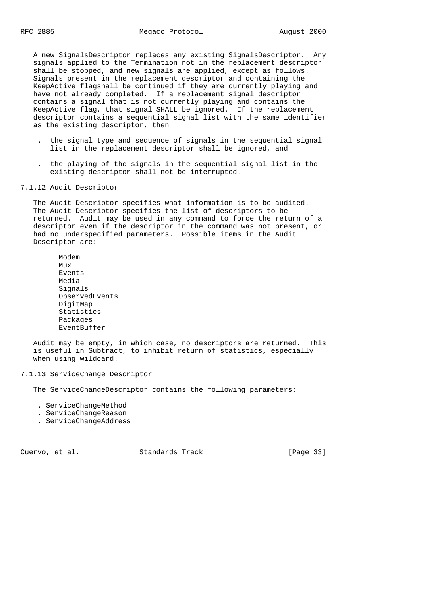A new SignalsDescriptor replaces any existing SignalsDescriptor. Any signals applied to the Termination not in the replacement descriptor shall be stopped, and new signals are applied, except as follows. Signals present in the replacement descriptor and containing the KeepActive flagshall be continued if they are currently playing and have not already completed. If a replacement signal descriptor contains a signal that is not currently playing and contains the KeepActive flag, that signal SHALL be ignored. If the replacement descriptor contains a sequential signal list with the same identifier as the existing descriptor, then

- . the signal type and sequence of signals in the sequential signal list in the replacement descriptor shall be ignored, and
- . the playing of the signals in the sequential signal list in the existing descriptor shall not be interrupted.

## 7.1.12 Audit Descriptor

 The Audit Descriptor specifies what information is to be audited. The Audit Descriptor specifies the list of descriptors to be returned. Audit may be used in any command to force the return of a descriptor even if the descriptor in the command was not present, or had no underspecified parameters. Possible items in the Audit Descriptor are:

 Modem  $M_{11}x$  Events Media Signals ObservedEvents DigitMap Statistics Packages EventBuffer

 Audit may be empty, in which case, no descriptors are returned. This is useful in Subtract, to inhibit return of statistics, especially when using wildcard.

## 7.1.13 ServiceChange Descriptor

The ServiceChangeDescriptor contains the following parameters:

- . ServiceChangeMethod
- . ServiceChangeReason
- . ServiceChangeAddress

Cuervo, et al. Standards Track [Page 33]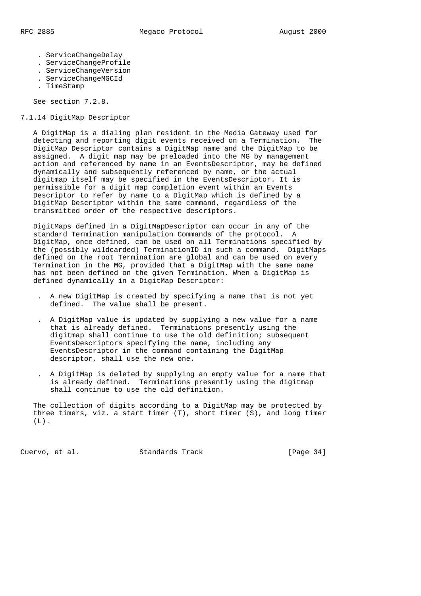- - . ServiceChangeDelay
	- . ServiceChangeProfile
	- . ServiceChangeVersion
	- . ServiceChangeMGCId
	- . TimeStamp

See section 7.2.8.

# 7.1.14 DigitMap Descriptor

 A DigitMap is a dialing plan resident in the Media Gateway used for detecting and reporting digit events received on a Termination. The DigitMap Descriptor contains a DigitMap name and the DigitMap to be assigned. A digit map may be preloaded into the MG by management action and referenced by name in an EventsDescriptor, may be defined dynamically and subsequently referenced by name, or the actual digitmap itself may be specified in the EventsDescriptor. It is permissible for a digit map completion event within an Events Descriptor to refer by name to a DigitMap which is defined by a DigitMap Descriptor within the same command, regardless of the transmitted order of the respective descriptors.

 DigitMaps defined in a DigitMapDescriptor can occur in any of the standard Termination manipulation Commands of the protocol. A DigitMap, once defined, can be used on all Terminations specified by the (possibly wildcarded) TerminationID in such a command. DigitMaps defined on the root Termination are global and can be used on every Termination in the MG, provided that a DigitMap with the same name has not been defined on the given Termination. When a DigitMap is defined dynamically in a DigitMap Descriptor:

- . A new DigitMap is created by specifying a name that is not yet defined. The value shall be present.
- . A DigitMap value is updated by supplying a new value for a name that is already defined. Terminations presently using the digitmap shall continue to use the old definition; subsequent EventsDescriptors specifying the name, including any EventsDescriptor in the command containing the DigitMap descriptor, shall use the new one.
- . A DigitMap is deleted by supplying an empty value for a name that is already defined. Terminations presently using the digitmap shall continue to use the old definition.

 The collection of digits according to a DigitMap may be protected by three timers, viz. a start timer (T), short timer (S), and long timer (L).

Cuervo, et al. Standards Track [Page 34]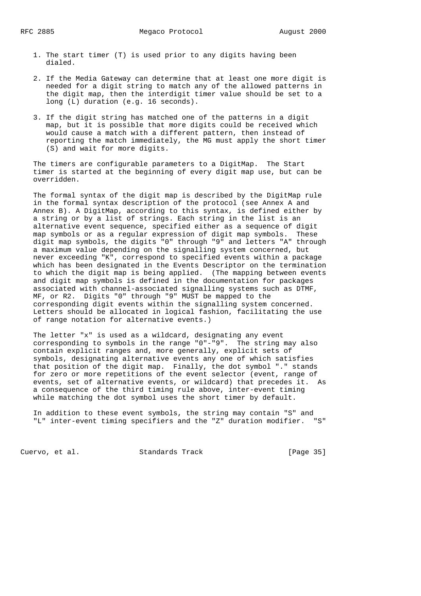- 1. The start timer (T) is used prior to any digits having been dialed.
- 2. If the Media Gateway can determine that at least one more digit is needed for a digit string to match any of the allowed patterns in the digit map, then the interdigit timer value should be set to a long (L) duration (e.g. 16 seconds).
- 3. If the digit string has matched one of the patterns in a digit map, but it is possible that more digits could be received which would cause a match with a different pattern, then instead of reporting the match immediately, the MG must apply the short timer (S) and wait for more digits.

 The timers are configurable parameters to a DigitMap. The Start timer is started at the beginning of every digit map use, but can be overridden.

 The formal syntax of the digit map is described by the DigitMap rule in the formal syntax description of the protocol (see Annex A and Annex B). A DigitMap, according to this syntax, is defined either by a string or by a list of strings. Each string in the list is an alternative event sequence, specified either as a sequence of digit map symbols or as a regular expression of digit map symbols. These digit map symbols, the digits "0" through "9" and letters "A" through a maximum value depending on the signalling system concerned, but never exceeding "K", correspond to specified events within a package which has been designated in the Events Descriptor on the termination to which the digit map is being applied. (The mapping between events and digit map symbols is defined in the documentation for packages associated with channel-associated signalling systems such as DTMF, MF, or R2. Digits "0" through "9" MUST be mapped to the corresponding digit events within the signalling system concerned. Letters should be allocated in logical fashion, facilitating the use of range notation for alternative events.)

 The letter "x" is used as a wildcard, designating any event corresponding to symbols in the range "0"-"9". The string may also contain explicit ranges and, more generally, explicit sets of symbols, designating alternative events any one of which satisfies that position of the digit map. Finally, the dot symbol "." stands for zero or more repetitions of the event selector (event, range of events, set of alternative events, or wildcard) that precedes it. As a consequence of the third timing rule above, inter-event timing while matching the dot symbol uses the short timer by default.

 In addition to these event symbols, the string may contain "S" and "L" inter-event timing specifiers and the "Z" duration modifier.

Cuervo, et al. Standards Track [Page 35]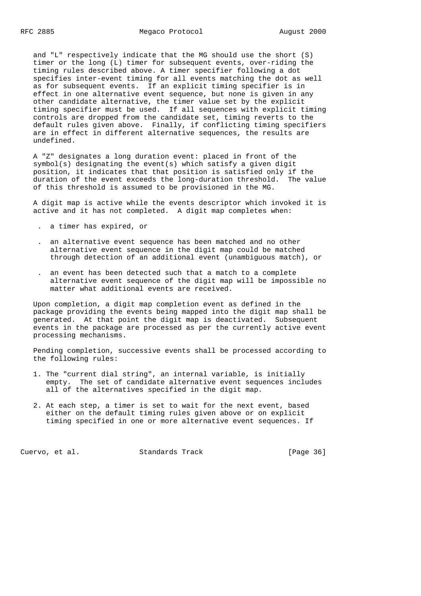and "L" respectively indicate that the MG should use the short (S) timer or the long (L) timer for subsequent events, over-riding the timing rules described above. A timer specifier following a dot specifies inter-event timing for all events matching the dot as well as for subsequent events. If an explicit timing specifier is in effect in one alternative event sequence, but none is given in any other candidate alternative, the timer value set by the explicit timing specifier must be used. If all sequences with explicit timing controls are dropped from the candidate set, timing reverts to the default rules given above. Finally, if conflicting timing specifiers are in effect in different alternative sequences, the results are undefined.

 A "Z" designates a long duration event: placed in front of the symbol(s) designating the event(s) which satisfy a given digit position, it indicates that that position is satisfied only if the duration of the event exceeds the long-duration threshold. The value of this threshold is assumed to be provisioned in the MG.

 A digit map is active while the events descriptor which invoked it is active and it has not completed. A digit map completes when:

- . a timer has expired, or
- . an alternative event sequence has been matched and no other alternative event sequence in the digit map could be matched through detection of an additional event (unambiguous match), or
- . an event has been detected such that a match to a complete alternative event sequence of the digit map will be impossible no matter what additional events are received.

 Upon completion, a digit map completion event as defined in the package providing the events being mapped into the digit map shall be generated. At that point the digit map is deactivated. Subsequent events in the package are processed as per the currently active event processing mechanisms.

 Pending completion, successive events shall be processed according to the following rules:

- 1. The "current dial string", an internal variable, is initially empty. The set of candidate alternative event sequences includes all of the alternatives specified in the digit map.
- 2. At each step, a timer is set to wait for the next event, based either on the default timing rules given above or on explicit timing specified in one or more alternative event sequences. If

Cuervo, et al. Standards Track [Page 36]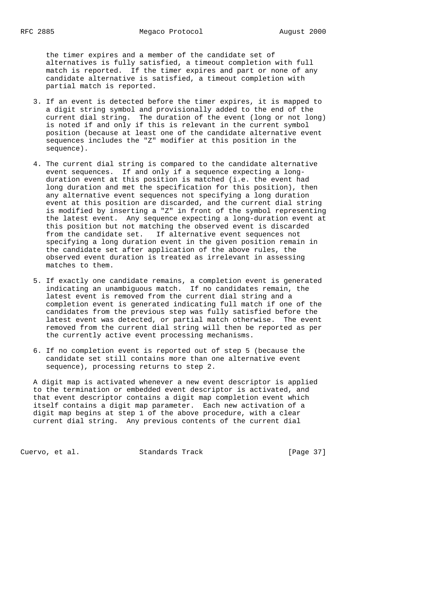the timer expires and a member of the candidate set of alternatives is fully satisfied, a timeout completion with full match is reported. If the timer expires and part or none of any candidate alternative is satisfied, a timeout completion with partial match is reported.

- 3. If an event is detected before the timer expires, it is mapped to a digit string symbol and provisionally added to the end of the current dial string. The duration of the event (long or not long) is noted if and only if this is relevant in the current symbol position (because at least one of the candidate alternative event sequences includes the "Z" modifier at this position in the sequence).
- 4. The current dial string is compared to the candidate alternative event sequences. If and only if a sequence expecting a long duration event at this position is matched (i.e. the event had long duration and met the specification for this position), then any alternative event sequences not specifying a long duration event at this position are discarded, and the current dial string is modified by inserting a "Z" in front of the symbol representing the latest event. Any sequence expecting a long-duration event at this position but not matching the observed event is discarded from the candidate set. If alternative event sequences not specifying a long duration event in the given position remain in the candidate set after application of the above rules, the observed event duration is treated as irrelevant in assessing matches to them.
- 5. If exactly one candidate remains, a completion event is generated indicating an unambiguous match. If no candidates remain, the latest event is removed from the current dial string and a completion event is generated indicating full match if one of the candidates from the previous step was fully satisfied before the latest event was detected, or partial match otherwise. The event removed from the current dial string will then be reported as per the currently active event processing mechanisms.
- 6. If no completion event is reported out of step 5 (because the candidate set still contains more than one alternative event sequence), processing returns to step 2.

 A digit map is activated whenever a new event descriptor is applied to the termination or embedded event descriptor is activated, and that event descriptor contains a digit map completion event which itself contains a digit map parameter. Each new activation of a digit map begins at step 1 of the above procedure, with a clear current dial string. Any previous contents of the current dial

Cuervo, et al. Standards Track [Page 37]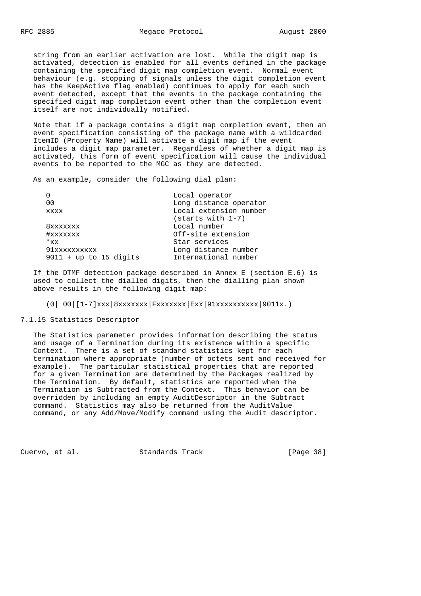string from an earlier activation are lost. While the digit map is activated, detection is enabled for all events defined in the package containing the specified digit map completion event. Normal event behaviour (e.g. stopping of signals unless the digit completion event has the KeepActive flag enabled) continues to apply for each such event detected, except that the events in the package containing the specified digit map completion event other than the completion event itself are not individually notified.

 Note that if a package contains a digit map completion event, then an event specification consisting of the package name with a wildcarded ItemID (Property Name) will activate a digit map if the event includes a digit map parameter. Regardless of whether a digit map is activated, this form of event specification will cause the individual events to be reported to the MGC as they are detected.

As an example, consider the following dial plan:

|                          | Local operator<br>Long distance operator |  |  |
|--------------------------|------------------------------------------|--|--|
| 0 <sub>0</sub>           |                                          |  |  |
| <b>XXXX</b>              | Local extension number                   |  |  |
|                          | (starts with 1-7)                        |  |  |
| 8xxxxxxx                 | Local number                             |  |  |
| #xxxxxxx                 | Off-site extension                       |  |  |
| $*_{xx}$                 | Star services                            |  |  |
| 91xxxxxxxxxx             | Long distance number                     |  |  |
| $9011 + up to 15 digits$ | International number                     |  |  |
|                          |                                          |  |  |

 If the DTMF detection package described in Annex E (section E.6) is used to collect the dialled digits, then the dialling plan shown above results in the following digit map:

(0| 00|[1-7]xxx|8xxxxxxx|Fxxxxxxx|Exx|91xxxxxxxxxx|9011x.)

7.1.15 Statistics Descriptor

 The Statistics parameter provides information describing the status and usage of a Termination during its existence within a specific Context. There is a set of standard statistics kept for each termination where appropriate (number of octets sent and received for example). The particular statistical properties that are reported for a given Termination are determined by the Packages realized by the Termination. By default, statistics are reported when the Termination is Subtracted from the Context. This behavior can be overridden by including an empty AuditDescriptor in the Subtract command. Statistics may also be returned from the AuditValue command, or any Add/Move/Modify command using the Audit descriptor.

Cuervo, et al. Standards Track [Page 38]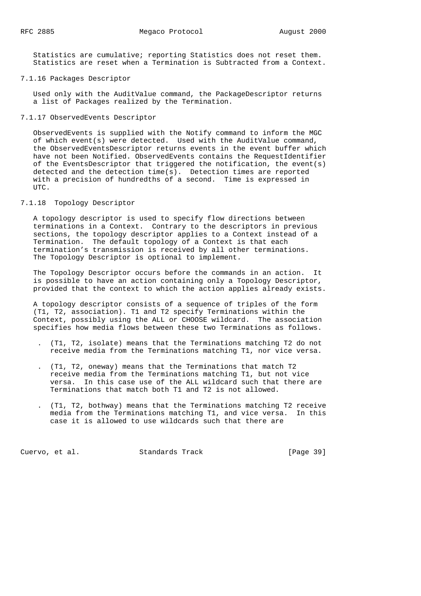Statistics are cumulative; reporting Statistics does not reset them. Statistics are reset when a Termination is Subtracted from a Context.

#### 7.1.16 Packages Descriptor

 Used only with the AuditValue command, the PackageDescriptor returns a list of Packages realized by the Termination.

# 7.1.17 ObservedEvents Descriptor

 ObservedEvents is supplied with the Notify command to inform the MGC of which event(s) were detected. Used with the AuditValue command, the ObservedEventsDescriptor returns events in the event buffer which have not been Notified. ObservedEvents contains the RequestIdentifier of the EventsDescriptor that triggered the notification, the event(s) detected and the detection time(s). Detection times are reported with a precision of hundredths of a second. Time is expressed in UTC.

## 7.1.18 Topology Descriptor

 A topology descriptor is used to specify flow directions between terminations in a Context. Contrary to the descriptors in previous sections, the topology descriptor applies to a Context instead of a Termination. The default topology of a Context is that each termination's transmission is received by all other terminations. The Topology Descriptor is optional to implement.

 The Topology Descriptor occurs before the commands in an action. It is possible to have an action containing only a Topology Descriptor, provided that the context to which the action applies already exists.

 A topology descriptor consists of a sequence of triples of the form (T1, T2, association). T1 and T2 specify Terminations within the Context, possibly using the ALL or CHOOSE wildcard. The association specifies how media flows between these two Terminations as follows.

- . (T1, T2, isolate) means that the Terminations matching T2 do not receive media from the Terminations matching T1, nor vice versa.
- . (T1, T2, oneway) means that the Terminations that match T2 receive media from the Terminations matching T1, but not vice versa. In this case use of the ALL wildcard such that there are Terminations that match both T1 and T2 is not allowed.
- . (T1, T2, bothway) means that the Terminations matching T2 receive media from the Terminations matching T1, and vice versa. In this case it is allowed to use wildcards such that there are

Cuervo, et al. Standards Track [Page 39]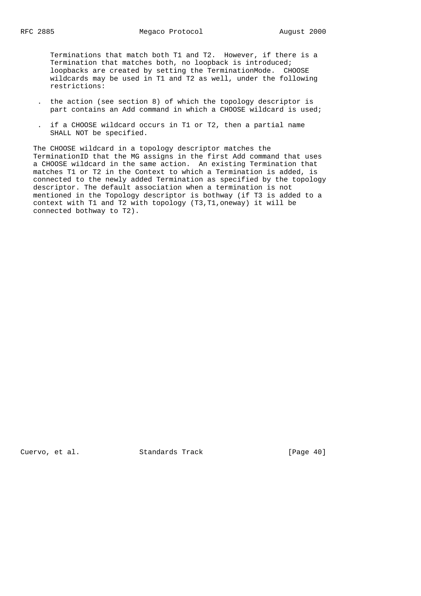Terminations that match both T1 and T2. However, if there is a Termination that matches both, no loopback is introduced; loopbacks are created by setting the TerminationMode. CHOOSE wildcards may be used in T1 and T2 as well, under the following restrictions:

- . the action (see section 8) of which the topology descriptor is part contains an Add command in which a CHOOSE wildcard is used;
- . if a CHOOSE wildcard occurs in T1 or T2, then a partial name SHALL NOT be specified.

 The CHOOSE wildcard in a topology descriptor matches the TerminationID that the MG assigns in the first Add command that uses a CHOOSE wildcard in the same action. An existing Termination that matches T1 or T2 in the Context to which a Termination is added, is connected to the newly added Termination as specified by the topology descriptor. The default association when a termination is not mentioned in the Topology descriptor is bothway (if T3 is added to a context with T1 and T2 with topology (T3,T1,oneway) it will be connected bothway to T2).

Cuervo, et al. Standards Track [Page 40]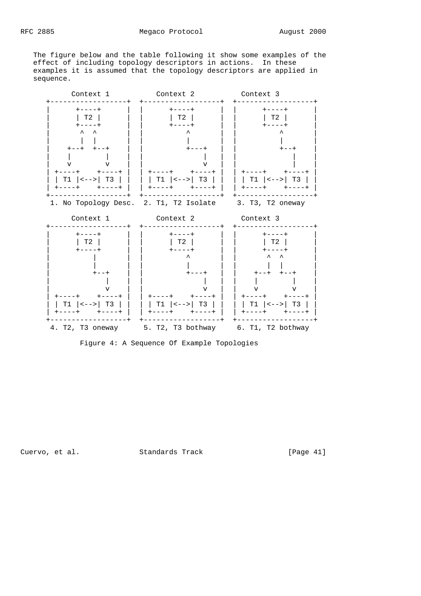The figure below and the table following it show some examples of the effect of including topology descriptors in actions. In these examples it is assumed that the topology descriptors are applied in sequence.



Cuervo, et al. Standards Track [Page 41]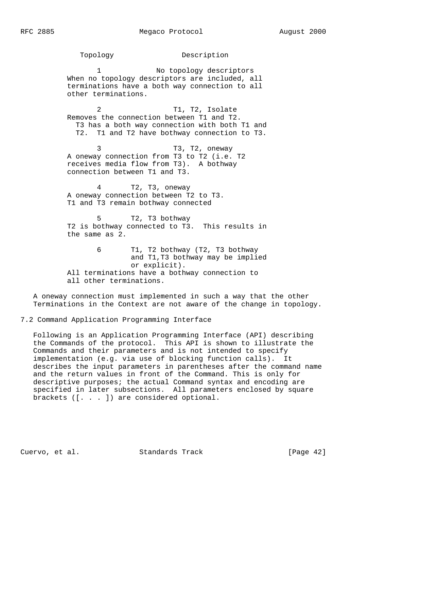Topology Description 1 No topology descriptors When no topology descriptors are included, all terminations have a both way connection to all other terminations. 2 T1, T2, Isolate Removes the connection between T1 and T2. T3 has a both way connection with both T1 and T2. T1 and T2 have bothway connection to T3. 3 T3, T2, oneway A oneway connection from T3 to T2 (i.e. T2 receives media flow from T3). A bothway connection between T1 and T3. 4 T2, T3, oneway A oneway connection between T2 to T3. T1 and T3 remain bothway connected 5 T2, T3 bothway T2 is bothway connected to T3. This results in the same as 2.

 6 T1, T2 bothway (T2, T3 bothway and T1,T3 bothway may be implied or explicit). All terminations have a bothway connection to all other terminations.

 A oneway connection must implemented in such a way that the other Terminations in the Context are not aware of the change in topology.

7.2 Command Application Programming Interface

 Following is an Application Programming Interface (API) describing the Commands of the protocol. This API is shown to illustrate the Commands and their parameters and is not intended to specify implementation (e.g. via use of blocking function calls). It describes the input parameters in parentheses after the command name and the return values in front of the Command. This is only for descriptive purposes; the actual Command syntax and encoding are specified in later subsections. All parameters enclosed by square brackets ([. . . ]) are considered optional.

Cuervo, et al. Standards Track [Page 42]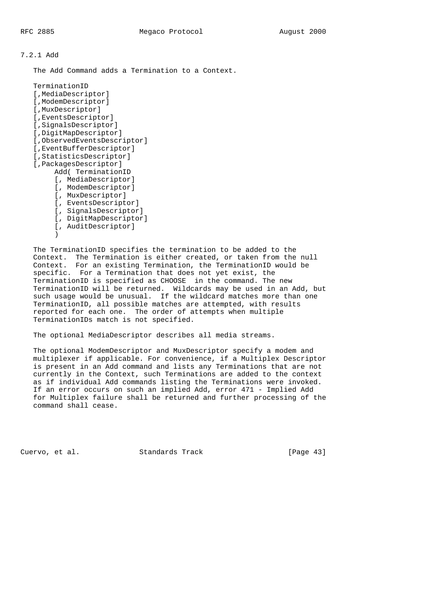7.2.1 Add

The Add Command adds a Termination to a Context.

```
 TerminationID
    [,MediaDescriptor]
   [, ModemDescriptor]
    [,MuxDescriptor]
    [,EventsDescriptor]
    [,SignalsDescriptor]
    [,DigitMapDescriptor]
    [,ObservedEventsDescriptor]
    [,EventBufferDescriptor]
    [,StatisticsDescriptor]
    [,PackagesDescriptor]
         Add( TerminationID
         [, MediaDescriptor]
         [, ModemDescriptor]
         [, MuxDescriptor]
         [, EventsDescriptor]
         [, SignalsDescriptor]
         [, DigitMapDescriptor]
         [, AuditDescriptor]
\overline{\phantom{a}}
```
 The TerminationID specifies the termination to be added to the Context. The Termination is either created, or taken from the null Context. For an existing Termination, the TerminationID would be specific. For a Termination that does not yet exist, the TerminationID is specified as CHOOSE in the command. The new TerminationID will be returned. Wildcards may be used in an Add, but such usage would be unusual. If the wildcard matches more than one TerminationID, all possible matches are attempted, with results reported for each one. The order of attempts when multiple TerminationIDs match is not specified.

The optional MediaDescriptor describes all media streams.

 The optional ModemDescriptor and MuxDescriptor specify a modem and multiplexer if applicable. For convenience, if a Multiplex Descriptor is present in an Add command and lists any Terminations that are not currently in the Context, such Terminations are added to the context as if individual Add commands listing the Terminations were invoked. If an error occurs on such an implied Add, error 471 - Implied Add for Multiplex failure shall be returned and further processing of the command shall cease.

Cuervo, et al. Standards Track [Page 43]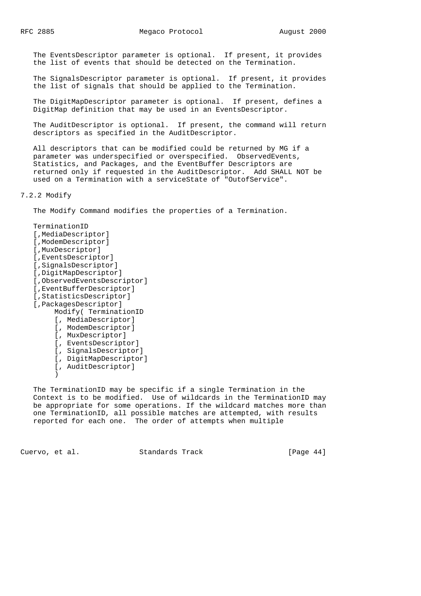The EventsDescriptor parameter is optional. If present, it provides the list of events that should be detected on the Termination.

 The SignalsDescriptor parameter is optional. If present, it provides the list of signals that should be applied to the Termination.

 The DigitMapDescriptor parameter is optional. If present, defines a DigitMap definition that may be used in an EventsDescriptor.

 The AuditDescriptor is optional. If present, the command will return descriptors as specified in the AuditDescriptor.

 All descriptors that can be modified could be returned by MG if a parameter was underspecified or overspecified. ObservedEvents, Statistics, and Packages, and the EventBuffer Descriptors are returned only if requested in the AuditDescriptor. Add SHALL NOT be used on a Termination with a serviceState of "OutofService".

7.2.2 Modify

The Modify Command modifies the properties of a Termination.

 TerminationID [,MediaDescriptor] [,ModemDescriptor] [,MuxDescriptor] [,EventsDescriptor] [,SignalsDescriptor] [,DigitMapDescriptor] [,ObservedEventsDescriptor] [,EventBufferDescriptor] [,StatisticsDescriptor] [,PackagesDescriptor] Modify( TerminationID [, MediaDescriptor] [, ModemDescriptor] [, MuxDescriptor] [, EventsDescriptor] [, SignalsDescriptor] [, DigitMapDescriptor] [, AuditDescriptor]  $\overline{\phantom{a}}$ 

 The TerminationID may be specific if a single Termination in the Context is to be modified. Use of wildcards in the TerminationID may be appropriate for some operations. If the wildcard matches more than one TerminationID, all possible matches are attempted, with results reported for each one. The order of attempts when multiple

Cuervo, et al. Standards Track [Page 44]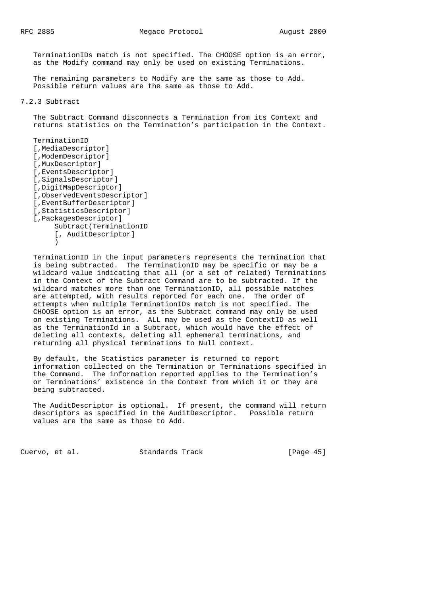TerminationIDs match is not specified. The CHOOSE option is an error, as the Modify command may only be used on existing Terminations.

 The remaining parameters to Modify are the same as those to Add. Possible return values are the same as those to Add.

## 7.2.3 Subtract

 The Subtract Command disconnects a Termination from its Context and returns statistics on the Termination's participation in the Context.

 TerminationID [,MediaDescriptor] [,ModemDescriptor] [,MuxDescriptor] [,EventsDescriptor] [,SignalsDescriptor] [,DigitMapDescriptor] [,ObservedEventsDescriptor] [,EventBufferDescriptor] [,StatisticsDescriptor] [,PackagesDescriptor] Subtract(TerminationID [, AuditDescriptor] )

 TerminationID in the input parameters represents the Termination that is being subtracted. The TerminationID may be specific or may be a wildcard value indicating that all (or a set of related) Terminations in the Context of the Subtract Command are to be subtracted. If the wildcard matches more than one TerminationID, all possible matches are attempted, with results reported for each one. The order of attempts when multiple TerminationIDs match is not specified. The CHOOSE option is an error, as the Subtract command may only be used on existing Terminations. ALL may be used as the ContextID as well as the TerminationId in a Subtract, which would have the effect of deleting all contexts, deleting all ephemeral terminations, and returning all physical terminations to Null context.

 By default, the Statistics parameter is returned to report information collected on the Termination or Terminations specified in the Command. The information reported applies to the Termination's or Terminations' existence in the Context from which it or they are being subtracted.

 The AuditDescriptor is optional. If present, the command will return descriptors as specified in the AuditDescriptor. Possible return values are the same as those to Add.

Cuervo, et al. Standards Track [Page 45]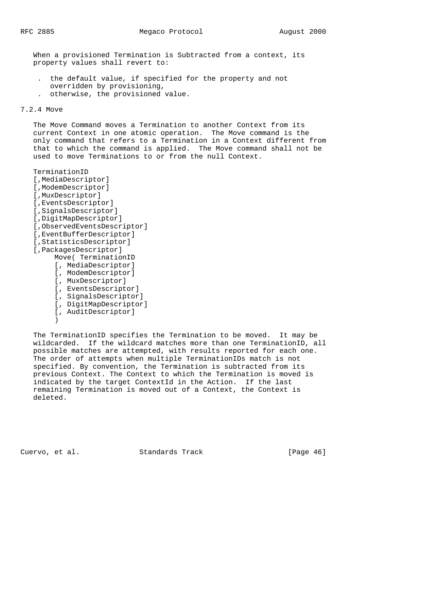When a provisioned Termination is Subtracted from a context, its property values shall revert to:

- . the default value, if specified for the property and not overridden by provisioning,
- . otherwise, the provisioned value.

## 7.2.4 Move

 The Move Command moves a Termination to another Context from its current Context in one atomic operation. The Move command is the only command that refers to a Termination in a Context different from that to which the command is applied. The Move command shall not be used to move Terminations to or from the null Context.

```
 TerminationID
    [,MediaDescriptor]
    [,ModemDescriptor]
    [,MuxDescriptor]
    [,EventsDescriptor]
    [,SignalsDescriptor]
    [,DigitMapDescriptor]
    [,ObservedEventsDescriptor]
    [,EventBufferDescriptor]
    [,StatisticsDescriptor]
    [,PackagesDescriptor]
         Move( TerminationID
         [, MediaDescriptor]
         [, ModemDescriptor]
         [, MuxDescriptor]
         [, EventsDescriptor]
         [, SignalsDescriptor]
         [, DigitMapDescriptor]
         [, AuditDescriptor]
\overline{\phantom{a}}
```
 The TerminationID specifies the Termination to be moved. It may be wildcarded. If the wildcard matches more than one TerminationID, all possible matches are attempted, with results reported for each one. The order of attempts when multiple TerminationIDs match is not specified. By convention, the Termination is subtracted from its previous Context. The Context to which the Termination is moved is indicated by the target ContextId in the Action. If the last remaining Termination is moved out of a Context, the Context is deleted.

Cuervo, et al. Standards Track [Page 46]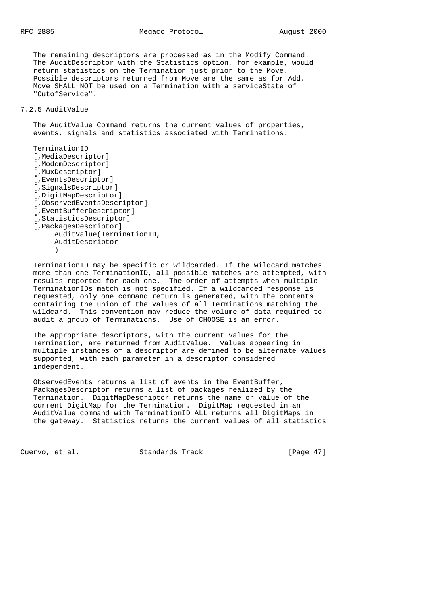The remaining descriptors are processed as in the Modify Command. The AuditDescriptor with the Statistics option, for example, would return statistics on the Termination just prior to the Move. Possible descriptors returned from Move are the same as for Add. Move SHALL NOT be used on a Termination with a serviceState of "OutofService".

## 7.2.5 AuditValue

 The AuditValue Command returns the current values of properties, events, signals and statistics associated with Terminations.

```
 TerminationID
    [,MediaDescriptor]
    [,ModemDescriptor]
    [,MuxDescriptor]
    [,EventsDescriptor]
    [,SignalsDescriptor]
    [,DigitMapDescriptor]
    [,ObservedEventsDescriptor]
    [,EventBufferDescriptor]
    [,StatisticsDescriptor]
    [,PackagesDescriptor]
         AuditValue(TerminationID,
         AuditDescriptor
\overline{\phantom{a}}
```
 TerminationID may be specific or wildcarded. If the wildcard matches more than one TerminationID, all possible matches are attempted, with results reported for each one. The order of attempts when multiple TerminationIDs match is not specified. If a wildcarded response is requested, only one command return is generated, with the contents containing the union of the values of all Terminations matching the wildcard. This convention may reduce the volume of data required to audit a group of Terminations. Use of CHOOSE is an error.

 The appropriate descriptors, with the current values for the Termination, are returned from AuditValue. Values appearing in multiple instances of a descriptor are defined to be alternate values supported, with each parameter in a descriptor considered independent.

 ObservedEvents returns a list of events in the EventBuffer, PackagesDescriptor returns a list of packages realized by the Termination. DigitMapDescriptor returns the name or value of the current DigitMap for the Termination. DigitMap requested in an AuditValue command with TerminationID ALL returns all DigitMaps in the gateway. Statistics returns the current values of all statistics

Cuervo, et al. Standards Track [Page 47]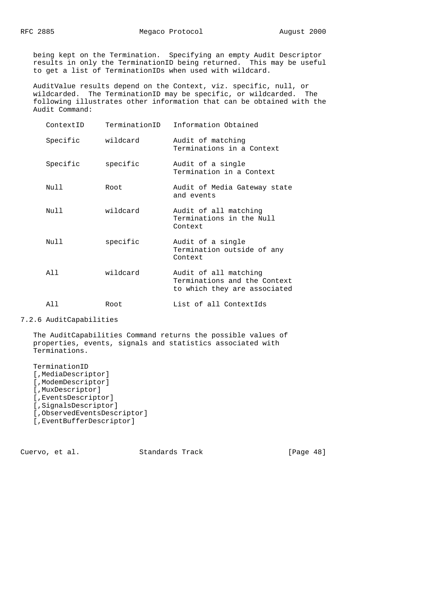being kept on the Termination. Specifying an empty Audit Descriptor results in only the TerminationID being returned. This may be useful to get a list of TerminationIDs when used with wildcard.

 AuditValue results depend on the Context, viz. specific, null, or wildcarded. The TerminationID may be specific, or wildcarded. The following illustrates other information that can be obtained with the Audit Command:

| ContextID | TerminationID | Information Obtained                                                                  |
|-----------|---------------|---------------------------------------------------------------------------------------|
| Specific  | wildcard      | Audit of matching<br>Terminations in a Context                                        |
| Specific  | specific      | Audit of a single<br>Termination in a Context                                         |
| Null      | Root          | Audit of Media Gateway state<br>and events                                            |
| Null      | wildcard      | Audit of all matching<br>Terminations in the Null<br>Context                          |
| Null      | specific      | Audit of a single<br>Termination outside of any<br>Context                            |
| All       | wildcard      | Audit of all matching<br>Terminations and the Context<br>to which they are associated |
| All       | Root          | List of all ContextIds                                                                |

7.2.6 AuditCapabilities

 The AuditCapabilities Command returns the possible values of properties, events, signals and statistics associated with Terminations.

 TerminationID [,MediaDescriptor] [,ModemDescriptor] [,MuxDescriptor] [,EventsDescriptor] [,SignalsDescriptor] [,ObservedEventsDescriptor] [,EventBufferDescriptor]

Cuervo, et al. Standards Track [Page 48]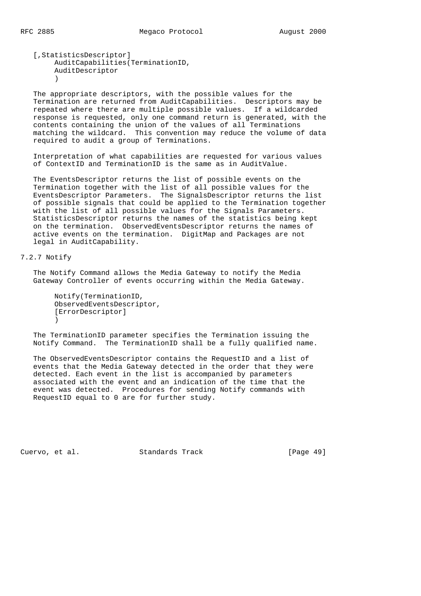[,StatisticsDescriptor] AuditCapabilities(TerminationID, AuditDescriptor  $\overline{\phantom{a}}$ 

 The appropriate descriptors, with the possible values for the Termination are returned from AuditCapabilities. Descriptors may be repeated where there are multiple possible values. If a wildcarded response is requested, only one command return is generated, with the contents containing the union of the values of all Terminations matching the wildcard. This convention may reduce the volume of data required to audit a group of Terminations.

 Interpretation of what capabilities are requested for various values of ContextID and TerminationID is the same as in AuditValue.

 The EventsDescriptor returns the list of possible events on the Termination together with the list of all possible values for the EventsDescriptor Parameters. The SignalsDescriptor returns the list of possible signals that could be applied to the Termination together with the list of all possible values for the Signals Parameters. StatisticsDescriptor returns the names of the statistics being kept on the termination. ObservedEventsDescriptor returns the names of active events on the termination. DigitMap and Packages are not legal in AuditCapability.

#### 7.2.7 Notify

 The Notify Command allows the Media Gateway to notify the Media Gateway Controller of events occurring within the Media Gateway.

```
 Notify(TerminationID,
 ObservedEventsDescriptor,
 [ErrorDescriptor]
 )
```
 The TerminationID parameter specifies the Termination issuing the Notify Command. The TerminationID shall be a fully qualified name.

 The ObservedEventsDescriptor contains the RequestID and a list of events that the Media Gateway detected in the order that they were detected. Each event in the list is accompanied by parameters associated with the event and an indication of the time that the event was detected. Procedures for sending Notify commands with RequestID equal to 0 are for further study.

Cuervo, et al. Standards Track [Page 49]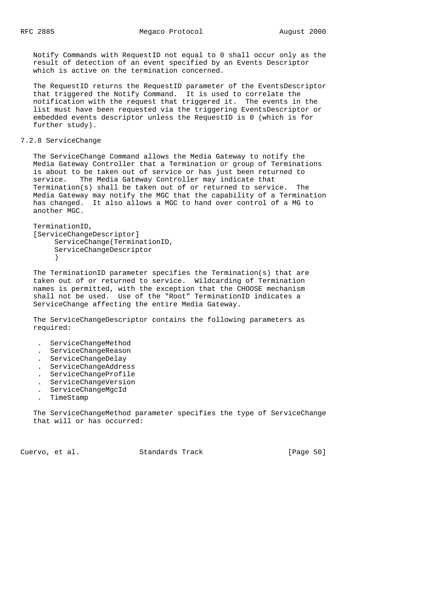Notify Commands with RequestID not equal to 0 shall occur only as the result of detection of an event specified by an Events Descriptor which is active on the termination concerned.

 The RequestID returns the RequestID parameter of the EventsDescriptor that triggered the Notify Command. It is used to correlate the notification with the request that triggered it. The events in the list must have been requested via the triggering EventsDescriptor or embedded events descriptor unless the RequestID is 0 (which is for further study).

# 7.2.8 ServiceChange

 The ServiceChange Command allows the Media Gateway to notify the Media Gateway Controller that a Termination or group of Terminations is about to be taken out of service or has just been returned to service. The Media Gateway Controller may indicate that Termination(s) shall be taken out of or returned to service. The Media Gateway may notify the MGC that the capability of a Termination has changed. It also allows a MGC to hand over control of a MG to another MGC.

```
 TerminationID,
    [ServiceChangeDescriptor]
          ServiceChange(TerminationID,
          ServiceChangeDescriptor
\overline{\phantom{a}}
```
 The TerminationID parameter specifies the Termination(s) that are taken out of or returned to service. Wildcarding of Termination names is permitted, with the exception that the CHOOSE mechanism shall not be used. Use of the "Root" TerminationID indicates a ServiceChange affecting the entire Media Gateway.

 The ServiceChangeDescriptor contains the following parameters as required:

- . ServiceChangeMethod
- . ServiceChangeReason
- . ServiceChangeDelay
- . ServiceChangeAddress
- . ServiceChangeProfile
- . ServiceChangeVersion
- . ServiceChangeMgcId
- . TimeStamp

 The ServiceChangeMethod parameter specifies the type of ServiceChange that will or has occurred:

Cuervo, et al. Standards Track [Page 50]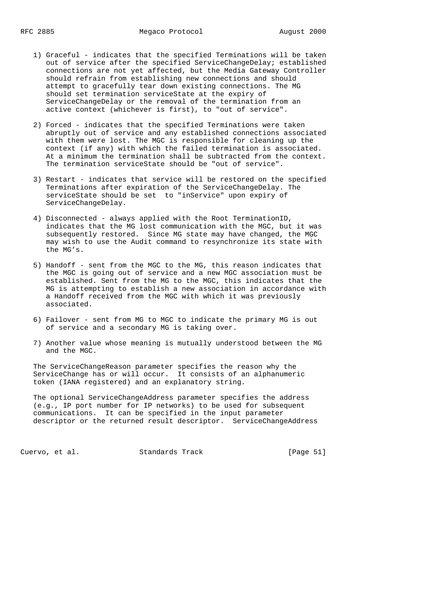- 1) Graceful indicates that the specified Terminations will be taken out of service after the specified ServiceChangeDelay; established connections are not yet affected, but the Media Gateway Controller should refrain from establishing new connections and should attempt to gracefully tear down existing connections. The MG should set termination serviceState at the expiry of ServiceChangeDelay or the removal of the termination from an active context (whichever is first), to "out of service".
- 2) Forced indicates that the specified Terminations were taken abruptly out of service and any established connections associated with them were lost. The MGC is responsible for cleaning up the context (if any) with which the failed termination is associated. At a minimum the termination shall be subtracted from the context. The termination serviceState should be "out of service".
- 3) Restart indicates that service will be restored on the specified Terminations after expiration of the ServiceChangeDelay. The serviceState should be set to "inService" upon expiry of ServiceChangeDelay.
- 4) Disconnected always applied with the Root TerminationID, indicates that the MG lost communication with the MGC, but it was subsequently restored. Since MG state may have changed, the MGC may wish to use the Audit command to resynchronize its state with the MG's.
- 5) Handoff sent from the MGC to the MG, this reason indicates that the MGC is going out of service and a new MGC association must be established. Sent from the MG to the MGC, this indicates that the MG is attempting to establish a new association in accordance with a Handoff received from the MGC with which it was previously associated.
- 6) Failover sent from MG to MGC to indicate the primary MG is out of service and a secondary MG is taking over.
- 7) Another value whose meaning is mutually understood between the MG and the MGC.

 The ServiceChangeReason parameter specifies the reason why the ServiceChange has or will occur. It consists of an alphanumeric token (IANA registered) and an explanatory string.

 The optional ServiceChangeAddress parameter specifies the address (e.g., IP port number for IP networks) to be used for subsequent communications. It can be specified in the input parameter descriptor or the returned result descriptor. ServiceChangeAddress

Cuervo, et al. Standards Track [Page 51]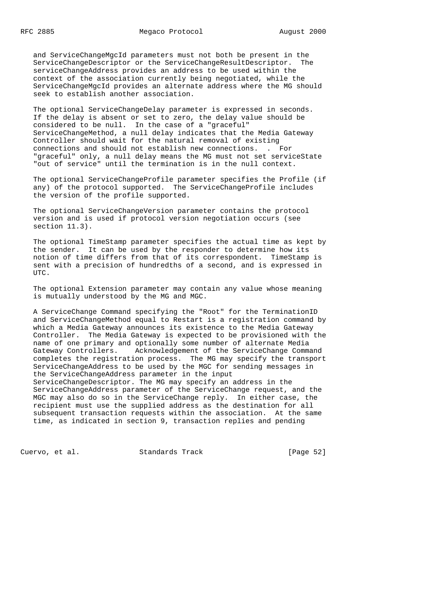and ServiceChangeMgcId parameters must not both be present in the ServiceChangeDescriptor or the ServiceChangeResultDescriptor. The serviceChangeAddress provides an address to be used within the context of the association currently being negotiated, while the ServiceChangeMgcId provides an alternate address where the MG should seek to establish another association.

 The optional ServiceChangeDelay parameter is expressed in seconds. If the delay is absent or set to zero, the delay value should be considered to be null. In the case of a "graceful" ServiceChangeMethod, a null delay indicates that the Media Gateway Controller should wait for the natural removal of existing connections and should not establish new connections. . For "graceful" only, a null delay means the MG must not set serviceState "out of service" until the termination is in the null context.

 The optional ServiceChangeProfile parameter specifies the Profile (if any) of the protocol supported. The ServiceChangeProfile includes the version of the profile supported.

 The optional ServiceChangeVersion parameter contains the protocol version and is used if protocol version negotiation occurs (see section 11.3).

 The optional TimeStamp parameter specifies the actual time as kept by the sender. It can be used by the responder to determine how its notion of time differs from that of its correspondent. TimeStamp is sent with a precision of hundredths of a second, and is expressed in UTC.

 The optional Extension parameter may contain any value whose meaning is mutually understood by the MG and MGC.

 A ServiceChange Command specifying the "Root" for the TerminationID and ServiceChangeMethod equal to Restart is a registration command by which a Media Gateway announces its existence to the Media Gateway Controller. The Media Gateway is expected to be provisioned with the name of one primary and optionally some number of alternate Media Gateway Controllers. Acknowledgement of the ServiceChange Command completes the registration process. The MG may specify the transport ServiceChangeAddress to be used by the MGC for sending messages in the ServiceChangeAddress parameter in the input ServiceChangeDescriptor. The MG may specify an address in the ServiceChangeAddress parameter of the ServiceChange request, and the MGC may also do so in the ServiceChange reply. In either case, the recipient must use the supplied address as the destination for all subsequent transaction requests within the association. At the same time, as indicated in section 9, transaction replies and pending

Cuervo, et al. Standards Track [Page 52]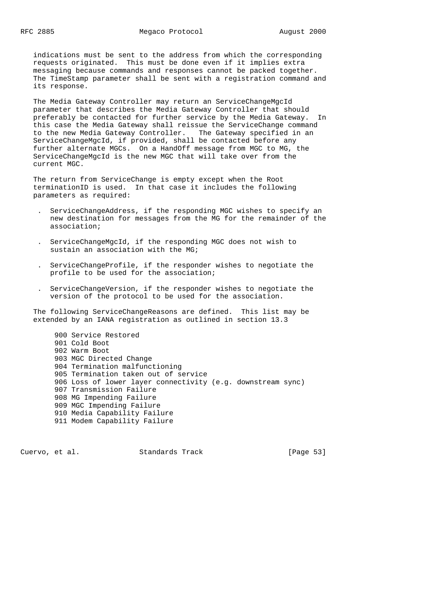indications must be sent to the address from which the corresponding requests originated. This must be done even if it implies extra messaging because commands and responses cannot be packed together. The TimeStamp parameter shall be sent with a registration command and its response.

 The Media Gateway Controller may return an ServiceChangeMgcId parameter that describes the Media Gateway Controller that should preferably be contacted for further service by the Media Gateway. In this case the Media Gateway shall reissue the ServiceChange command to the new Media Gateway Controller. The Gateway specified in an ServiceChangeMgcId, if provided, shall be contacted before any further alternate MGCs. On a HandOff message from MGC to MG, the ServiceChangeMgcId is the new MGC that will take over from the current MGC.

 The return from ServiceChange is empty except when the Root terminationID is used. In that case it includes the following parameters as required:

- . ServiceChangeAddress, if the responding MGC wishes to specify an new destination for messages from the MG for the remainder of the association;
- . ServiceChangeMgcId, if the responding MGC does not wish to sustain an association with the MG;
- . ServiceChangeProfile, if the responder wishes to negotiate the profile to be used for the association;
- . ServiceChangeVersion, if the responder wishes to negotiate the version of the protocol to be used for the association.

 The following ServiceChangeReasons are defined. This list may be extended by an IANA registration as outlined in section 13.3

 900 Service Restored 901 Cold Boot 902 Warm Boot 903 MGC Directed Change 904 Termination malfunctioning 905 Termination taken out of service 906 Loss of lower layer connectivity (e.g. downstream sync) 907 Transmission Failure 908 MG Impending Failure 909 MGC Impending Failure 910 Media Capability Failure 911 Modem Capability Failure

Cuervo, et al. Standards Track [Page 53]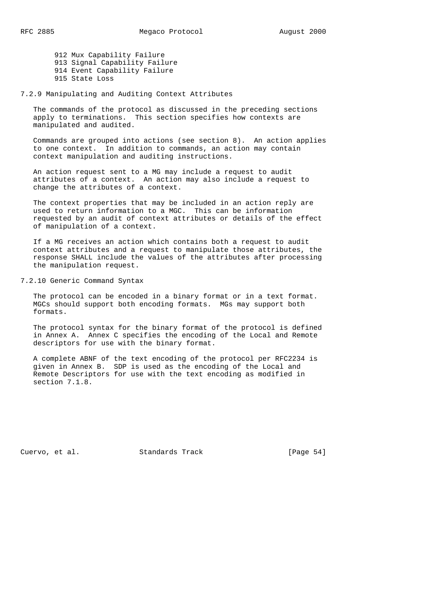912 Mux Capability Failure 913 Signal Capability Failure 914 Event Capability Failure 915 State Loss

7.2.9 Manipulating and Auditing Context Attributes

 The commands of the protocol as discussed in the preceding sections apply to terminations. This section specifies how contexts are manipulated and audited.

 Commands are grouped into actions (see section 8). An action applies to one context. In addition to commands, an action may contain context manipulation and auditing instructions.

 An action request sent to a MG may include a request to audit attributes of a context. An action may also include a request to change the attributes of a context.

 The context properties that may be included in an action reply are used to return information to a MGC. This can be information requested by an audit of context attributes or details of the effect of manipulation of a context.

 If a MG receives an action which contains both a request to audit context attributes and a request to manipulate those attributes, the response SHALL include the values of the attributes after processing the manipulation request.

7.2.10 Generic Command Syntax

 The protocol can be encoded in a binary format or in a text format. MGCs should support both encoding formats. MGs may support both formats.

 The protocol syntax for the binary format of the protocol is defined in Annex A. Annex C specifies the encoding of the Local and Remote descriptors for use with the binary format.

 A complete ABNF of the text encoding of the protocol per RFC2234 is given in Annex B. SDP is used as the encoding of the Local and Remote Descriptors for use with the text encoding as modified in section 7.1.8.

Cuervo, et al. Standards Track [Page 54]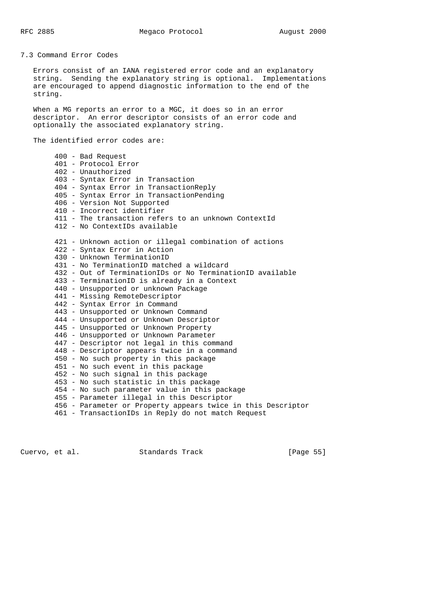RFC 2885 Megaco Protocol August 2000

7.3 Command Error Codes

 Errors consist of an IANA registered error code and an explanatory string. Sending the explanatory string is optional. Implementations are encouraged to append diagnostic information to the end of the string.

 When a MG reports an error to a MGC, it does so in an error descriptor. An error descriptor consists of an error code and optionally the associated explanatory string.

The identified error codes are:

 400 - Bad Request 401 - Protocol Error 402 - Unauthorized 403 - Syntax Error in Transaction 404 - Syntax Error in TransactionReply 405 - Syntax Error in TransactionPending 406 - Version Not Supported 410 - Incorrect identifier 411 - The transaction refers to an unknown ContextId 412 - No ContextIDs available 421 - Unknown action or illegal combination of actions 422 - Syntax Error in Action 430 - Unknown TerminationID 431 - No TerminationID matched a wildcard 432 - Out of TerminationIDs or No TerminationID available 433 - TerminationID is already in a Context 440 - Unsupported or unknown Package 441 - Missing RemoteDescriptor 442 - Syntax Error in Command 443 - Unsupported or Unknown Command 444 - Unsupported or Unknown Descriptor 445 - Unsupported or Unknown Property 446 - Unsupported or Unknown Parameter 447 - Descriptor not legal in this command 448 - Descriptor appears twice in a command 450 - No such property in this package 451 - No such event in this package 452 - No such signal in this package 453 - No such statistic in this package 454 - No such parameter value in this package 455 - Parameter illegal in this Descriptor 456 - Parameter or Property appears twice in this Descriptor 461 - TransactionIDs in Reply do not match Request

Cuervo, et al. Standards Track [Page 55]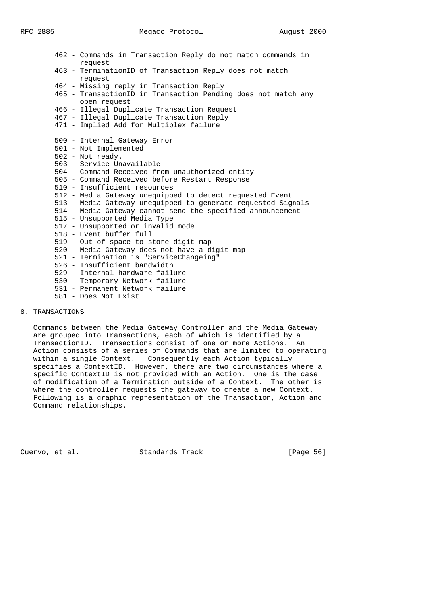| 462 - Commands in Transaction Reply do not match commands in  |
|---------------------------------------------------------------|
| request                                                       |
| 463 - TerminationID of Transaction Reply does not match       |
| request                                                       |
| 464 - Missing reply in Transaction Reply                      |
| 465 - TransactionID in Transaction Pending does not match any |
| open request                                                  |
| 466 - Illegal Duplicate Transaction Request                   |
| 467 - Illegal Duplicate Transaction Reply                     |
| 471 - Implied Add for Multiplex failure                       |
|                                                               |
| 500 - Internal Gateway Error                                  |
| 501 - Not Implemented                                         |
| 502 - Not ready.                                              |
| 503 - Service Unavailable                                     |
| 504 - Command Received from unauthorized entity               |
| 505 - Command Received before Restart Response                |
| 510 - Insufficient resources                                  |
| 512 - Media Gateway unequipped to detect requested Event      |
| 513 - Media Gateway unequipped to generate requested Signals  |
| 514 - Media Gateway cannot send the specified announcement    |
| 515 - Unsupported Media Type                                  |
| 517 - Unsupported or invalid mode                             |
| 518 - Event buffer full                                       |
| 519 - Out of space to store digit map                         |
| 520 - Media Gateway does not have a digit map                 |
| 521 - Termination is "ServiceChangeing"                       |
| 526 - Insufficient bandwidth                                  |
| 529 - Internal hardware failure                               |
| 530 - Temporary Network failure                               |
| 531 - Permanent Network failure                               |

581 - Does Not Exist

# 8. TRANSACTIONS

 Commands between the Media Gateway Controller and the Media Gateway are grouped into Transactions, each of which is identified by a TransactionID. Transactions consist of one or more Actions. An Action consists of a series of Commands that are limited to operating within a single Context. Consequently each Action typically specifies a ContextID. However, there are two circumstances where a specific ContextID is not provided with an Action. One is the case of modification of a Termination outside of a Context. The other is where the controller requests the gateway to create a new Context. Following is a graphic representation of the Transaction, Action and Command relationships.

Cuervo, et al. Standards Track [Page 56]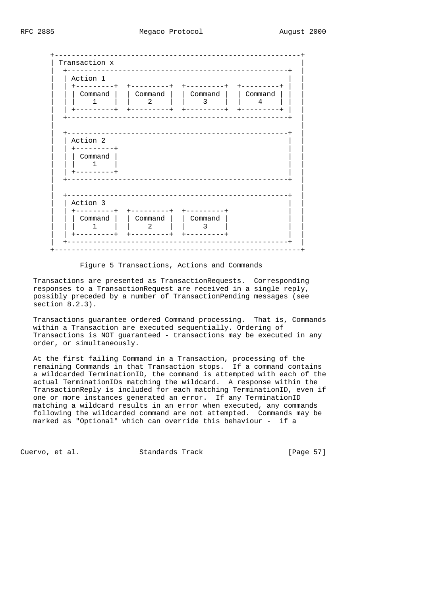| Action 1<br>---------+      |                   | $+ - - - - - - - - +$ +---------+                | $+ - - - - - - - - +$ |
|-----------------------------|-------------------|--------------------------------------------------|-----------------------|
| 1                           | 2                 | Command   Command   Command   Command<br>3       | 4                     |
| $+ - - - - - - - - +$       |                   |                                                  |                       |
|                             |                   |                                                  |                       |
| Action 2                    |                   |                                                  |                       |
| +---------+<br>Command      |                   |                                                  |                       |
| $\mathbf{1}$<br>+---------+ |                   |                                                  |                       |
|                             |                   | _____________________________                    |                       |
| Action 3                    |                   | _________________________                        |                       |
|                             | Command   Command | +---------+ +---------+ +---------+<br>  Command |                       |
| $\mathbf{1}$                | 2                 | 3                                                |                       |

Figure 5 Transactions, Actions and Commands

 Transactions are presented as TransactionRequests. Corresponding responses to a TransactionRequest are received in a single reply, possibly preceded by a number of TransactionPending messages (see section 8.2.3).

 Transactions guarantee ordered Command processing. That is, Commands within a Transaction are executed sequentially. Ordering of Transactions is NOT guaranteed - transactions may be executed in any order, or simultaneously.

 At the first failing Command in a Transaction, processing of the remaining Commands in that Transaction stops. If a command contains a wildcarded TerminationID, the command is attempted with each of the actual TerminationIDs matching the wildcard. A response within the TransactionReply is included for each matching TerminationID, even if one or more instances generated an error. If any TerminationID matching a wildcard results in an error when executed, any commands following the wildcarded command are not attempted. Commands may be marked as "Optional" which can override this behaviour - if a

Cuervo, et al. Standards Track [Page 57]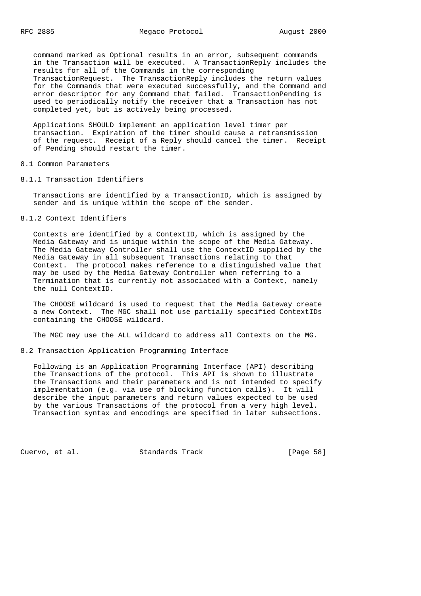command marked as Optional results in an error, subsequent commands in the Transaction will be executed. A TransactionReply includes the results for all of the Commands in the corresponding TransactionRequest. The TransactionReply includes the return values for the Commands that were executed successfully, and the Command and error descriptor for any Command that failed. TransactionPending is used to periodically notify the receiver that a Transaction has not completed yet, but is actively being processed.

 Applications SHOULD implement an application level timer per transaction. Expiration of the timer should cause a retransmission of the request. Receipt of a Reply should cancel the timer. Receipt of Pending should restart the timer.

8.1 Common Parameters

8.1.1 Transaction Identifiers

 Transactions are identified by a TransactionID, which is assigned by sender and is unique within the scope of the sender.

8.1.2 Context Identifiers

 Contexts are identified by a ContextID, which is assigned by the Media Gateway and is unique within the scope of the Media Gateway. The Media Gateway Controller shall use the ContextID supplied by the Media Gateway in all subsequent Transactions relating to that Context. The protocol makes reference to a distinguished value that may be used by the Media Gateway Controller when referring to a Termination that is currently not associated with a Context, namely the null ContextID.

 The CHOOSE wildcard is used to request that the Media Gateway create a new Context. The MGC shall not use partially specified ContextIDs containing the CHOOSE wildcard.

The MGC may use the ALL wildcard to address all Contexts on the MG.

8.2 Transaction Application Programming Interface

 Following is an Application Programming Interface (API) describing the Transactions of the protocol. This API is shown to illustrate the Transactions and their parameters and is not intended to specify implementation (e.g. via use of blocking function calls). It will describe the input parameters and return values expected to be used by the various Transactions of the protocol from a very high level. Transaction syntax and encodings are specified in later subsections.

Cuervo, et al. Standards Track [Page 58]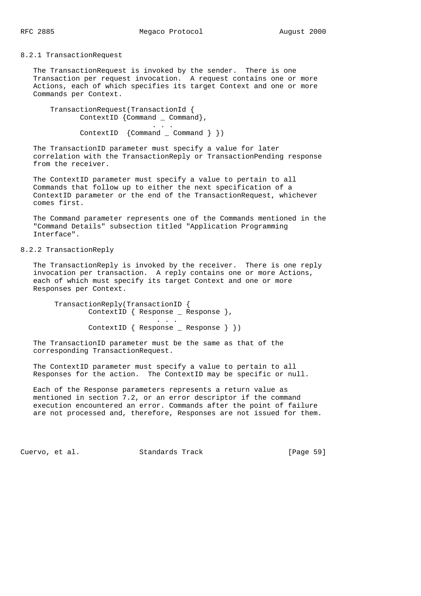#### 8.2.1 TransactionRequest

 The TransactionRequest is invoked by the sender. There is one Transaction per request invocation. A request contains one or more Actions, each of which specifies its target Context and one or more Commands per Context.

 TransactionRequest(TransactionId { ContextID {Command \_ Command}, . . . ContextID {Command \_ Command } })

 The TransactionID parameter must specify a value for later correlation with the TransactionReply or TransactionPending response from the receiver.

 The ContextID parameter must specify a value to pertain to all Commands that follow up to either the next specification of a ContextID parameter or the end of the TransactionRequest, whichever comes first.

 The Command parameter represents one of the Commands mentioned in the "Command Details" subsection titled "Application Programming Interface".

# 8.2.2 TransactionReply

 The TransactionReply is invoked by the receiver. There is one reply invocation per transaction. A reply contains one or more Actions, each of which must specify its target Context and one or more Responses per Context.

 TransactionReply(TransactionID { ContextID { Response \_ Response }, . . . ContextID { Response \_ Response } })

 The TransactionID parameter must be the same as that of the corresponding TransactionRequest.

 The ContextID parameter must specify a value to pertain to all Responses for the action. The ContextID may be specific or null.

 Each of the Response parameters represents a return value as mentioned in section 7.2, or an error descriptor if the command execution encountered an error. Commands after the point of failure are not processed and, therefore, Responses are not issued for them.

Cuervo, et al. Standards Track [Page 59]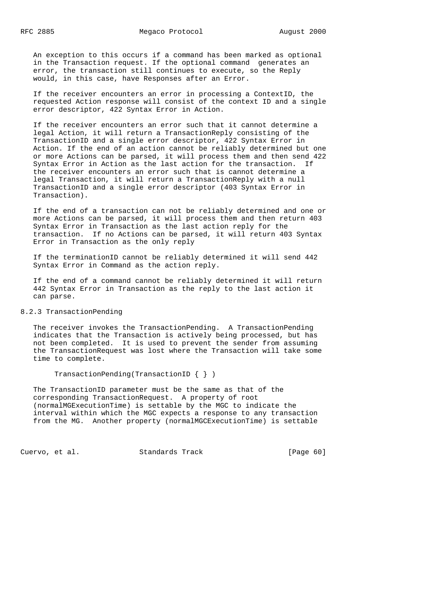An exception to this occurs if a command has been marked as optional in the Transaction request. If the optional command generates an error, the transaction still continues to execute, so the Reply would, in this case, have Responses after an Error.

 If the receiver encounters an error in processing a ContextID, the requested Action response will consist of the context ID and a single error descriptor, 422 Syntax Error in Action.

 If the receiver encounters an error such that it cannot determine a legal Action, it will return a TransactionReply consisting of the TransactionID and a single error descriptor, 422 Syntax Error in Action. If the end of an action cannot be reliably determined but one or more Actions can be parsed, it will process them and then send 422 Syntax Error in Action as the last action for the transaction. If the receiver encounters an error such that is cannot determine a legal Transaction, it will return a TransactionReply with a null TransactionID and a single error descriptor (403 Syntax Error in Transaction).

 If the end of a transaction can not be reliably determined and one or more Actions can be parsed, it will process them and then return 403 Syntax Error in Transaction as the last action reply for the transaction. If no Actions can be parsed, it will return 403 Syntax Error in Transaction as the only reply

 If the terminationID cannot be reliably determined it will send 442 Syntax Error in Command as the action reply.

 If the end of a command cannot be reliably determined it will return 442 Syntax Error in Transaction as the reply to the last action it can parse.

## 8.2.3 TransactionPending

 The receiver invokes the TransactionPending. A TransactionPending indicates that the Transaction is actively being processed, but has not been completed. It is used to prevent the sender from assuming the TransactionRequest was lost where the Transaction will take some time to complete.

TransactionPending(TransactionID { } )

 The TransactionID parameter must be the same as that of the corresponding TransactionRequest. A property of root (normalMGExecutionTime) is settable by the MGC to indicate the interval within which the MGC expects a response to any transaction from the MG. Another property (normalMGCExecutionTime) is settable

Cuervo, et al. Standards Track [Page 60]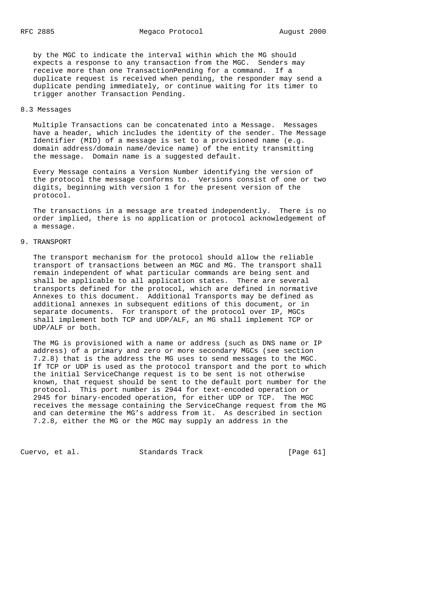by the MGC to indicate the interval within which the MG should expects a response to any transaction from the MGC. Senders may receive more than one TransactionPending for a command. If a duplicate request is received when pending, the responder may send a duplicate pending immediately, or continue waiting for its timer to trigger another Transaction Pending.

## 8.3 Messages

 Multiple Transactions can be concatenated into a Message. Messages have a header, which includes the identity of the sender. The Message Identifier (MID) of a message is set to a provisioned name (e.g. domain address/domain name/device name) of the entity transmitting the message. Domain name is a suggested default.

 Every Message contains a Version Number identifying the version of the protocol the message conforms to. Versions consist of one or two digits, beginning with version 1 for the present version of the protocol.

 The transactions in a message are treated independently. There is no order implied, there is no application or protocol acknowledgement of a message.

#### 9. TRANSPORT

 The transport mechanism for the protocol should allow the reliable transport of transactions between an MGC and MG. The transport shall remain independent of what particular commands are being sent and shall be applicable to all application states. There are several transports defined for the protocol, which are defined in normative Annexes to this document. Additional Transports may be defined as additional annexes in subsequent editions of this document, or in separate documents. For transport of the protocol over IP, MGCs shall implement both TCP and UDP/ALF, an MG shall implement TCP or UDP/ALF or both.

 The MG is provisioned with a name or address (such as DNS name or IP address) of a primary and zero or more secondary MGCs (see section 7.2.8) that is the address the MG uses to send messages to the MGC. If TCP or UDP is used as the protocol transport and the port to which the initial ServiceChange request is to be sent is not otherwise known, that request should be sent to the default port number for the protocol. This port number is 2944 for text-encoded operation or 2945 for binary-encoded operation, for either UDP or TCP. The MGC receives the message containing the ServiceChange request from the MG and can determine the MG's address from it. As described in section 7.2.8, either the MG or the MGC may supply an address in the

Cuervo, et al. Standards Track [Page 61]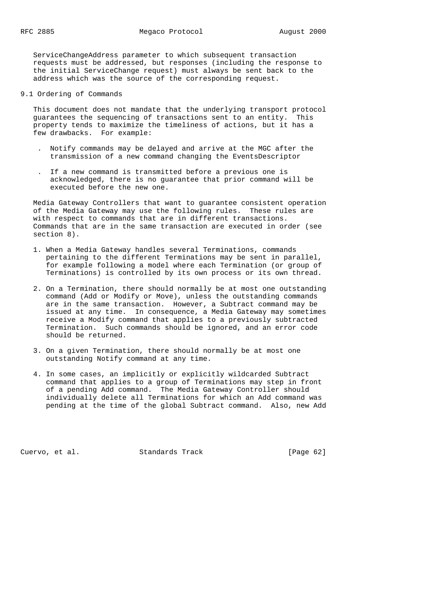ServiceChangeAddress parameter to which subsequent transaction requests must be addressed, but responses (including the response to the initial ServiceChange request) must always be sent back to the address which was the source of the corresponding request.

9.1 Ordering of Commands

 This document does not mandate that the underlying transport protocol guarantees the sequencing of transactions sent to an entity. This property tends to maximize the timeliness of actions, but it has a few drawbacks. For example:

- . Notify commands may be delayed and arrive at the MGC after the transmission of a new command changing the EventsDescriptor
- . If a new command is transmitted before a previous one is acknowledged, there is no guarantee that prior command will be executed before the new one.

 Media Gateway Controllers that want to guarantee consistent operation of the Media Gateway may use the following rules. These rules are with respect to commands that are in different transactions. Commands that are in the same transaction are executed in order (see section 8).

- 1. When a Media Gateway handles several Terminations, commands pertaining to the different Terminations may be sent in parallel, for example following a model where each Termination (or group of Terminations) is controlled by its own process or its own thread.
- 2. On a Termination, there should normally be at most one outstanding command (Add or Modify or Move), unless the outstanding commands are in the same transaction. However, a Subtract command may be issued at any time. In consequence, a Media Gateway may sometimes receive a Modify command that applies to a previously subtracted Termination. Such commands should be ignored, and an error code should be returned.
- 3. On a given Termination, there should normally be at most one outstanding Notify command at any time.
- 4. In some cases, an implicitly or explicitly wildcarded Subtract command that applies to a group of Terminations may step in front of a pending Add command. The Media Gateway Controller should individually delete all Terminations for which an Add command was pending at the time of the global Subtract command. Also, new Add

Cuervo, et al. Standards Track [Page 62]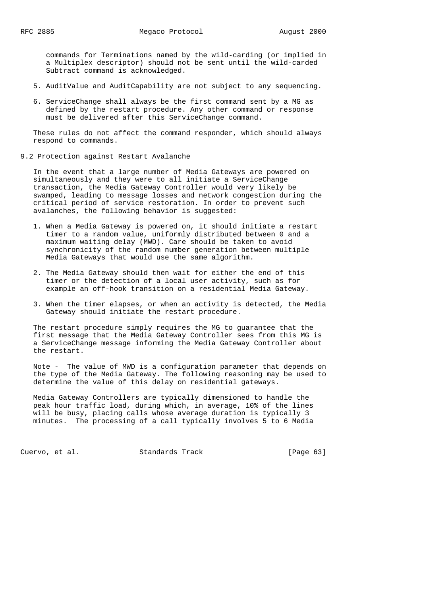commands for Terminations named by the wild-carding (or implied in a Multiplex descriptor) should not be sent until the wild-carded Subtract command is acknowledged.

- 5. AuditValue and AuditCapability are not subject to any sequencing.
- 6. ServiceChange shall always be the first command sent by a MG as defined by the restart procedure. Any other command or response must be delivered after this ServiceChange command.

 These rules do not affect the command responder, which should always respond to commands.

9.2 Protection against Restart Avalanche

 In the event that a large number of Media Gateways are powered on simultaneously and they were to all initiate a ServiceChange transaction, the Media Gateway Controller would very likely be swamped, leading to message losses and network congestion during the critical period of service restoration. In order to prevent such avalanches, the following behavior is suggested:

- 1. When a Media Gateway is powered on, it should initiate a restart timer to a random value, uniformly distributed between 0 and a maximum waiting delay (MWD). Care should be taken to avoid synchronicity of the random number generation between multiple Media Gateways that would use the same algorithm.
- 2. The Media Gateway should then wait for either the end of this timer or the detection of a local user activity, such as for example an off-hook transition on a residential Media Gateway.
- 3. When the timer elapses, or when an activity is detected, the Media Gateway should initiate the restart procedure.

 The restart procedure simply requires the MG to guarantee that the first message that the Media Gateway Controller sees from this MG is a ServiceChange message informing the Media Gateway Controller about the restart.

 Note - The value of MWD is a configuration parameter that depends on the type of the Media Gateway. The following reasoning may be used to determine the value of this delay on residential gateways.

 Media Gateway Controllers are typically dimensioned to handle the peak hour traffic load, during which, in average, 10% of the lines will be busy, placing calls whose average duration is typically 3 minutes. The processing of a call typically involves 5 to 6 Media

Cuervo, et al. Standards Track [Page 63]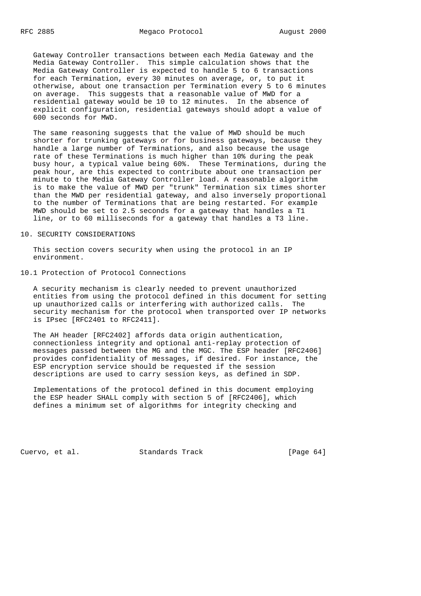Gateway Controller transactions between each Media Gateway and the Media Gateway Controller. This simple calculation shows that the Media Gateway Controller is expected to handle 5 to 6 transactions for each Termination, every 30 minutes on average, or, to put it otherwise, about one transaction per Termination every 5 to 6 minutes on average. This suggests that a reasonable value of MWD for a residential gateway would be 10 to 12 minutes. In the absence of explicit configuration, residential gateways should adopt a value of 600 seconds for MWD.

 The same reasoning suggests that the value of MWD should be much shorter for trunking gateways or for business gateways, because they handle a large number of Terminations, and also because the usage rate of these Terminations is much higher than 10% during the peak busy hour, a typical value being 60%. These Terminations, during the peak hour, are this expected to contribute about one transaction per minute to the Media Gateway Controller load. A reasonable algorithm is to make the value of MWD per "trunk" Termination six times shorter than the MWD per residential gateway, and also inversely proportional to the number of Terminations that are being restarted. For example MWD should be set to 2.5 seconds for a gateway that handles a T1 line, or to 60 milliseconds for a gateway that handles a T3 line.

#### 10. SECURITY CONSIDERATIONS

 This section covers security when using the protocol in an IP environment.

## 10.1 Protection of Protocol Connections

 A security mechanism is clearly needed to prevent unauthorized entities from using the protocol defined in this document for setting up unauthorized calls or interfering with authorized calls. The security mechanism for the protocol when transported over IP networks is IPsec [RFC2401 to RFC2411].

 The AH header [RFC2402] affords data origin authentication, connectionless integrity and optional anti-replay protection of messages passed between the MG and the MGC. The ESP header [RFC2406] provides confidentiality of messages, if desired. For instance, the ESP encryption service should be requested if the session descriptions are used to carry session keys, as defined in SDP.

 Implementations of the protocol defined in this document employing the ESP header SHALL comply with section 5 of [RFC2406], which defines a minimum set of algorithms for integrity checking and

Cuervo, et al. Standards Track [Page 64]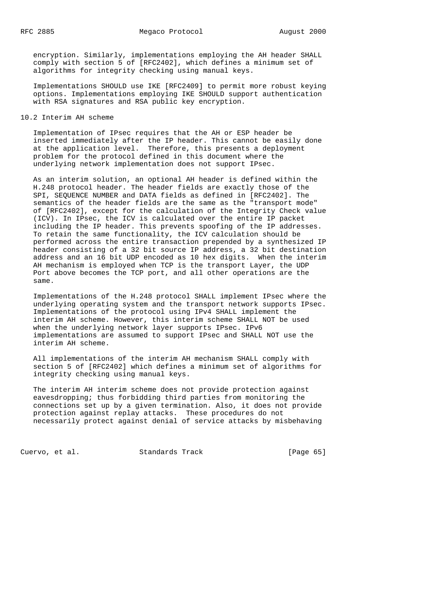encryption. Similarly, implementations employing the AH header SHALL comply with section 5 of [RFC2402], which defines a minimum set of algorithms for integrity checking using manual keys.

 Implementations SHOULD use IKE [RFC2409] to permit more robust keying options. Implementations employing IKE SHOULD support authentication with RSA signatures and RSA public key encryption.

#### 10.2 Interim AH scheme

 Implementation of IPsec requires that the AH or ESP header be inserted immediately after the IP header. This cannot be easily done at the application level. Therefore, this presents a deployment problem for the protocol defined in this document where the underlying network implementation does not support IPsec.

 As an interim solution, an optional AH header is defined within the H.248 protocol header. The header fields are exactly those of the SPI, SEQUENCE NUMBER and DATA fields as defined in [RFC2402]. The semantics of the header fields are the same as the "transport mode" of [RFC2402], except for the calculation of the Integrity Check value (ICV). In IPsec, the ICV is calculated over the entire IP packet including the IP header. This prevents spoofing of the IP addresses. To retain the same functionality, the ICV calculation should be performed across the entire transaction prepended by a synthesized IP header consisting of a 32 bit source IP address, a 32 bit destination address and an 16 bit UDP encoded as 10 hex digits. When the interim AH mechanism is employed when TCP is the transport Layer, the UDP Port above becomes the TCP port, and all other operations are the same.

 Implementations of the H.248 protocol SHALL implement IPsec where the underlying operating system and the transport network supports IPsec. Implementations of the protocol using IPv4 SHALL implement the interim AH scheme. However, this interim scheme SHALL NOT be used when the underlying network layer supports IPsec. IPv6 implementations are assumed to support IPsec and SHALL NOT use the interim AH scheme.

 All implementations of the interim AH mechanism SHALL comply with section 5 of [RFC2402] which defines a minimum set of algorithms for integrity checking using manual keys.

 The interim AH interim scheme does not provide protection against eavesdropping; thus forbidding third parties from monitoring the connections set up by a given termination. Also, it does not provide protection against replay attacks. These procedures do not necessarily protect against denial of service attacks by misbehaving

Cuervo, et al. Standards Track [Page 65]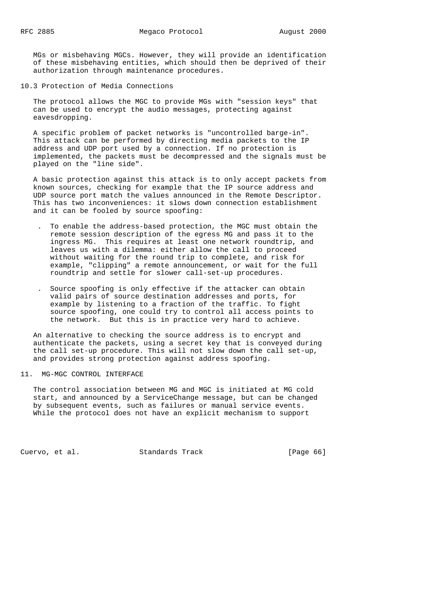MGs or misbehaving MGCs. However, they will provide an identification of these misbehaving entities, which should then be deprived of their authorization through maintenance procedures.

10.3 Protection of Media Connections

 The protocol allows the MGC to provide MGs with "session keys" that can be used to encrypt the audio messages, protecting against eavesdropping.

 A specific problem of packet networks is "uncontrolled barge-in". This attack can be performed by directing media packets to the IP address and UDP port used by a connection. If no protection is implemented, the packets must be decompressed and the signals must be played on the "line side".

 A basic protection against this attack is to only accept packets from known sources, checking for example that the IP source address and UDP source port match the values announced in the Remote Descriptor. This has two inconveniences: it slows down connection establishment and it can be fooled by source spoofing:

- . To enable the address-based protection, the MGC must obtain the remote session description of the egress MG and pass it to the ingress MG. This requires at least one network roundtrip, and leaves us with a dilemma: either allow the call to proceed without waiting for the round trip to complete, and risk for example, "clipping" a remote announcement, or wait for the full roundtrip and settle for slower call-set-up procedures.
- . Source spoofing is only effective if the attacker can obtain valid pairs of source destination addresses and ports, for example by listening to a fraction of the traffic. To fight source spoofing, one could try to control all access points to the network. But this is in practice very hard to achieve.

 An alternative to checking the source address is to encrypt and authenticate the packets, using a secret key that is conveyed during the call set-up procedure. This will not slow down the call set-up, and provides strong protection against address spoofing.

## 11. MG-MGC CONTROL INTERFACE

 The control association between MG and MGC is initiated at MG cold start, and announced by a ServiceChange message, but can be changed by subsequent events, such as failures or manual service events. While the protocol does not have an explicit mechanism to support

Cuervo, et al. Standards Track [Page 66]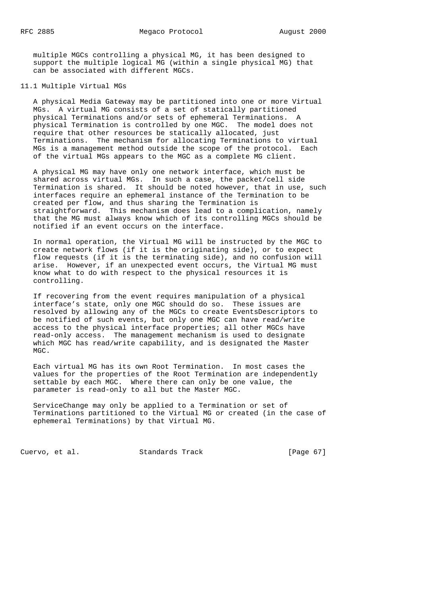multiple MGCs controlling a physical MG, it has been designed to support the multiple logical MG (within a single physical MG) that can be associated with different MGCs.

### 11.1 Multiple Virtual MGs

 A physical Media Gateway may be partitioned into one or more Virtual MGs. A virtual MG consists of a set of statically partitioned physical Terminations and/or sets of ephemeral Terminations. A physical Termination is controlled by one MGC. The model does not require that other resources be statically allocated, just Terminations. The mechanism for allocating Terminations to virtual MGs is a management method outside the scope of the protocol. Each of the virtual MGs appears to the MGC as a complete MG client.

 A physical MG may have only one network interface, which must be shared across virtual MGs. In such a case, the packet/cell side Termination is shared. It should be noted however, that in use, such interfaces require an ephemeral instance of the Termination to be created per flow, and thus sharing the Termination is straightforward. This mechanism does lead to a complication, namely that the MG must always know which of its controlling MGCs should be notified if an event occurs on the interface.

 In normal operation, the Virtual MG will be instructed by the MGC to create network flows (if it is the originating side), or to expect flow requests (if it is the terminating side), and no confusion will arise. However, if an unexpected event occurs, the Virtual MG must know what to do with respect to the physical resources it is controlling.

 If recovering from the event requires manipulation of a physical interface's state, only one MGC should do so. These issues are resolved by allowing any of the MGCs to create EventsDescriptors to be notified of such events, but only one MGC can have read/write access to the physical interface properties; all other MGCs have read-only access. The management mechanism is used to designate which MGC has read/write capability, and is designated the Master MGC.

 Each virtual MG has its own Root Termination. In most cases the values for the properties of the Root Termination are independently settable by each MGC. Where there can only be one value, the parameter is read-only to all but the Master MGC.

 ServiceChange may only be applied to a Termination or set of Terminations partitioned to the Virtual MG or created (in the case of ephemeral Terminations) by that Virtual MG.

Cuervo, et al. Standards Track [Page 67]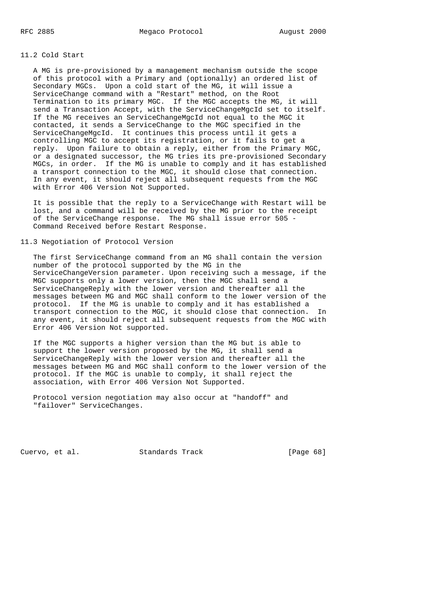## 11.2 Cold Start

 A MG is pre-provisioned by a management mechanism outside the scope of this protocol with a Primary and (optionally) an ordered list of Secondary MGCs. Upon a cold start of the MG, it will issue a ServiceChange command with a "Restart" method, on the Root Termination to its primary MGC. If the MGC accepts the MG, it will send a Transaction Accept, with the ServiceChangeMgcId set to itself. If the MG receives an ServiceChangeMgcId not equal to the MGC it contacted, it sends a ServiceChange to the MGC specified in the ServiceChangeMgcId. It continues this process until it gets a controlling MGC to accept its registration, or it fails to get a reply. Upon failure to obtain a reply, either from the Primary MGC, or a designated successor, the MG tries its pre-provisioned Secondary MGCs, in order. If the MG is unable to comply and it has established a transport connection to the MGC, it should close that connection. In any event, it should reject all subsequent requests from the MGC with Error 406 Version Not Supported.

 It is possible that the reply to a ServiceChange with Restart will be lost, and a command will be received by the MG prior to the receipt of the ServiceChange response. The MG shall issue error 505 - Command Received before Restart Response.

#### 11.3 Negotiation of Protocol Version

 The first ServiceChange command from an MG shall contain the version number of the protocol supported by the MG in the ServiceChangeVersion parameter. Upon receiving such a message, if the MGC supports only a lower version, then the MGC shall send a ServiceChangeReply with the lower version and thereafter all the messages between MG and MGC shall conform to the lower version of the protocol. If the MG is unable to comply and it has established a transport connection to the MGC, it should close that connection. In any event, it should reject all subsequent requests from the MGC with Error 406 Version Not supported.

 If the MGC supports a higher version than the MG but is able to support the lower version proposed by the MG, it shall send a ServiceChangeReply with the lower version and thereafter all the messages between MG and MGC shall conform to the lower version of the protocol. If the MGC is unable to comply, it shall reject the association, with Error 406 Version Not Supported.

 Protocol version negotiation may also occur at "handoff" and "failover" ServiceChanges.

Cuervo, et al. Standards Track [Page 68]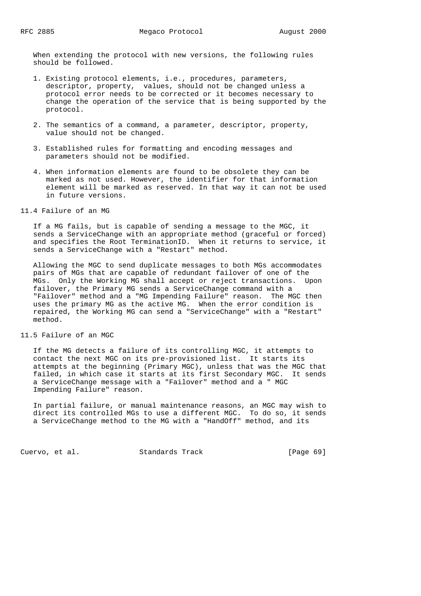When extending the protocol with new versions, the following rules should be followed.

- 1. Existing protocol elements, i.e., procedures, parameters, descriptor, property, values, should not be changed unless a protocol error needs to be corrected or it becomes necessary to change the operation of the service that is being supported by the protocol.
- 2. The semantics of a command, a parameter, descriptor, property, value should not be changed.
- 3. Established rules for formatting and encoding messages and parameters should not be modified.
- 4. When information elements are found to be obsolete they can be marked as not used. However, the identifier for that information element will be marked as reserved. In that way it can not be used in future versions.
- 11.4 Failure of an MG

 If a MG fails, but is capable of sending a message to the MGC, it sends a ServiceChange with an appropriate method (graceful or forced) and specifies the Root TerminationID. When it returns to service, it sends a ServiceChange with a "Restart" method.

 Allowing the MGC to send duplicate messages to both MGs accommodates pairs of MGs that are capable of redundant failover of one of the MGs. Only the Working MG shall accept or reject transactions. Upon failover, the Primary MG sends a ServiceChange command with a "Failover" method and a "MG Impending Failure" reason. The MGC then uses the primary MG as the active MG. When the error condition is repaired, the Working MG can send a "ServiceChange" with a "Restart" method.

11.5 Failure of an MGC

 If the MG detects a failure of its controlling MGC, it attempts to contact the next MGC on its pre-provisioned list. It starts its attempts at the beginning (Primary MGC), unless that was the MGC that failed, in which case it starts at its first Secondary MGC. It sends a ServiceChange message with a "Failover" method and a " MGC Impending Failure" reason.

 In partial failure, or manual maintenance reasons, an MGC may wish to direct its controlled MGs to use a different MGC. To do so, it sends a ServiceChange method to the MG with a "HandOff" method, and its

Cuervo, et al. Standards Track [Page 69]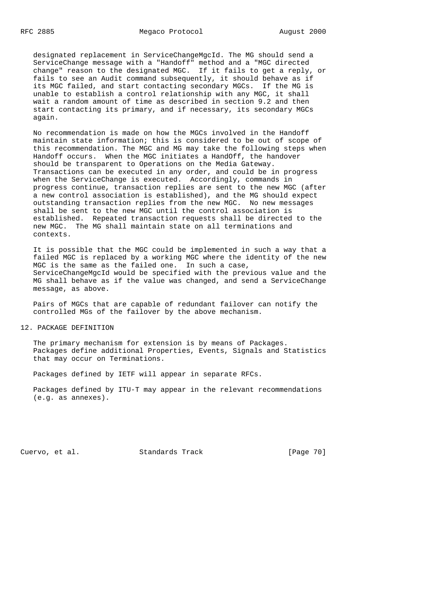designated replacement in ServiceChangeMgcId. The MG should send a ServiceChange message with a "Handoff" method and a "MGC directed change" reason to the designated MGC. If it fails to get a reply, or fails to see an Audit command subsequently, it should behave as if its MGC failed, and start contacting secondary MGCs. If the MG is unable to establish a control relationship with any MGC, it shall wait a random amount of time as described in section 9.2 and then start contacting its primary, and if necessary, its secondary MGCs again.

 No recommendation is made on how the MGCs involved in the Handoff maintain state information; this is considered to be out of scope of this recommendation. The MGC and MG may take the following steps when Handoff occurs. When the MGC initiates a HandOff, the handover should be transparent to Operations on the Media Gateway. Transactions can be executed in any order, and could be in progress when the ServiceChange is executed. Accordingly, commands in progress continue, transaction replies are sent to the new MGC (after a new control association is established), and the MG should expect outstanding transaction replies from the new MGC. No new messages shall be sent to the new MGC until the control association is established. Repeated transaction requests shall be directed to the new MGC. The MG shall maintain state on all terminations and contexts.

 It is possible that the MGC could be implemented in such a way that a failed MGC is replaced by a working MGC where the identity of the new MGC is the same as the failed one. In such a case, ServiceChangeMgcId would be specified with the previous value and the MG shall behave as if the value was changed, and send a ServiceChange message, as above.

 Pairs of MGCs that are capable of redundant failover can notify the controlled MGs of the failover by the above mechanism.

12. PACKAGE DEFINITION

 The primary mechanism for extension is by means of Packages. Packages define additional Properties, Events, Signals and Statistics that may occur on Terminations.

Packages defined by IETF will appear in separate RFCs.

 Packages defined by ITU-T may appear in the relevant recommendations (e.g. as annexes).

Cuervo, et al. Standards Track [Page 70]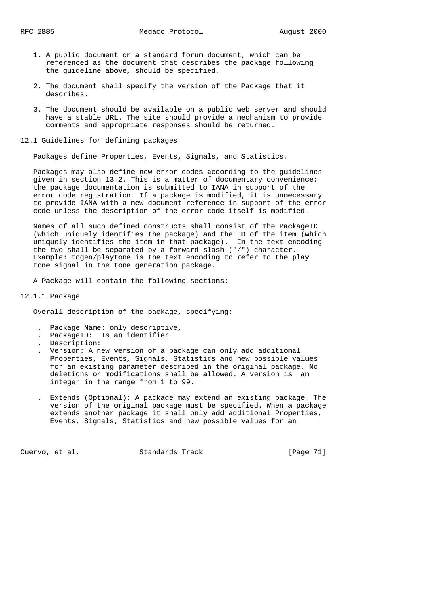- 1. A public document or a standard forum document, which can be referenced as the document that describes the package following the guideline above, should be specified.
- 2. The document shall specify the version of the Package that it describes.
- 3. The document should be available on a public web server and should have a stable URL. The site should provide a mechanism to provide comments and appropriate responses should be returned.

#### 12.1 Guidelines for defining packages

Packages define Properties, Events, Signals, and Statistics.

 Packages may also define new error codes according to the guidelines given in section 13.2. This is a matter of documentary convenience: the package documentation is submitted to IANA in support of the error code registration. If a package is modified, it is unnecessary to provide IANA with a new document reference in support of the error code unless the description of the error code itself is modified.

 Names of all such defined constructs shall consist of the PackageID (which uniquely identifies the package) and the ID of the item (which uniquely identifies the item in that package). In the text encoding the two shall be separated by a forward slash ("/") character. Example: togen/playtone is the text encoding to refer to the play tone signal in the tone generation package.

A Package will contain the following sections:

#### 12.1.1 Package

Overall description of the package, specifying:

- . Package Name: only descriptive,
- . PackageID: Is an identifier
- . Description:
- . Version: A new version of a package can only add additional Properties, Events, Signals, Statistics and new possible values for an existing parameter described in the original package. No deletions or modifications shall be allowed. A version is an integer in the range from 1 to 99.
- . Extends (Optional): A package may extend an existing package. The version of the original package must be specified. When a package extends another package it shall only add additional Properties, Events, Signals, Statistics and new possible values for an

Cuervo, et al. Standards Track [Page 71]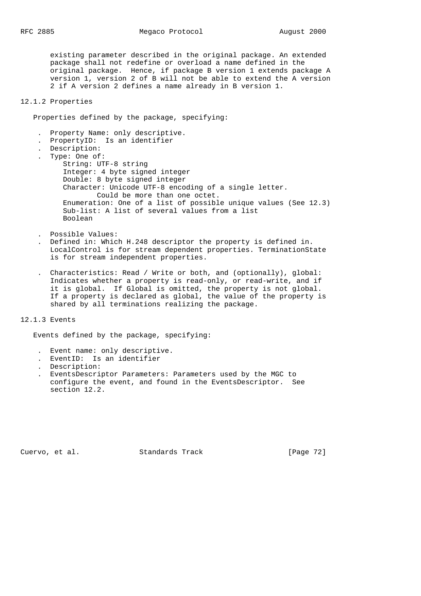existing parameter described in the original package. An extended package shall not redefine or overload a name defined in the original package. Hence, if package B version 1 extends package A version 1, version 2 of B will not be able to extend the A version 2 if A version 2 defines a name already in B version 1.

# 12.1.2 Properties

Properties defined by the package, specifying:

- . Property Name: only descriptive.
- . PropertyID: Is an identifier
- . Description:
- . Type: One of: String: UTF-8 string Integer: 4 byte signed integer Double: 8 byte signed integer Character: Unicode UTF-8 encoding of a single letter. Could be more than one octet. Enumeration: One of a list of possible unique values (See 12.3) Sub-list: A list of several values from a list Boolean
- . Possible Values:
- . Defined in: Which H.248 descriptor the property is defined in. LocalControl is for stream dependent properties. TerminationState is for stream independent properties.
- . Characteristics: Read / Write or both, and (optionally), global: Indicates whether a property is read-only, or read-write, and if it is global. If Global is omitted, the property is not global. If a property is declared as global, the value of the property is shared by all terminations realizing the package.

#### 12.1.3 Events

Events defined by the package, specifying:

- . Event name: only descriptive.
- . EventID: Is an identifier
- . Description:
- . EventsDescriptor Parameters: Parameters used by the MGC to configure the event, and found in the EventsDescriptor. See section 12.2.

Cuervo, et al. Standards Track [Page 72]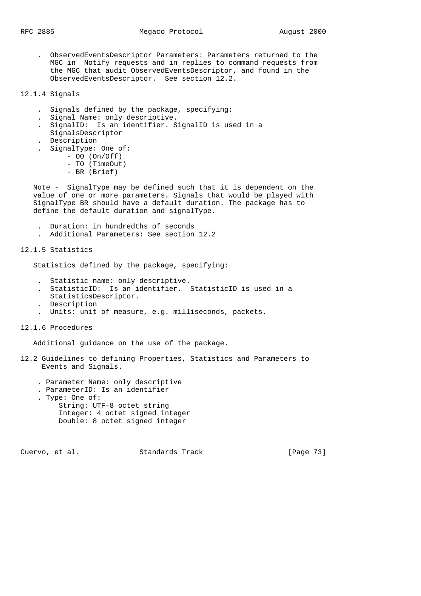. ObservedEventsDescriptor Parameters: Parameters returned to the MGC in Notify requests and in replies to command requests from the MGC that audit ObservedEventsDescriptor, and found in the ObservedEventsDescriptor. See section 12.2.

12.1.4 Signals

- . Signals defined by the package, specifying:
- . Signal Name: only descriptive.
- . SignalID: Is an identifier. SignalID is used in a
- SignalsDescriptor
- . Description
- . SignalType: One of:
	- OO (On/Off)
		- TO (TimeOut)
		- BR (Brief)

 Note - SignalType may be defined such that it is dependent on the value of one or more parameters. Signals that would be played with SignalType BR should have a default duration. The package has to define the default duration and signalType.

- . Duration: in hundredths of seconds
- . Additional Parameters: See section 12.2

12.1.5 Statistics

Statistics defined by the package, specifying:

- . Statistic name: only descriptive.
- . StatisticID: Is an identifier. StatisticID is used in a
- StatisticsDescriptor.
- . Description
- . Units: unit of measure, e.g. milliseconds, packets.
- 12.1.6 Procedures

Additional guidance on the use of the package.

- 12.2 Guidelines to defining Properties, Statistics and Parameters to Events and Signals.
	- . Parameter Name: only descriptive
	- . ParameterID: Is an identifier
	- . Type: One of: String: UTF-8 octet string Integer: 4 octet signed integer Double: 8 octet signed integer

Cuervo, et al. Standards Track [Page 73]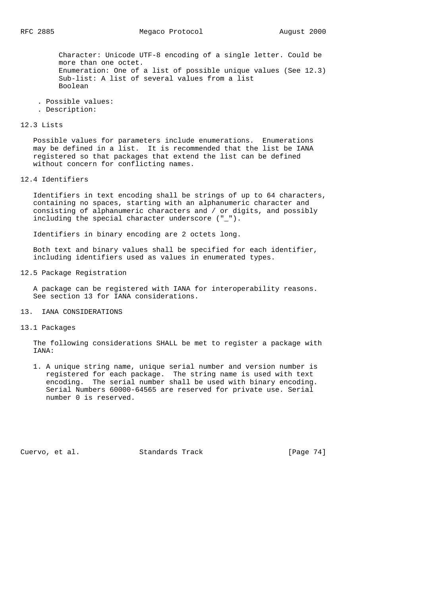Character: Unicode UTF-8 encoding of a single letter. Could be more than one octet. Enumeration: One of a list of possible unique values (See 12.3) Sub-list: A list of several values from a list Boolean

- . Possible values:
- . Description:

## 12.3 Lists

 Possible values for parameters include enumerations. Enumerations may be defined in a list. It is recommended that the list be IANA registered so that packages that extend the list can be defined without concern for conflicting names.

12.4 Identifiers

 Identifiers in text encoding shall be strings of up to 64 characters, containing no spaces, starting with an alphanumeric character and consisting of alphanumeric characters and / or digits, and possibly including the special character underscore ("\_").

Identifiers in binary encoding are 2 octets long.

 Both text and binary values shall be specified for each identifier, including identifiers used as values in enumerated types.

12.5 Package Registration

 A package can be registered with IANA for interoperability reasons. See section 13 for IANA considerations.

13. IANA CONSIDERATIONS

13.1 Packages

 The following considerations SHALL be met to register a package with IANA:

 1. A unique string name, unique serial number and version number is registered for each package. The string name is used with text encoding. The serial number shall be used with binary encoding. Serial Numbers 60000-64565 are reserved for private use. Serial number 0 is reserved.

Cuervo, et al. Standards Track [Page 74]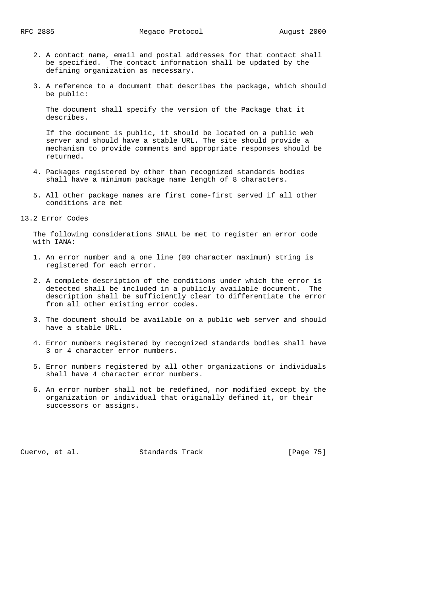- 2. A contact name, email and postal addresses for that contact shall be specified. The contact information shall be updated by the defining organization as necessary.
- 3. A reference to a document that describes the package, which should be public:

 The document shall specify the version of the Package that it describes.

 If the document is public, it should be located on a public web server and should have a stable URL. The site should provide a mechanism to provide comments and appropriate responses should be returned.

- 4. Packages registered by other than recognized standards bodies shall have a minimum package name length of 8 characters.
- 5. All other package names are first come-first served if all other conditions are met
- 13.2 Error Codes

 The following considerations SHALL be met to register an error code with IANA:

- 1. An error number and a one line (80 character maximum) string is registered for each error.
- 2. A complete description of the conditions under which the error is detected shall be included in a publicly available document. The description shall be sufficiently clear to differentiate the error from all other existing error codes.
- 3. The document should be available on a public web server and should have a stable URL.
- 4. Error numbers registered by recognized standards bodies shall have 3 or 4 character error numbers.
- 5. Error numbers registered by all other organizations or individuals shall have 4 character error numbers.
- 6. An error number shall not be redefined, nor modified except by the organization or individual that originally defined it, or their successors or assigns.

Cuervo, et al. Standards Track [Page 75]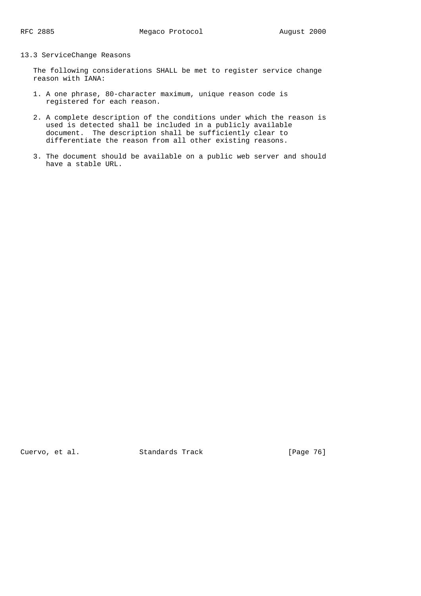## 13.3 ServiceChange Reasons

 The following considerations SHALL be met to register service change reason with IANA:

- 1. A one phrase, 80-character maximum, unique reason code is registered for each reason.
- 2. A complete description of the conditions under which the reason is used is detected shall be included in a publicly available document. The description shall be sufficiently clear to differentiate the reason from all other existing reasons.
- 3. The document should be available on a public web server and should have a stable URL.

Cuervo, et al. Standards Track [Page 76]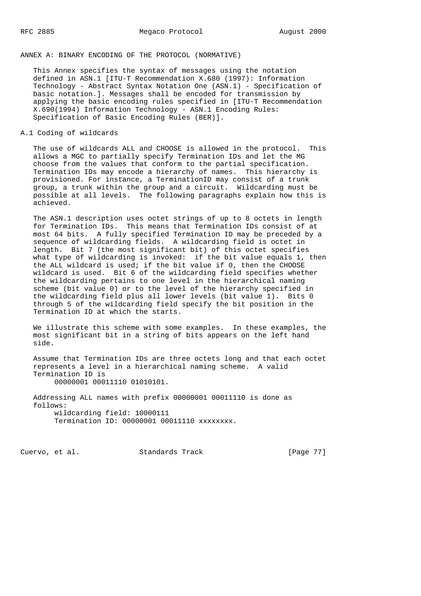## ANNEX A: BINARY ENCODING OF THE PROTOCOL (NORMATIVE)

 This Annex specifies the syntax of messages using the notation defined in ASN.1 [ITU-T Recommendation X.680 (1997): Information Technology - Abstract Syntax Notation One (ASN.1) - Specification of basic notation.]. Messages shall be encoded for transmission by applying the basic encoding rules specified in [ITU-T Recommendation X.690(1994) Information Technology - ASN.1 Encoding Rules: Specification of Basic Encoding Rules (BER)].

## A.1 Coding of wildcards

 The use of wildcards ALL and CHOOSE is allowed in the protocol. This allows a MGC to partially specify Termination IDs and let the MG choose from the values that conform to the partial specification. Termination IDs may encode a hierarchy of names. This hierarchy is provisioned. For instance, a TerminationID may consist of a trunk group, a trunk within the group and a circuit. Wildcarding must be possible at all levels. The following paragraphs explain how this is achieved.

 The ASN.1 description uses octet strings of up to 8 octets in length for Termination IDs. This means that Termination IDs consist of at most 64 bits. A fully specified Termination ID may be preceded by a sequence of wildcarding fields. A wildcarding field is octet in length. Bit 7 (the most significant bit) of this octet specifies what type of wildcarding is invoked: if the bit value equals 1, then the ALL wildcard is used; if the bit value if 0, then the CHOOSE wildcard is used. Bit 6 of the wildcarding field specifies whether the wildcarding pertains to one level in the hierarchical naming scheme (bit value 0) or to the level of the hierarchy specified in the wildcarding field plus all lower levels (bit value 1). Bits 0 through 5 of the wildcarding field specify the bit position in the Termination ID at which the starts.

 We illustrate this scheme with some examples. In these examples, the most significant bit in a string of bits appears on the left hand side.

 Assume that Termination IDs are three octets long and that each octet represents a level in a hierarchical naming scheme. A valid Termination ID is 00000001 00011110 01010101.

 Addressing ALL names with prefix 00000001 00011110 is done as follows: wildcarding field: 10000111 Termination ID: 00000001 00011110 xxxxxxxx.

Cuervo, et al. Standards Track [Page 77]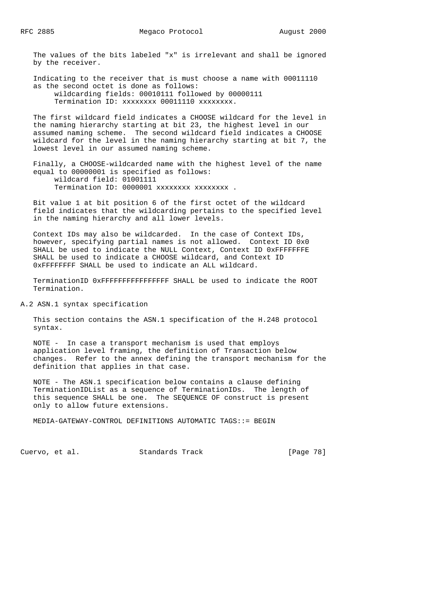The values of the bits labeled "x" is irrelevant and shall be ignored by the receiver.

 Indicating to the receiver that is must choose a name with 00011110 as the second octet is done as follows: wildcarding fields: 00010111 followed by 00000111 Termination ID: xxxxxxxx 00011110 xxxxxxxx.

 The first wildcard field indicates a CHOOSE wildcard for the level in the naming hierarchy starting at bit 23, the highest level in our assumed naming scheme. The second wildcard field indicates a CHOOSE wildcard for the level in the naming hierarchy starting at bit 7, the lowest level in our assumed naming scheme.

 Finally, a CHOOSE-wildcarded name with the highest level of the name equal to 00000001 is specified as follows: wildcard field: 01001111 Termination ID: 0000001 xxxxxxxx xxxxxxxx .

 Bit value 1 at bit position 6 of the first octet of the wildcard field indicates that the wildcarding pertains to the specified level in the naming hierarchy and all lower levels.

 Context IDs may also be wildcarded. In the case of Context IDs, however, specifying partial names is not allowed. Context ID 0x0 SHALL be used to indicate the NULL Context, Context ID 0xFFFFFFFE SHALL be used to indicate a CHOOSE wildcard, and Context ID 0xFFFFFFFF SHALL be used to indicate an ALL wildcard.

 TerminationID 0xFFFFFFFFFFFFFFFF SHALL be used to indicate the ROOT Termination.

A.2 ASN.1 syntax specification

 This section contains the ASN.1 specification of the H.248 protocol syntax.

 NOTE - In case a transport mechanism is used that employs application level framing, the definition of Transaction below changes. Refer to the annex defining the transport mechanism for the definition that applies in that case.

 NOTE - The ASN.1 specification below contains a clause defining TerminationIDList as a sequence of TerminationIDs. The length of this sequence SHALL be one. The SEQUENCE OF construct is present only to allow future extensions.

MEDIA-GATEWAY-CONTROL DEFINITIONS AUTOMATIC TAGS::= BEGIN

Cuervo, et al. Standards Track [Page 78]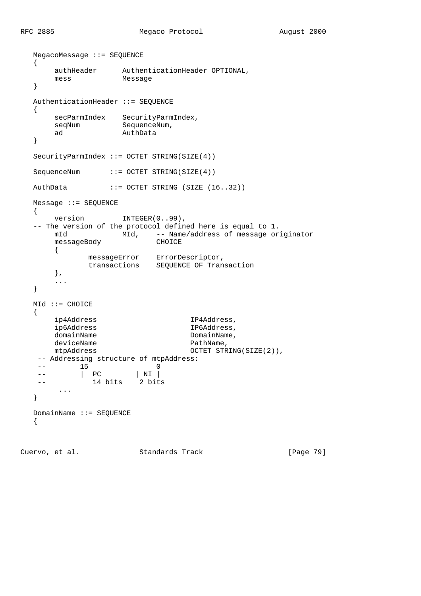```
 MegacoMessage ::= SEQUENCE
   {
       authHeader AuthenticationHeader OPTIONAL,
      mess Message
   }
   AuthenticationHeader ::= SEQUENCE
   {
     secParmIndex SecurityParmIndex,
     seqNum SequenceNum,
      ad AuthData
   }
  SecurityParmIndex ::= OCTET STRING(SIZE(4))
  SequenceNum ::= OCTET STRING(SIZE(4))
  AuthData ::= OCTET STRING (SIZE (16..32))
   Message ::= SEQUENCE
   {
     version INTEGER(0..99),
   -- The version of the protocol defined here is equal to 1.
     mId MId, -- Name/address of message originator
      messageBody CHOICE
       {
messageError ErrorDescriptor,
 transactions SEQUENCE OF Transaction
       },
       ...
   }
   MId ::= CHOICE
   {
      ip4Address IP4Address,
      ip6Address IP6Address,
     domainName DomainName,
     deviceName PathName,
     mtpAddress 0CTET STRING(SIZE(2)),
    -- Addressing structure of mtpAddress:
   -- 15 0<br>-- | PC | NI |
 -- | PC | NI |
 -- 14 bits 2 bits
      ...
   }
   DomainName ::= SEQUENCE
   {
```
Cuervo, et al. Standards Track [Page 79]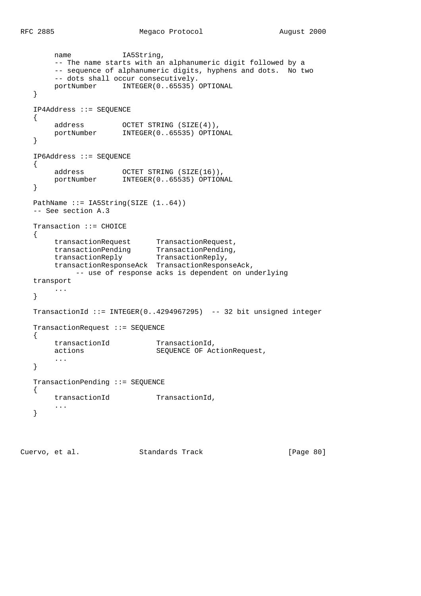```
name IA5String,
        -- The name starts with an alphanumeric digit followed by a
        -- sequence of alphanumeric digits, hyphens and dots. No two
       -- dots shall occur consecutively.
        portNumber INTEGER(0..65535) OPTIONAL
   }
   IP4Address ::= SEQUENCE
   {
 address OCTET STRING (SIZE(4)),
 portNumber INTEGER(0..65535) OPTIONAL
   }
   IP6Address ::= SEQUENCE
   {
 address OCTET STRING (SIZE(16)),
 portNumber INTEGER(0..65535) OPTIONAL
   }
  PathName ::= IA5String(SIZE (1..64))
   -- See section A.3
   Transaction ::= CHOICE
   {
 transactionRequest TransactionRequest,
 transactionPending TransactionPending,
 transactionReply TransactionReply,
        transactionResponseAck TransactionResponseAck,
           -- use of response acks is dependent on underlying
   transport
       ...
   }
   TransactionId ::= INTEGER(0..4294967295) -- 32 bit unsigned integer
   TransactionRequest ::= SEQUENCE
   {
      transactionId TransactionId,<br>actions SEQUENCE OF Ac
                             SEQUENCE OF ActionRequest,
        ...
   }
   TransactionPending ::= SEQUENCE
   {
      transactionId TransactionId,
       ...
   }
```
Cuervo, et al. Standards Track [Page 80]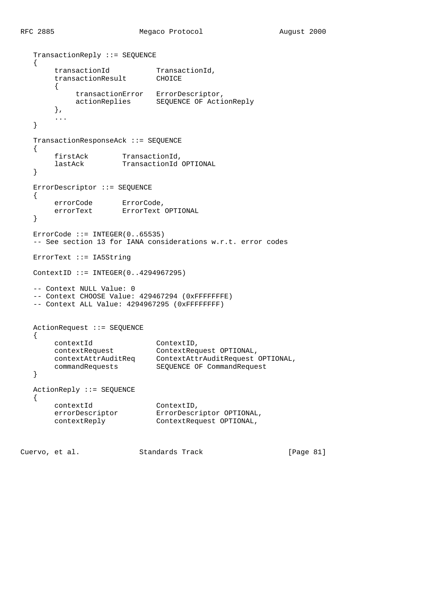```
 TransactionReply ::= SEQUENCE
   {
transactionId TransactionId,
 transactionResult CHOICE
\{ transactionError ErrorDescriptor,
 actionReplies SEQUENCE OF ActionReply
       },
       ...
   }
   TransactionResponseAck ::= SEQUENCE
   {
 firstAck TransactionId,
 lastAck TransactionId OPTIONAL
   }
   ErrorDescriptor ::= SEQUENCE
   {
errorCode ErrorCode,
 errorText ErrorText OPTIONAL
   }
   ErrorCode ::= INTEGER(0..65535)
   -- See section 13 for IANA considerations w.r.t. error codes
   ErrorText ::= IA5String
   ContextID ::= INTEGER(0..4294967295)
   -- Context NULL Value: 0
   -- Context CHOOSE Value: 429467294 (0xFFFFFFFE)
   -- Context ALL Value: 4294967295 (0xFFFFFFFF)
   ActionRequest ::= SEQUENCE
   {
 contextId ContextID,
 contextRequest ContextRequest OPTIONAL,
 contextAttrAuditReq ContextAttrAuditRequest OPTIONAL,
 commandRequests SEQUENCE OF CommandRequest
   }
   ActionReply ::= SEQUENCE
   {
 contextId ContextID,
 errorDescriptor ErrorDescriptor OPTIONAL,
 contextReply ContextRequest OPTIONAL,
```
Cuervo, et al. Standards Track [Page 81]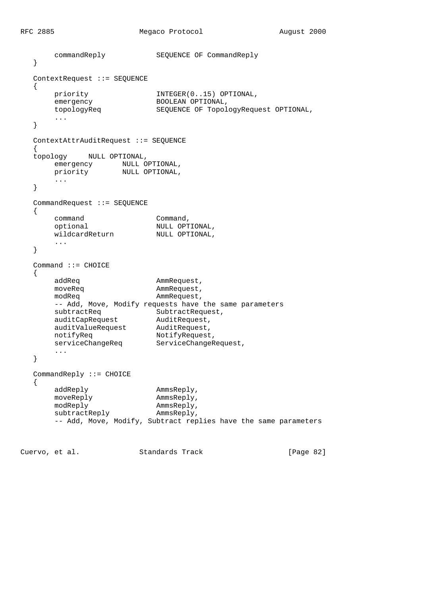```
 commandReply SEQUENCE OF CommandReply
   }
   ContextRequest ::= SEQUENCE
   {
       priority \texttt{INTER(0..15) \text{ OPTIONAL},}<br>emergency BOOLEAN OPTIONAL,
emergency BOOLEAN OPTIONAL,
 topologyReq SEQUENCE OF TopologyRequest OPTIONAL,
         ...
   }
   ContextAttrAuditRequest ::= SEQUENCE
  \{ topology NULL OPTIONAL,
emergency MULL OPTIONAL,
 priority NULL OPTIONAL,
        ...
   }
   CommandRequest ::= SEQUENCE
   {
command command,
 optional NULL OPTIONAL,
wildcardReturn MULL OPTIONAL,
        ...
   }
   Command ::= CHOICE
   {
       addReq AmmRequest,
       moveReq and AmmRequest, modReq and AmmRequest, and AmmRequest, and AmmRequest, and AmmRequest, and AmmRequest, and AmmRequest, and AmmRequest, and AmmRequest, and AmmRequest, and AmmRequest, and AmmReques
                               AmmRequest,
        -- Add, Move, Modify requests have the same parameters
subtractReq SubtractRequest,
 auditCapRequest AuditRequest,
 auditValueRequest AuditRequest,
notifyReq NotifyRequest,
       notifyReq serviceChangeReq ServiceChangeRequest,
        ...
   }
   CommandReply ::= CHOICE
   {
       addReply AmmsReply, and addReply, and \mathbb{R} ammsReply, \mathbb{R}moveReply <br>modReply <br>AmmsReply, <br>AmmsReply,
modReply ammsReply,
subtractReply AmmsReply,
        -- Add, Move, Modify, Subtract replies have the same parameters
```
Cuervo, et al. Standards Track [Page 82]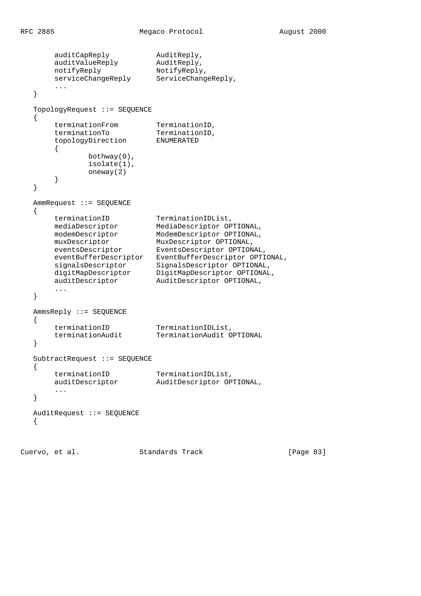```
auditCapReply AuditReply,
 auditValueReply AuditReply,
notifyReply NotifyReply,
      serviceChangeReply ServiceChangeReply,
       ...
   }
   TopologyRequest ::= SEQUENCE
   {
terminationFrom TerminationID,
terminationTo TerminationID,
 topologyDirection ENUMERATED
      \{ bothway(0),
             isolate(1),
             oneway(2)
       }
   }
   AmmRequest ::= SEQUENCE
  \{ terminationID TerminationIDList,
 mediaDescriptor MediaDescriptor OPTIONAL,
 modemDescriptor ModemDescriptor OPTIONAL,
 muxDescriptor MuxDescriptor OPTIONAL,
 eventsDescriptor EventsDescriptor OPTIONAL,
 eventBufferDescriptor EventBufferDescriptor OPTIONAL,
 signalsDescriptor SignalsDescriptor OPTIONAL,
 digitMapDescriptor DigitMapDescriptor OPTIONAL,
 auditDescriptor AuditDescriptor OPTIONAL,
       ...
   }
   AmmsReply ::= SEQUENCE
   {
 terminationID TerminationIDList,
 terminationAudit TerminationAudit OPTIONAL
   }
   SubtractRequest ::= SEQUENCE
   {
 terminationID TerminationIDList,
 auditDescriptor AuditDescriptor OPTIONAL,
       ...
   }
   AuditRequest ::= SEQUENCE
   {
```
Cuervo, et al. Standards Track [Page 83]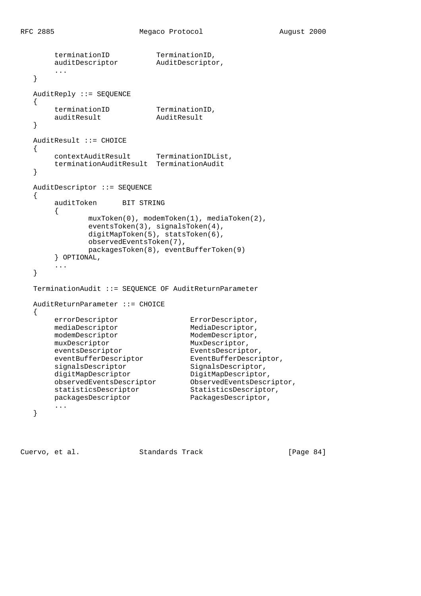```
terminationID TerminationID,
 auditDescriptor AuditDescriptor,
       ...
   }
   AuditReply ::= SEQUENCE
   {
terminationID TerminationID,
 auditResult AuditResult
   }
   AuditResult ::= CHOICE
   {
      contextAuditResult TerminationIDList,
      terminationAuditResult TerminationAudit
   }
   AuditDescriptor ::= SEQUENCE
   {
       auditToken BIT STRING
       {
             muxToken(0), modemToken(1), mediaToken(2),
             eventsToken(3), signalsToken(4),
            digitMapToken(5), statsToken(6),
             observedEventsToken(7),
             packagesToken(8), eventBufferToken(9)
       } OPTIONAL,
       ...
   }
   TerminationAudit ::= SEQUENCE OF AuditReturnParameter
   AuditReturnParameter ::= CHOICE
   {
errorDescriptor ErrorDescriptor,
mediaDescriptor MediaDescriptor,
modemDescriptor ModemDescriptor,
muxDescriptor MuxDescriptor,
eventsDescriptor EventsDescriptor,
 eventBufferDescriptor EventBufferDescriptor,
signalsDescriptor SignalsDescriptor,
digitMapDescriptor DigitMapDescriptor,
 observedEventsDescriptor ObservedEventsDescriptor,
 statisticsDescriptor StatisticsDescriptor,
packagesDescriptor PackagesDescriptor,
 ...
   }
```
Cuervo, et al. Standards Track [Page 84]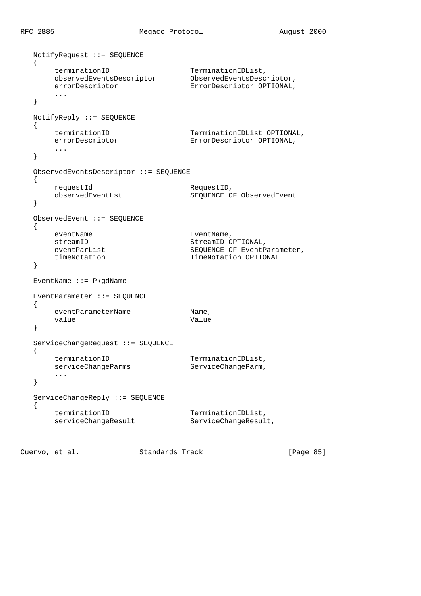```
 NotifyRequest ::= SEQUENCE
   {
terminationID TerminationIDList,
 observedEventsDescriptor ObservedEventsDescriptor,
 errorDescriptor ErrorDescriptor OPTIONAL,
       ...
   }
   NotifyReply ::= SEQUENCE
   {
      terminationID TerminationIDList OPTIONAL,
     errorDescriptor ErrorDescriptor OPTIONAL,
       ...
   }
   ObservedEventsDescriptor ::= SEQUENCE
   {
      requestId RequestID,
     observedEventLst SEQUENCE OF ObservedEvent
   }
   ObservedEvent ::= SEQUENCE
   {
     eventName EventName,
      streamID StreamID OPTIONAL,
                              SEQUENCE OF EventParameter,
     timeNotation TimeNotation OPTIONAL
   }
   EventName ::= PkgdName
   EventParameter ::= SEQUENCE
   {
     eventParameterName mane,
     value Value Value
   }
   ServiceChangeRequest ::= SEQUENCE
   {
terminationID TerminationIDList,
serviceChangeParms ServiceChangeParm,
      ...
   }
   ServiceChangeReply ::= SEQUENCE
   {
     terminationID<br>serviceChangeResult ServiceChangeResult,
     serviceChangeResult
```
Cuervo, et al. Standards Track [Page 85]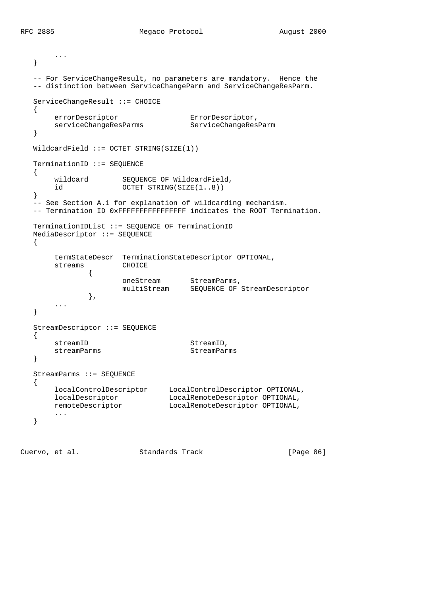```
 ...
   }
   -- For ServiceChangeResult, no parameters are mandatory. Hence the
   -- distinction between ServiceChangeParm and ServiceChangeResParm.
   ServiceChangeResult ::= CHOICE
   {
      errorDescriptor ErrorDescriptor,
      serviceChangeResParms ServiceChangeResParm
   }
   WildcardField ::= OCTET STRING(SIZE(1))
   TerminationID ::= SEQUENCE
   {
      wildcard SEQUENCE OF WildcardField,<br>id 0CTET STRING(SIZE(1..8))
                   OCTET STRING(SIZE(1..8))
   }
   -- See Section A.1 for explanation of wildcarding mechanism.
   -- Termination ID 0xFFFFFFFFFFFFFFFF indicates the ROOT Termination.
   TerminationIDList ::= SEQUENCE OF TerminationID
   MediaDescriptor ::= SEQUENCE
   {
       termStateDescr TerminationStateDescriptor OPTIONAL,
       streams CHOICE
 {
oneStream StreamParms,
 multiStream SEQUENCE OF StreamDescriptor
               },
       ...
   }
   StreamDescriptor ::= SEQUENCE
   {
      streamID StreamID,
      streamParms StreamParms
   }
   StreamParms ::= SEQUENCE
   {
 localControlDescriptor LocalControlDescriptor OPTIONAL,
 localDescriptor LocalRemoteDescriptor OPTIONAL,
 remoteDescriptor LocalRemoteDescriptor OPTIONAL,
       ...
   }
```
Cuervo, et al. Standards Track [Page 86]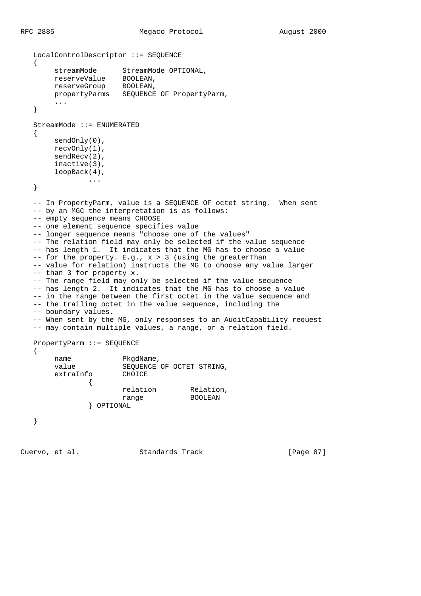```
 LocalControlDescriptor ::= SEQUENCE
   {
        streamMode StreamMode OPTIONAL,
 reserveValue BOOLEAN,
 reserveGroup BOOLEAN,
        propertyParms SEQUENCE OF PropertyParm,
        ...
   }
   StreamMode ::= ENUMERATED
   {
       sendOnly(0),
        recvOnly(1),
        sendRecv(2),
        inactive(3),
        loopBack(4),
               ...
   }
   -- In PropertyParm, value is a SEQUENCE OF octet string. When sent
   -- by an MGC the interpretation is as follows:
  -- empty sequence means CHOOSE
   -- one element sequence specifies value
   -- longer sequence means "choose one of the values"
  -- The relation field may only be selected if the value sequence
   -- has length 1. It indicates that the MG has to choose a value
  - for the property. E.g., x > 3 (using the greaterThan
   -- value for relation) instructs the MG to choose any value larger
   -- than 3 for property x.
   -- The range field may only be selected if the value sequence
   -- has length 2. It indicates that the MG has to choose a value
   -- in the range between the first octet in the value sequence and
   -- the trailing octet in the value sequence, including the
   -- boundary values.
   -- When sent by the MG, only responses to an AuditCapability request
   -- may contain multiple values, a range, or a relation field.
   PropertyParm ::= SEQUENCE
   {
       name PkgdName,
        value SEQUENCE OF OCTET STRING,
        extraInfo CHOICE
               {
relation Relation,
range BOOLEAN
                } OPTIONAL
   }
```
Cuervo, et al. Standards Track [Page 87]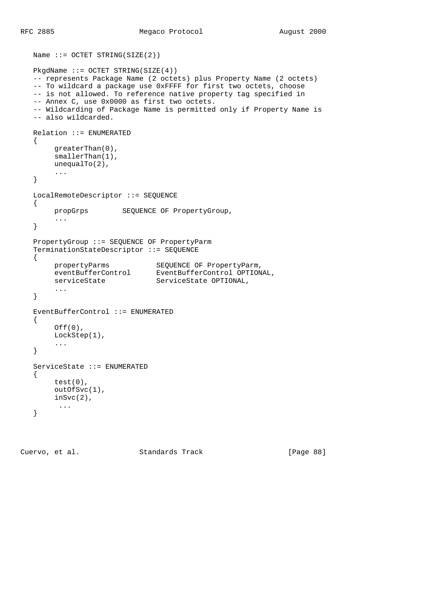```
Name ::= OCTET STRING(SIZE(2))
  PkqdName ::= OCTET STRING(SIZE(4)) -- represents Package Name (2 octets) plus Property Name (2 octets)
   -- To wildcard a package use 0xFFFF for first two octets, choose
   -- is not allowed. To reference native property tag specified in
   -- Annex C, use 0x0000 as first two octets.
   -- Wildcarding of Package Name is permitted only if Property Name is
   -- also wildcarded.
   Relation ::= ENUMERATED
   {
        greaterThan(0),
        smallerThan(1),
        unequalTo(2),
        ...
   }
   LocalRemoteDescriptor ::= SEQUENCE
   {
        propGrps SEQUENCE OF PropertyGroup,
        ...
   }
   PropertyGroup ::= SEQUENCE OF PropertyParm
   TerminationStateDescriptor ::= SEQUENCE
   {
 propertyParms SEQUENCE OF PropertyParm,
 eventBufferControl EventBufferControl OPTIONAL,
serviceState ServiceState OPTIONAL,
        ...
   }
   EventBufferControl ::= ENUMERATED
   {
       Off(0),
        LockStep(1),
        ...
   }
   ServiceState ::= ENUMERATED
   {
        test(0),
        outOfSvc(1),
        inSvc(2),
         ...
   }
```
Cuervo, et al. Standards Track [Page 88]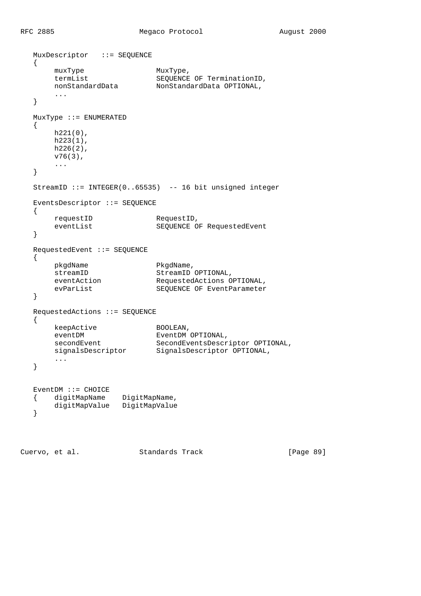```
 MuxDescriptor ::= SEQUENCE
   {
       muxType MuxType,
       termList SEQUENCE OF TerminationID,<br>nonStandardData NonStandardData OPTIONAL,
                           NonStandardData OPTIONAL,
        ...
   }
   MuxType ::= ENUMERATED
   {
       h221(0),
      h223(1),
       h226(2),
        v76(3),
        ...
   }
   StreamID ::= INTEGER(0..65535) -- 16 bit unsigned integer
   EventsDescriptor ::= SEQUENCE
   {
      requestID RequestID,<br>eventList SEQUENCE O
                           SEQUENCE OF RequestedEvent
   }
   RequestedEvent ::= SEQUENCE
   {
      pkgdName PkgdName,<br>streamID StreamID<br>eventAction Requested
streamID StreamID OPTIONAL,
 eventAction RequestedActions OPTIONAL,
evParList SEQUENCE OF EventParameter
   }
   RequestedActions ::= SEQUENCE
   {
keepActive BOOLEAN,
eventDM EventDM OPTIONAL,
secondEvent SecondEventsDescriptor OPTIONAL,
 signalsDescriptor SignalsDescriptor OPTIONAL,
        ...
   }
   EventDM ::= CHOICE
 { digitMapName DigitMapName,
 digitMapValue DigitMapValue
   }
```
Cuervo, et al. Standards Track [Page 89]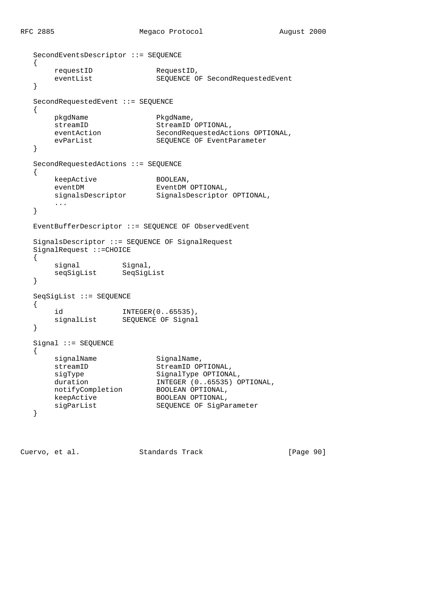RFC 2885 Megaco Protocol August 2000

```
 SecondEventsDescriptor ::= SEQUENCE
   {
      requestID RequestID,
      eventList SEQUENCE OF SecondRequestedEvent
   }
   SecondRequestedEvent ::= SEQUENCE
   {
       pkgdName PkgdName,
     streamID StreamID OPTIONAL,
      eventAction SecondRequestedActions OPTIONAL,
       evParList SEQUENCE OF EventParameter
   }
   SecondRequestedActions ::= SEQUENCE
   {
      keepActive BOOLEAN,
       eventDM EventDM OPTIONAL,
      signalsDescriptor SignalsDescriptor OPTIONAL,
       ...
   }
   EventBufferDescriptor ::= SEQUENCE OF ObservedEvent
   SignalsDescriptor ::= SEQUENCE OF SignalRequest
   SignalRequest ::=CHOICE
   {
signal Signal,
 seqSigList SeqSigList
   }
   SeqSigList ::= SEQUENCE
   {
       id INTEGER(0..65535),
       signalList SEQUENCE OF Signal
   }
   Signal ::= SEQUENCE
   {
      signalName SignalName,
      streamID StreamID OPTIONAL,
      sigType SignalType OPTIONAL,
      duration INTEGER (0..65535) OPTIONAL,
 notifyCompletion BOOLEAN OPTIONAL,
keepActive BOOLEAN OPTIONAL,
      sigParList SEQUENCE OF SigParameter
   }
```
Cuervo, et al. Standards Track [Page 90]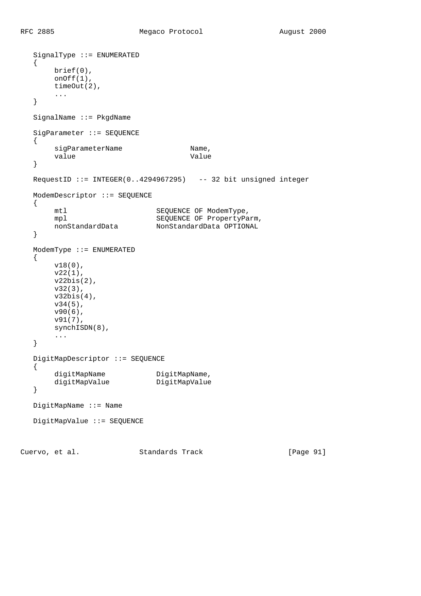```
 SignalType ::= ENUMERATED
   {
        brief(0),
        onOff(1),
        timeOut(2),
        ...
   }
   SignalName ::= PkgdName
   SigParameter ::= SEQUENCE
   {
       sigParameterName Mame,
       value Value Value
   }
   RequestID ::= INTEGER(0..4294967295) -- 32 bit unsigned integer
   ModemDescriptor ::= SEQUENCE
   {
       mtl SEQUENCE OF ModemType,
       mpl<br>
SEQUENCE OF PropertyParam,<br>
NonStandardData OPTIONALNonStandardData OPTIONAL
   }
   ModemType ::= ENUMERATED
   {
        v18(0),
        v22(1),
        v22bis(2),
        v32(3),
        v32bis(4),
        v34(5),
        v90(6),
        v91(7),
        synchISDN(8),
        ...
   }
   DigitMapDescriptor ::= SEQUENCE
   {
digitMapName DigitMapName,
 digitMapValue DigitMapValue
   }
   DigitMapName ::= Name
   DigitMapValue ::= SEQUENCE
Cuervo, et al. Standards Track [Page 91]
```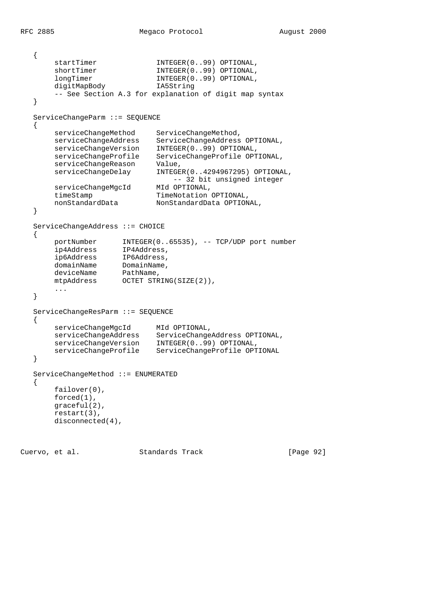```
 {
      startTimer INTEGER(0..99) OPTIONAL,
      shortTimer INTEGER(0..99) OPTIONAL,
      longTimer INTEGER(0..99) OPTIONAL,
       digitMapBody IA5String
       -- See Section A.3 for explanation of digit map syntax
   }
   ServiceChangeParm ::= SEQUENCE
   {
       serviceChangeMethod ServiceChangeMethod,
       serviceChangeAddress ServiceChangeAddress OPTIONAL,
       serviceChangeVersion INTEGER(0..99) OPTIONAL,
 serviceChangeProfile ServiceChangeProfile OPTIONAL,
 serviceChangeReason Value,
 serviceChangeDelay INTEGER(0..4294967295) OPTIONAL,
                                -- 32 bit unsigned integer
       serviceChangeMgcId MId OPTIONAL,
timeStamp TimeNotation OPTIONAL,
 nonStandardData NonStandardData OPTIONAL,
   }
   ServiceChangeAddress ::= CHOICE
   {
 portNumber INTEGER(0..65535), -- TCP/UDP port number
 ip4Address IP4Address,
 ip6Address IP6Address,
domainName DomainName,
deviceName PathName,
 mtpAddress OCTET STRING(SIZE(2)),
       ...
   }
   ServiceChangeResParm ::= SEQUENCE
   {
       serviceChangeMgcId MId OPTIONAL,
      serviceChangeAddress ServiceChangeAddress OPTIONAL,
       serviceChangeVersion INTEGER(0..99) OPTIONAL,
       serviceChangeProfile ServiceChangeProfile OPTIONAL
   }
   ServiceChangeMethod ::= ENUMERATED
   {
       failover(0),
       forced(1),
       graceful(2),
       restart(3),
       disconnected(4),
```
Cuervo, et al. Standards Track [Page 92]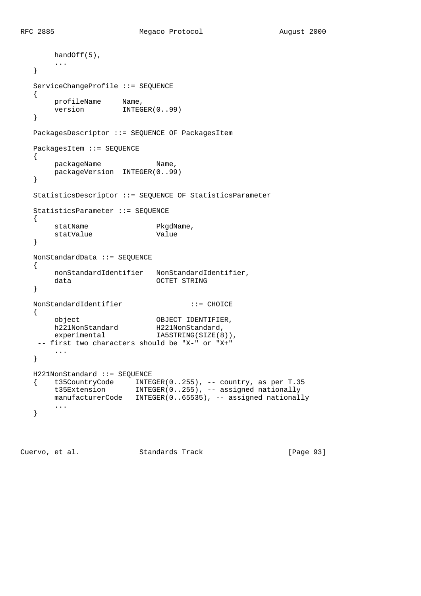```
 handOff(5),
       ...
   }
   ServiceChangeProfile ::= SEQUENCE
   {
profileName Name,
version INTEGER(0..99)
   }
   PackagesDescriptor ::= SEQUENCE OF PackagesItem
   PackagesItem ::= SEQUENCE
   {
      packageName Name,
      packageVersion INTEGER(0..99)
   }
   StatisticsDescriptor ::= SEQUENCE OF StatisticsParameter
   StatisticsParameter ::= SEQUENCE
   {
      statName PkgdName,
      statValue Value
   }
   NonStandardData ::= SEQUENCE
   {
       nonStandardIdentifier NonStandardIdentifier,
       data OCTET STRING
   }
   NonStandardIdentifier ::= CHOICE
   {
 object OBJECT IDENTIFIER,
h221NonStandard H221NonStandard,
experimental I IA5STRING(SIZE(8)),
    -- first two characters should be "X-" or "X+"
       ...
   }
   H221NonStandard ::= SEQUENCE
  \{ t35CountryCode INTEGER(0..255), -- country, as per T.35
       t35Extension INTEGER(0..255), -- assigned nationally
     manufacturerCode   INTEGER(0..65535), -- assigned nationally
       ...
   }
```
Cuervo, et al. Standards Track [Page 93]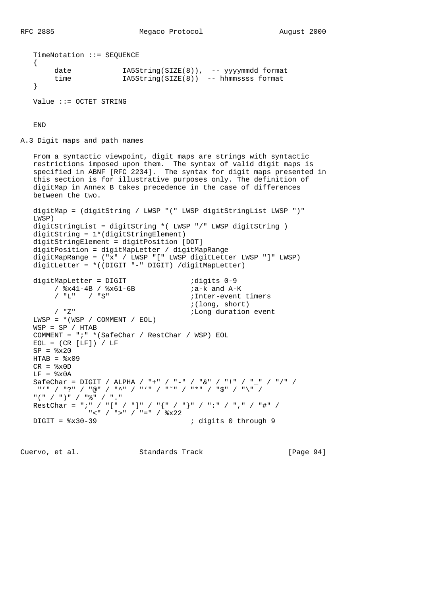```
 TimeNotation ::= SEQUENCE
   {
 date IA5String(SIZE(8)), -- yyyymmdd format
 time IA5String(SIZE(8)) -- hhmmssss format
   }
   Value ::= OCTET STRING
```
END

A.3 Digit maps and path names

 From a syntactic viewpoint, digit maps are strings with syntactic restrictions imposed upon them. The syntax of valid digit maps is specified in ABNF [RFC 2234]. The syntax for digit maps presented in this section is for illustrative purposes only. The definition of digitMap in Annex B takes precedence in the case of differences between the two. digitMap = (digitString / LWSP "(" LWSP digitStringList LWSP ")" LWSP)

 digitStringList = digitString \*( LWSP "/" LWSP digitString ) digitString = 1\*(digitStringElement) digitStringElement = digitPosition [DOT] digitPosition = digitMapLetter / digitMapRange digitMapRange = ("x" / LWSP "[" LWSP digitLetter LWSP "]" LWSP) digitLetter = \*((DIGIT "-" DIGIT) /digitMapLetter)

digitMapLetter = DIGIT  $/$  %x41-4B  $/$  %x61-6B  $/$  ;a-k and A-K  $/$   $8x41-4B$   $/$   $8x61-6B$ <br> $/$  "L"  $/$  "S" ; Inter-event timers ;(long, short) / "Z"  $\blacksquare$  ;Long duration event  $LWSP = * (WSP / COMMENT / EOL)$  $WSP = SP / HTAB$  COMMENT = ";" \*(SafeChar / RestChar / WSP) EOL  $EOL = (CR [LF]) / LF$  $SP =  $\frac{8}{2} \times 20$$  $HTAB =  $\circ$ x09$  $CR =$   $x0D$  $LF =  $\delta x0A$$ SafeChar = DIGIT / ALPHA / "+" / "-" / "&" / "!" / "\_" / "/" / "'" / "?" / "@" / "^" / "'" / "˜" / "\*" / "\$" / "\" / "(" / ")" / "%" / "." RestChar = ";" / "[" / "]" / "{" / "}" / ":" / "," / "#" /  $C = \frac{1}{2}$   $C = \frac{1}{2}$   $C = \frac{1}{2}$   $C = \frac{1}{2}$   $C = \frac{1}{2}$   $C = \frac{1}{2}$   $C = \frac{1}{2}$   $C = \frac{1}{2}$   $C = \frac{1}{2}$   $C = \frac{1}{2}$   $C = \frac{1}{2}$   $C = \frac{1}{2}$   $C = \frac{1}{2}$   $C = \frac{1}{2}$   $C = \frac{1}{2}$   $C = \frac{1}{2}$   $C = \frac{1}{2}$   $C = \frac{1}{2}$   $C = \frac$ ; digits 0 through 9

Cuervo, et al. Standards Track [Page 94]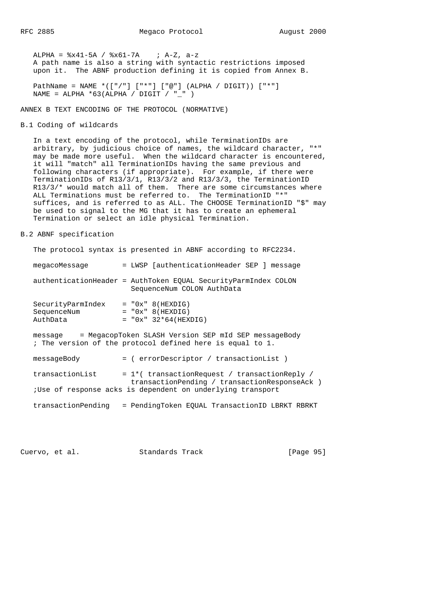ALPHA =  $8x41-5A$  /  $8x61-7A$  ; A-Z, a-z A path name is also a string with syntactic restrictions imposed upon it. The ABNF production defining it is copied from Annex B.

 PathName = NAME \*(["/"] ["\*"] ["@"] (ALPHA / DIGIT)) ["\*"] NAME = ALPHA  $*63$ (ALPHA / DIGIT / " " )

ANNEX B TEXT ENCODING OF THE PROTOCOL (NORMATIVE)

B.1 Coding of wildcards

 In a text encoding of the protocol, while TerminationIDs are arbitrary, by judicious choice of names, the wildcard character, "\*" may be made more useful. When the wildcard character is encountered, it will "match" all TerminationIDs having the same previous and following characters (if appropriate). For example, if there were TerminationIDs of R13/3/1, R13/3/2 and R13/3/3, the TerminationID R13/3/\* would match all of them. There are some circumstances where ALL Terminations must be referred to. The TerminationID "\*" suffices, and is referred to as ALL. The CHOOSE TerminationID "\$" may be used to signal to the MG that it has to create an ephemeral Termination or select an idle physical Termination.

B.2 ABNF specification

|                                              | The protocol syntax is presented in ABNF according to RFC2234.                                                    |
|----------------------------------------------|-------------------------------------------------------------------------------------------------------------------|
| megacoMessage                                | = LWSP [authenticationHeader SEP ] message                                                                        |
|                                              | authenticationHeader = AuthToken EOUAL SecurityParmIndex COLON<br>SequenceNum COLON AuthData                      |
| SecurityParmIndex<br>SequenceNum<br>AuthData | $= "0x" 8(HEXDIG)$<br>$= "0x" 8(HEXDIG)$<br>$= "0x" 32*64(HEXDIG)$                                                |
| message                                      | = MegacopToken SLASH Version SEP mId SEP messageBody<br>; The version of the protocol defined here is equal to 1. |
| messageBody                                  | = ( errorDescriptor / transactionList )                                                                           |
| transactionList                              | $= 1$ *( transactionRequest / transactionReply                                                                    |

transactionList transactionPending / transactionResponseAck ) ;Use of response acks is dependent on underlying transport

transactionPending = PendingToken EQUAL TransactionID LBRKT RBRKT

Cuervo, et al. Standards Track [Page 95]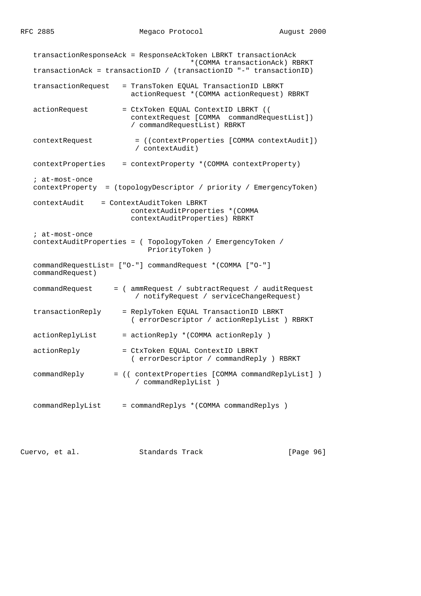transactionResponseAck = ResponseAckToken LBRKT transactionAck \*(COMMA transactionAck) RBRKT transactionAck = transactionID / (transactionID "-" transactionID) transactionRequest = TransToken EQUAL TransactionID LBRKT actionRequest \*(COMMA actionRequest) RBRKT actionRequest = CtxToken EQUAL ContextID LBRKT (( contextRequest [COMMA commandRequestList]) / commandRequestList) RBRKT contextRequest = ((contextProperties [COMMA contextAudit]) / contextAudit) contextProperties = contextProperty \*(COMMA contextProperty) ; at-most-once contextProperty = (topologyDescriptor / priority / EmergencyToken) contextAudit = ContextAuditToken LBRKT contextAuditProperties \*(COMMA contextAuditProperties) RBRKT ; at-most-once contextAuditProperties = ( TopologyToken / EmergencyToken / PriorityToken ) commandRequestList= ["O-"] commandRequest \*(COMMA ["O-"] commandRequest) commandRequest = ( ammRequest / subtractRequest / auditRequest / notifyRequest / serviceChangeRequest) transactionReply = ReplyToken EQUAL TransactionID LBRKT ( errorDescriptor / actionReplyList ) RBRKT actionReplyList = actionReply \*(COMMA actionReply ) actionReply = CtxToken EQUAL ContextID LBRKT ( errorDescriptor / commandReply ) RBRKT commandReply = (( contextProperties [COMMA commandReplyList] ) / commandReplyList ) commandReplyList = commandReplys \*(COMMA commandReplys )

Cuervo, et al. Standards Track [Page 96]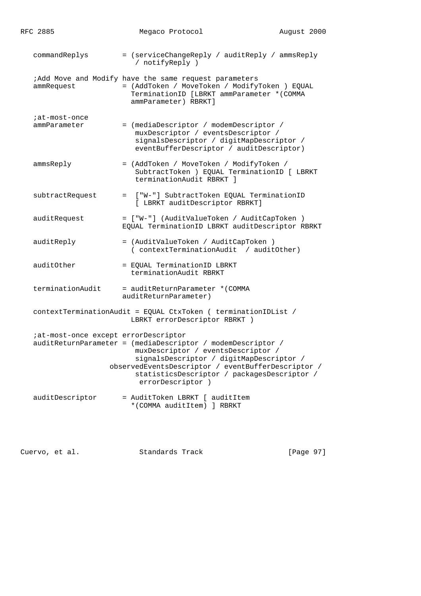| RFC 2885                      |                                      | Megaco Protocol                                                                                                                                                                                                                                                         | August 2000 |  |
|-------------------------------|--------------------------------------|-------------------------------------------------------------------------------------------------------------------------------------------------------------------------------------------------------------------------------------------------------------------------|-------------|--|
| commandReplys                 |                                      | = (serviceChangeReply / auditReply / ammsReply<br>/ notifyReply )                                                                                                                                                                                                       |             |  |
| ammRequest                    |                                      | ;Add Move and Modify have the same request parameters<br>= (AddToken / MoveToken / ModifyToken ) EQUAL<br>TerminationID [LBRKT ammParameter *(COMMA<br>ammParameter) RBRKT]                                                                                             |             |  |
| ;at-most-once<br>ammParameter |                                      | = (mediaDescriptor / modemDescriptor /<br>muxDescriptor / eventsDescriptor /<br>signalsDescriptor / digitMapDescriptor /<br>eventBufferDescriptor / auditDescriptor)                                                                                                    |             |  |
| ammsReply                     |                                      | = (AddToken / MoveToken / ModifyToken /<br>SubtractToken ) EQUAL TerminationID [ LBRKT<br>terminationAudit RBRKT 1                                                                                                                                                      |             |  |
|                               | subtractRequest                      | = ["W-"] SubtractToken EQUAL TerminationID<br>[ LBRKT auditDescriptor RBRKT]                                                                                                                                                                                            |             |  |
| auditRequest                  |                                      | = ["W-"] (AuditValueToken / AuditCapToken )<br>EQUAL TerminationID LBRKT auditDescriptor RBRKT                                                                                                                                                                          |             |  |
| auditReply                    |                                      | = (AuditValueToken / AuditCapToken )<br>( contextTerminationAudit / auditOther)                                                                                                                                                                                         |             |  |
| auditOther                    |                                      | = EQUAL TerminationID LBRKT<br>terminationAudit RBRKT                                                                                                                                                                                                                   |             |  |
|                               | terminationAudit                     | = auditReturnParameter *(COMMA<br>auditReturnParameter)                                                                                                                                                                                                                 |             |  |
|                               |                                      | contextTerminationAudit = EQUAL CtxToken ( terminationIDList /<br>LBRKT errorDescriptor RBRKT )                                                                                                                                                                         |             |  |
|                               | iat-most-once except errorDescriptor | auditReturnParameter = (mediaDescriptor / modemDescriptor /<br>muxDescriptor / eventsDescriptor /<br>signalsDescriptor / digitMapDescriptor /<br>observedEventsDescriptor / eventBufferDescriptor /<br>statisticsDescriptor / packagesDescriptor /<br>errorDescriptor ) |             |  |
|                               | auditDescriptor                      | = AuditToken LBRKT [ auditItem<br>*(COMMA auditItem) ] RBRKT                                                                                                                                                                                                            |             |  |

Cuervo, et al. Standards Track [Page 97]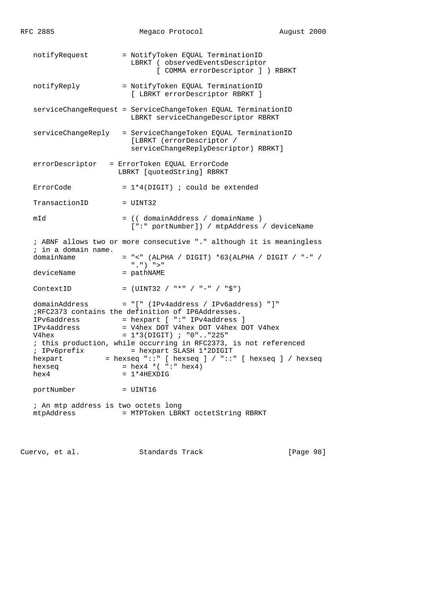| RFC 2885                                                                                          | Megaco Protocol                                                                                                                                                                                                                                                                                                                                                                                        | August 2000 |  |
|---------------------------------------------------------------------------------------------------|--------------------------------------------------------------------------------------------------------------------------------------------------------------------------------------------------------------------------------------------------------------------------------------------------------------------------------------------------------------------------------------------------------|-------------|--|
| notifyRequest                                                                                     | = NotifyToken EQUAL TerminationID<br>LBRKT ( observedEventsDescriptor<br>[ COMMA errorDescriptor ] ) RBRKT                                                                                                                                                                                                                                                                                             |             |  |
| notifyReply                                                                                       | = NotifyToken EQUAL TerminationID<br>[ LBRKT errorDescriptor RBRKT ]                                                                                                                                                                                                                                                                                                                                   |             |  |
|                                                                                                   | serviceChangeRequest = ServiceChangeToken EQUAL TerminationID<br>LBRKT serviceChangeDescriptor RBRKT                                                                                                                                                                                                                                                                                                   |             |  |
|                                                                                                   | serviceChangeReply = ServiceChangeToken EQUAL TerminationID<br>[LBRKT (errorDescriptor /<br>serviceChangeReplyDescriptor) RBRKT]                                                                                                                                                                                                                                                                       |             |  |
| errorDescriptor                                                                                   | = ErrorToken EQUAL ErrorCode<br>LBRKT [quotedString] RBRKT                                                                                                                                                                                                                                                                                                                                             |             |  |
| ErrorCode                                                                                         | $= 1*4(DIGIT)$ ; could be extended                                                                                                                                                                                                                                                                                                                                                                     |             |  |
| TransactionID                                                                                     | $=$ UINT32                                                                                                                                                                                                                                                                                                                                                                                             |             |  |
| mId                                                                                               | = (( domainAddress / domainName )<br>[":" portNumber]) / mtpAddress / deviceName                                                                                                                                                                                                                                                                                                                       |             |  |
| ; in a domain name.                                                                               | ; ABNF allows two or more consecutive "." although it is meaningless                                                                                                                                                                                                                                                                                                                                   |             |  |
| domainName                                                                                        | $= "<- (ALPHA / DIGIT) *63 (ALPHA / DIGIT / "-" /$<br>$"$ , $"$ ) $"$ > $"$                                                                                                                                                                                                                                                                                                                            |             |  |
| deviceName                                                                                        | = pathNAME                                                                                                                                                                                                                                                                                                                                                                                             |             |  |
| ContextID                                                                                         | $=$ (UINT32 / "*" / "-" / "\$")                                                                                                                                                                                                                                                                                                                                                                        |             |  |
| domainAddress<br>IPv6address<br>IPv4address<br>V4hex<br>; IPv6prefix<br>hexpart<br>hexseq<br>hex4 | = "[" (IPv4address / IPv6address) "]"<br>;RFC2373 contains the definition of IP6Addresses.<br>= hexpart [ ":" IPv4address ]<br>= V4hex DOT V4hex DOT V4hex DOT V4hex<br>$= 1*3(DIGIT)$ ; "0""225"<br>; this production, while occurring in RFC2373, is not referenced<br>= hexpart SLASH 1*2DIGIT<br>= hexseq "::" [ hexseq ] / "::" [ hexseq ] / hexseq<br>= $hex4 * ( " : " hex4)$<br>$= 1*4$ HEXDIG |             |  |
| portNumber                                                                                        | = UINT16                                                                                                                                                                                                                                                                                                                                                                                               |             |  |
| ; An mtp address is two octets long<br>mtpAddress                                                 | = MTPToken LBRKT octetString RBRKT                                                                                                                                                                                                                                                                                                                                                                     |             |  |

Cuervo, et al. Standards Track [Page 98]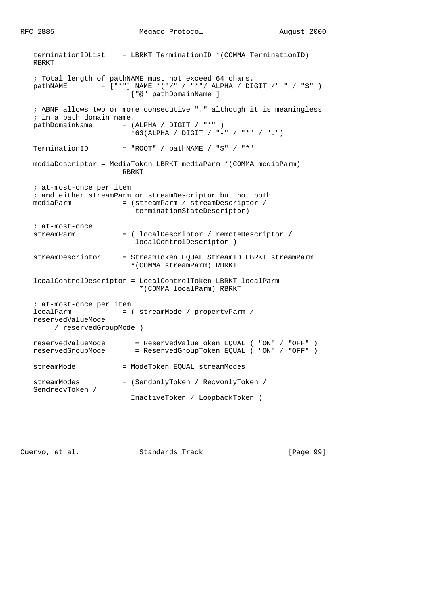```
 terminationIDList = LBRKT TerminationID *(COMMA TerminationID)
   RBRKT
   ; Total length of pathNAME must not exceed 64 chars.
  pathNAME = [\n    "*"] NAME *(\n    "/" / "*" / ALPHA / DIGIT / "_" / "$" ) ["@" pathDomainName ]
   ; ABNF allows two or more consecutive "." although it is meaningless
   ; in a path domain name.
  pathDomainName = (ALPHA / DIGIT / "*") *63(ALPHA / DIGIT / "-" / "*" / ".")
  TerminationID = "ROOT" / pathNAME / "$" / "*"
   mediaDescriptor = MediaToken LBRKT mediaParm *(COMMA mediaParm)
                       RBRKT
   ; at-most-once per item
   ; and either streamParm or streamDescriptor but not both
  mediaParm = (streamParm / streamDescriptor /
                          terminationStateDescriptor)
   ; at-most-once
   streamParm = ( localDescriptor / remoteDescriptor /
                          localControlDescriptor )
   streamDescriptor = StreamToken EQUAL StreamID LBRKT streamParm
                         *(COMMA streamParm) RBRKT
   localControlDescriptor = LocalControlToken LBRKT localParm
                           *(COMMA localParm) RBRKT
   ; at-most-once per item
   localParm = ( streamMode / propertyParm /
   reservedValueMode
        / reservedGroupMode )
 reservedValueMode = ReservedValueToken EQUAL ( "ON" / "OFF" )
 reservedGroupMode = ReservedGroupToken EQUAL ( "ON" / "OFF" )
  streamMode = ModeToken EQUAL streamModes
   streamModes = (SendonlyToken / RecvonlyToken /
   SendrecvToken /
                         InactiveToken / LoopbackToken )
```
Cuervo, et al. Standards Track [Page 99]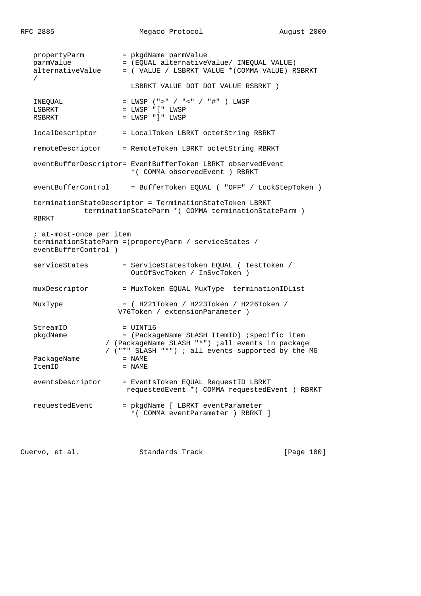RFC 2885 Megaco Protocol August 2000

propertyParm = pkgdName parmValue parmValue = (EQUAL alternativeValue/ INEQUAL VALUE) alternativeValue = ( VALUE / LSBRKT VALUE \*(COMMA VALUE) RSBRKT / LSBRKT VALUE DOT DOT VALUE RSBRKT ) INEQUAL = LWSP (">" / "<" / "#" ) LWSP  $LSBRKT$  =  $LWSP$  "["  $LWSP$  $RSBRKT$  = LWSP " $]$ " LWSP localDescriptor = LocalToken LBRKT octetString RBRKT remoteDescriptor = RemoteToken LBRKT octetString RBRKT eventBufferDescriptor= EventBufferToken LBRKT observedEvent \*( COMMA observedEvent ) RBRKT eventBufferControl = BufferToken EQUAL ( "OFF" / LockStepToken ) terminationStateDescriptor = TerminationStateToken LBRKT terminationStateParm \*( COMMA terminationStateParm ) RBRKT ; at-most-once per item terminationStateParm =(propertyParm / serviceStates / eventBufferControl ) serviceStates = ServiceStatesToken EQUAL ( TestToken / OutOfSvcToken / InSvcToken ) muxDescriptor = MuxToken EQUAL MuxType terminationIDList MuxType = ( H221Token / H223Token / H226Token / V76Token / extensionParameter ) StreamID = UINT16 pkgdName = (PackageName SLASH ItemID) ;specific item / (PackageName SLASH "\*") ;all events in package / ("\*" SLASH "\*") ; all events supported by the MG PackageName = NAME ItemID = NAME eventsDescriptor = EventsToken EQUAL RequestID LBRKT requestedEvent \*( COMMA requestedEvent ) RBRKT requestedEvent = pkgdName [ LBRKT eventParameter \*( COMMA eventParameter ) RBRKT ]

Cuervo, et al. Standards Track [Page 100]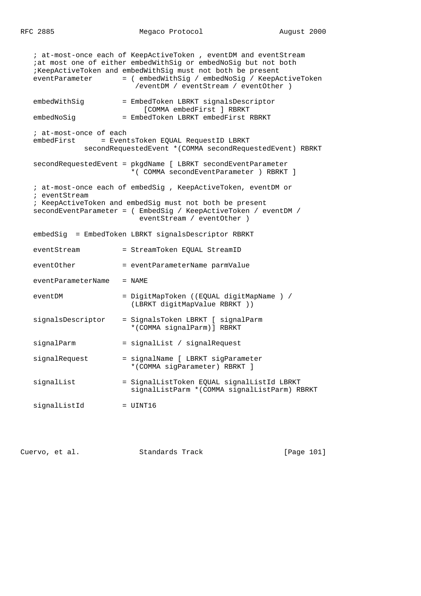RFC 2885 Megaco Protocol August 2000

 ; at-most-once each of KeepActiveToken , eventDM and eventStream ;at most one of either embedWithSig or embedNoSig but not both ;KeepActiveToken and embedWithSig must not both be present eventParameter = (  $embedWithSig$  /  $embedNoSig$  / KeepActiveToken /eventDM / eventStream / eventOther ) embedWithSig = EmbedToken LBRKT signalsDescriptor [COMMA embedFirst ] RBRKT embedNoSiq = EmbedToken LBRKT embedFirst RBRKT ; at-most-once of each embedFirst = EventsToken EQUAL RequestID LBRKT secondRequestedEvent \*(COMMA secondRequestedEvent) RBRKT secondRequestedEvent = pkgdName [ LBRKT secondEventParameter \*( COMMA secondEventParameter ) RBRKT ] ; at-most-once each of embedSig , KeepActiveToken, eventDM or ; eventStream ; KeepActiveToken and embedSig must not both be present secondEventParameter = ( EmbedSig / KeepActiveToken / eventDM / eventStream / eventOther ) embedSig = EmbedToken LBRKT signalsDescriptor RBRKT eventStream = StreamToken EQUAL StreamID eventOther = eventParameterName parmValue eventParameterName = NAME eventDM = DigitMapToken ((EQUAL digitMapName ) / (LBRKT digitMapValue RBRKT )) signalsDescriptor = SignalsToken LBRKT [ signalParm \*(COMMA signalParm)] RBRKT signalParm = signalList / signalRequest signalRequest = signalName [ LBRKT sigParameter \*(COMMA sigParameter) RBRKT ] signalList = SignalListToken EQUAL signalListId LBRKT signalListParm \*(COMMA signalListParm) RBRKT signalListId = UINT16

Cuervo, et al. Standards Track [Page 101]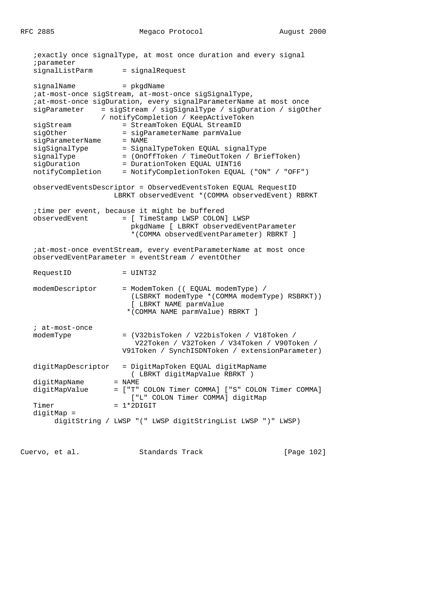|                    | iexactly once signalType, at most once duration and every signal                                                                                   |            |
|--------------------|----------------------------------------------------------------------------------------------------------------------------------------------------|------------|
| iparameter         |                                                                                                                                                    |            |
| signalListParm     | = signalRequest                                                                                                                                    |            |
| signalName         | = pkgdName                                                                                                                                         |            |
|                    | ;at-most-once sigStream, at-most-once sigSignalType,                                                                                               |            |
|                    | iat-most-once sigDuration, every signalParameterName at most once                                                                                  |            |
| siqParameter       | = sigStream / sigSignalType / sigDuration / sigOther                                                                                               |            |
|                    | / notifyCompletion / KeepActiveToken                                                                                                               |            |
| sigStream          | = StreamToken EQUAL StreamID                                                                                                                       |            |
| sigOther           | = sigParameterName parmValue                                                                                                                       |            |
| sigParameterName   | $=$ NAME                                                                                                                                           |            |
| sigSignalType      | = SignalTypeToken EQUAL signalType                                                                                                                 |            |
|                    |                                                                                                                                                    |            |
| signalType         | = (OnOffToken / TimeOutToken / BriefToken)                                                                                                         |            |
| sigDuration        | = DurationToken EQUAL UINT16                                                                                                                       |            |
| notifyCompletion   | = NotifyCompletionToken EQUAL ("ON" / "OFF")                                                                                                       |            |
|                    | observedEventsDescriptor = ObservedEventsToken EQUAL RequestID<br>LBRKT observedEvent *(COMMA observedEvent) RBRKT                                 |            |
|                    | itime per event, because it might be buffered                                                                                                      |            |
| observedEvent      | = [ TimeStamp LWSP COLON] LWSP                                                                                                                     |            |
|                    | pkgdName [ LBRKT observedEventParameter                                                                                                            |            |
|                    | *(COMMA observedEventParameter) RBRKT ]                                                                                                            |            |
|                    |                                                                                                                                                    |            |
|                    | iat-most-once eventStream, every eventParameterName at most once<br>observedEventParameter = eventStream / eventOther                              |            |
| RequestID          | $=$ UINT32                                                                                                                                         |            |
| modemDescriptor    | = ModemToken (( EQUAL modemType) /<br>(LSBRKT modemType * (COMMA modemType) RSBRKT))<br>[ LBRKT NAME parmValue<br>* (COMMA NAME parmValue) RBRKT ] |            |
| ; at-most-once     |                                                                                                                                                    |            |
| modemType          | = (V32bisToken / V22bisToken / V18Token /                                                                                                          |            |
|                    | V22Token / V32Token / V34Token / V90Token /                                                                                                        |            |
|                    |                                                                                                                                                    |            |
|                    | V91Token / SynchISDNToken / extensionParameter)                                                                                                    |            |
| digitMapDescriptor | = DigitMapToken EQUAL digitMapName                                                                                                                 |            |
|                    | ( LBRKT digitMapValue RBRKT )                                                                                                                      |            |
| digitMapName       | $=$ NAME                                                                                                                                           |            |
| digitMapValue      | = ["T" COLON Timer COMMA] ["S" COLON Timer COMMA]                                                                                                  |            |
|                    | ["L" COLON Timer COMMA] digitMap                                                                                                                   |            |
| Timer              | $= 1*2DIGIT$                                                                                                                                       |            |
| $digitMap =$       |                                                                                                                                                    |            |
|                    | digitString / LWSP "(" LWSP digitStringList LWSP ")" LWSP)                                                                                         |            |
|                    |                                                                                                                                                    |            |
| Cuervo, et al.     | Standards Track                                                                                                                                    | [Page 102] |
|                    |                                                                                                                                                    |            |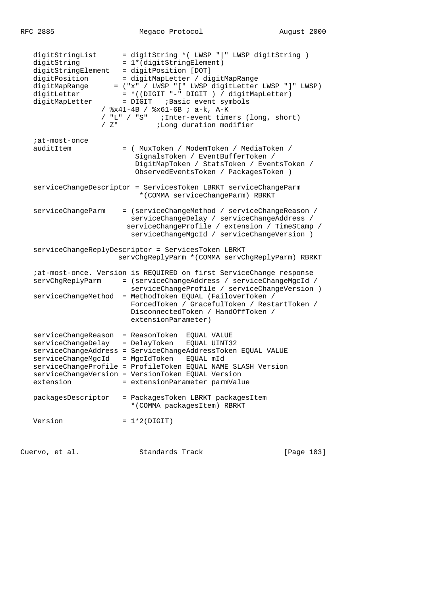| digitStringList<br>digitString<br>digitStringElement<br>digitPosition<br>digitMapRange<br>digitLetter<br>digitMapLetter<br>/Z" | = digitString *( LWSP " " LWSP digitString )<br>= 1*(digitStringElement)<br>= digitPosition [DOT]<br>= digitMapLetter / digitMapRange<br>= ("x" / LWSP "[" LWSP digitLetter LWSP "]" LWSP)<br>= *((DIGIT "-" DIGIT ) / digitMapLetter)<br>= DIGIT : Basic event symbols<br>/ %x41-4B / %x61-6B ; a-k, A-K<br>/ "L" / "S" : Inter-event timers (long, short)<br>;Long duration modifier |
|--------------------------------------------------------------------------------------------------------------------------------|----------------------------------------------------------------------------------------------------------------------------------------------------------------------------------------------------------------------------------------------------------------------------------------------------------------------------------------------------------------------------------------|
| iat-most-once<br>auditItem                                                                                                     | = ( MuxToken / ModemToken / MediaToken /<br>SignalsToken / EventBufferToken /<br>DigitMapToken / StatsToken / EventsToken /<br>ObservedEventsToken / PackagesToken )                                                                                                                                                                                                                   |
|                                                                                                                                | serviceChangeDescriptor = ServicesToken LBRKT serviceChangeParm<br>*(COMMA serviceChangeParm) RBRKT                                                                                                                                                                                                                                                                                    |
| serviceChangeParm                                                                                                              | = (serviceChangeMethod / serviceChangeReason /<br>serviceChangeDelay / serviceChangeAddress /<br>serviceChangeProfile / extension / TimeStamp /<br>serviceChangeMgcId / serviceChangeVersion )                                                                                                                                                                                         |
|                                                                                                                                | serviceChangeReplyDescriptor = ServicesToken LBRKT<br>servChgReplyParm * (COMMA servChgReplyParm) RBRKT                                                                                                                                                                                                                                                                                |
| servChgReplyParm<br>serviceChangeMethod                                                                                        | iat-most-once. Version is REQUIRED on first ServiceChange response<br>= (serviceChangeAddress / serviceChangeMgcId /<br>serviceChangeProfile / serviceChangeVersion )<br>= MethodToken EQUAL (FailoverToken /<br>ForcedToken / GracefulToken / RestartToken /<br>DisconnectedToken / HandOffToken /<br>extensionParameter)                                                             |
| serviceChangeReason<br>serviceChangeDelay = DelayToken<br>serviceChangeMgcId<br>extension                                      | = ReasonToken EQUAL VALUE<br>EQUAL UINT32<br>serviceChangeAddress = ServiceChangeAddressToken EQUAL VALUE<br>= MgcIdToken<br>EQUAL mId<br>serviceChangeProfile = ProfileToken EQUAL NAME SLASH Version<br>serviceChangeVersion = VersionToken EQUAL Version<br>= extensionParameter parmValue                                                                                          |
| packagesDescriptor                                                                                                             | = PackagesToken LBRKT packagesItem<br>*(COMMA packagesItem) RBRKT                                                                                                                                                                                                                                                                                                                      |
| Version                                                                                                                        | $= 1*2(DIGIT)$                                                                                                                                                                                                                                                                                                                                                                         |

Cuervo, et al. Standards Track [Page 103]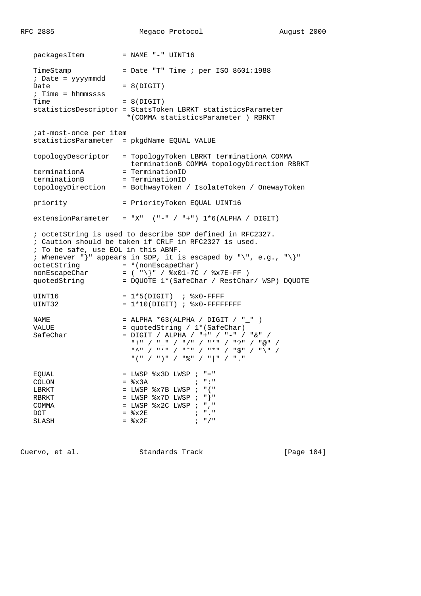|  | RFC 2885                                                                     |                                                                   | Megaco Protocol                                                                                                                                                                                                                                                                                                                               | August 2000 |  |
|--|------------------------------------------------------------------------------|-------------------------------------------------------------------|-----------------------------------------------------------------------------------------------------------------------------------------------------------------------------------------------------------------------------------------------------------------------------------------------------------------------------------------------|-------------|--|
|  | packagesItem                                                                 | $=$ NAME $"$ -" UINT16                                            |                                                                                                                                                                                                                                                                                                                                               |             |  |
|  | TimeStamp<br>; Date = yyyymmdd<br>Date<br>$:$ Time = hhmmssss<br>Time        |                                                                   | = Date "T" Time $i$ per ISO 8601:1988                                                                                                                                                                                                                                                                                                         |             |  |
|  |                                                                              | $= 8(DIGIT)$<br>$= 8(DIGIT)$                                      |                                                                                                                                                                                                                                                                                                                                               |             |  |
|  |                                                                              |                                                                   | statisticsDescriptor = StatsToken LBRKT statisticsParameter<br>*(COMMA statisticsParameter ) RBRKT                                                                                                                                                                                                                                            |             |  |
|  | <i>i</i> at-most-once per item<br>statisticsParameter = pkgdName EQUAL VALUE |                                                                   |                                                                                                                                                                                                                                                                                                                                               |             |  |
|  | topologyDescriptor                                                           |                                                                   | = TopologyToken LBRKT terminationA COMMA<br>terminationB COMMA topologyDirection RBRKT                                                                                                                                                                                                                                                        |             |  |
|  | terminationA                                                                 | = TerminationID                                                   |                                                                                                                                                                                                                                                                                                                                               |             |  |
|  | terminationB<br>topologyDirection                                            | = TerminationID                                                   | = BothwayToken / IsolateToken / OnewayToken                                                                                                                                                                                                                                                                                                   |             |  |
|  | priority                                                                     |                                                                   | = PriorityToken EQUAL UINT16                                                                                                                                                                                                                                                                                                                  |             |  |
|  | extensionParameter                                                           |                                                                   | $= "X"$ ("-" / "+") $1*6(ALPHA / DIGIT)$                                                                                                                                                                                                                                                                                                      |             |  |
|  | ; To be safe, use EOL in this ABNF.                                          |                                                                   | ; octetString is used to describe SDP defined in RFC2327.<br>; Caution should be taken if CRLF in RFC2327 is used.<br>; Whenever "}" appears in SDP, it is escaped by "\", e.g., "\}"<br>octetString = $*(\text{nonEscapeChar})$<br>nonEscapeChar = $(*\n\\ *&01-7C / *x7E-FF )$<br>quotedString = DQUOTE 1*(SafeChar / RestChar/ WSP) DQUOTE |             |  |
|  | UINT16<br>UINT32                                                             |                                                                   | $= 1*5(DIGIT)$ ; $x0-FFFF$<br>$= 1*10(DIGIT)$ ; $8x0-FFFFFFFF$                                                                                                                                                                                                                                                                                |             |  |
|  | NAME<br>VALUE<br>SafeChar                                                    |                                                                   | = ALPHA *63(ALPHA / DIGIT / " " )<br>= quotedString / 1*(SafeChar)<br>= DIGIT / ALPHA / "+" / "-" / "&" /<br>/ "@" / " " / "/" / "' / "', " / " / "   " / "   "<br>"스" / " '" / "~ " / "* " / "\$ " / " \ " /<br>"(" / ")" / "응" / " " / "."                                                                                                  |             |  |
|  | EQUAL<br><b>COLON</b><br>LBRKT<br>RBRKT<br>COMMA<br>DOT<br>SLASH             | $=$ $8x3A$<br>$=$ LWSP $8x7D$ LWSP ;<br>$=$ $\&x2E$<br>$=$ $8x2F$ | $=$ LWSP $8x3D$ LWSP ; "="<br>$\mathcal{L}$ , $\mathcal{L}$ , $\mathcal{L}$ , $\mathcal{L}$ , $\mathcal{L}$ , $\mathcal{L}$<br>= LWSP $8x7B$ LWSP ; " $\{$ "<br>$"$ } "<br>= LWSP %x2C LWSP ; ", "<br>$\mathcal{V} = \mathcal{V}$ .<br>$; "$ /"                                                                                               |             |  |

Cuervo, et al. Standards Track [Page 104]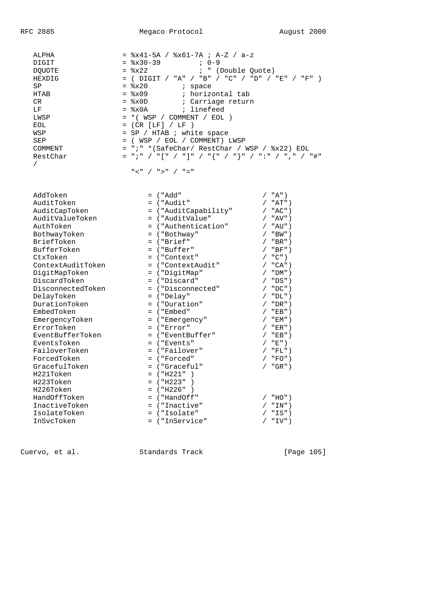ALPHA = %x41-5A / %x61-7A ; A-Z / a-z  $DIGIT$  =  $x30-39$  ; 0-9  $DQUOTE$  =  $x22$  ; "(Double Quote) HEXDIG = ( DIGIT / "A" / "B" / "C" / "D" / "E" / "F" )  $SP$  =  $\frac{1}{2}x20$  ; space HTAB  $=$   $2\pi$ 09  $\pi$  horizontal tab CR = %x0D ; Carriage return  $LF$  =  $*x0A$  ; linefeed  $LWSP$  = \*( $WSP$  / COMMENT / EOL )  $EOL$  = (CR  $[LF] / LF$  ) WSP  $=$  SP / HTAB ; white space SEP = (WSP / EOL / COMMENT) LWSP COMMENT = ";" \*(SafeChar/ RestChar / WSP / %x22) EOL RestChar = ";" / "[" / "]" / "{" / "}" / ":" / "," / "#" /  $\mathbb{Z}^n$  /  $\mathbb{Z}^n$  /  $\mathbb{Z}^n$  /  $\mathbb{Z}^n$  /  $\mathbb{Z}^n$  /  $\mathbb{Z}^n$  AddToken = ("Add" / "A") AuditToken = ("Audit" / "AT") AuditCapToken = ("AuditCapability" / "AC") AuditValueToken = ("AuditValue" / "AV") AuthToken = ("Authentication" / "AU") BothwayToken ("Bothway" / "BW") BriefToken = ("Brief" / "BR")  $\text{BufferToken}$  = ("Buffer" / "BF") CtxToken = ("Context" / "C") ContextAuditToken = ("ContextAudit" / "CA") DigitMapToken = ("DigitMap" / "DM") DiscardToken = ("Discard" / "DS") DisconnectedToken = ("Disconnected" / "DC") DelayToken = ("Delay" / "DL") DurationToken = ("Duration" / "DR") EmbedToken = ("Embed" / "EB") EmergencyToken = ("Emergency" / "EM") ErrorToken = ("Error" / "ER") EventBufferToken = ("EventBuffer" / "EB") EventsToken = ("Events" / "E") FailoverToken ("Failover" / "FL") ForcedToken = ("Forced" / "FO") GracefulToken = ("Graceful" / "GR") H221Token = ("H221" ) H223Token = ("H223" ) H226Token = ("H226" ) HandOffToken = ("HandOff" / "HO") InactiveToken = ("Inactive" / "IN") IsolateToken = ("Isolate" / "IS") InSvcToken = ("InService" / "IV")

Cuervo, et al. Standards Track [Page 105]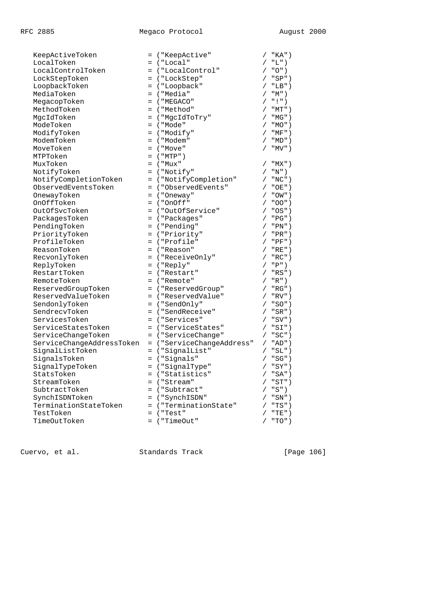| KeepActiveToken           | = ("KeepActive"           |            | $"KA"$ )  |
|---------------------------|---------------------------|------------|-----------|
| LocalToken                | = ("Local"                |            | "L")      |
| LocalControlToken         | = ("LocalControl"         |            | "O")      |
| LockStepToken             | = ("LockStep"             |            | $"SP"$ )  |
| LoopbackToken             | = ("Loopback"             |            | $/$ "LB") |
| MediaToken                | = ("Media"                |            | $"M"$ )   |
| MegacopToken              | $=$ ("MEGACO"             |            | " ' "     |
| MethodToken               | = ("Method"               |            | "MT")     |
| MgcIdToken                | = ("MgcIdToTry"           |            | "MG")     |
| ModeToken                 | = ("Mode"                 |            | $"MO"$ )  |
| ModifyToken               | = ("Modify"               |            | $"MF"$ )  |
| ModemToken                | = ("Modem"                |            | "MD" )    |
| MoveToken                 | $=$ ("Move"               | $\sqrt{2}$ | " $MV"$ ) |
| MTPToken                  | $=$ ("MTP")               |            |           |
| MuxToken                  | = ("Mux"                  |            | "MX")     |
| NotifyToken               | = ("Notify"               |            | "N")      |
| NotifyCompletionToken     | = ("NotifyCompletion"     |            | " $NC"$ ) |
| ObservedEventsToken       | = ("ObservedEvents"       |            | $"OE"$ )  |
| OnewayToken               | = ("Oneway"               |            | "OW" )    |
| OnOffToken                | $=$ ("OnOff"              | $\sqrt{2}$ | $"OO"$ )  |
| OutOfSvcToken             | = ("OutOfService"         |            | $"OS"$ )  |
| PackagesToken             | = ("Packages"             |            | " $PG"$ ) |
| PendingToken              | = ("Pending"              |            | $"PN"$ )  |
| PriorityToken             | = ("Priority"             |            | $"PR"$ )  |
| ProfileToken              | = ("Profile"              |            | $"PF"$ )  |
| ReasonToken               | = ("Reason"               |            | $"RE"$ )  |
| RecvonlyToken             | = ("ReceiveOnly"          |            | $"RC"$ )  |
| ReplyToken                | $=$ ("Reply"              |            | "P")      |
| RestartToken              | = ("Restart"              | $\sqrt{2}$ | $"RS"$ )  |
| RemoteToken               | = ("Remote"               |            | "R")      |
| ReservedGroupToken        | = ("ReservedGroup"        | $\sqrt{2}$ | " $RG$ ") |
| ReservedValueToken        | = ("ReservedValue"        |            | "RV"      |
| SendonlyToken             | = ("SendOnly"             |            | $"SO"$ )  |
| SendrecvToken             | = ("SendReceive"          |            | $"SR"$ )  |
| ServicesToken             | = ("Services"             | $\sqrt{2}$ | $"SV"$ )  |
| ServiceStatesToken        | = ("ServiceStates"        |            | $"SI"$ )  |
| ServiceChangeToken        | = ("ServiceChange"        |            | $"SC"$ )  |
| ServiceChangeAddressToken | = ("ServiceChangeAddress" |            | $"AD"$ )  |
| SignalListToken           | = ("SignalList"           |            | $"SL"$ )  |
| SignalsToken              | = ("Signals"              |            | $"SG"$ )  |
| SignalTypeToken           | = ("SignalType"           | $\sqrt{2}$ | $"SY"$ )  |
| StatsToken                | = ("Statistics"           |            | $/$ "SA") |
| StreamToken               | = ("Stream"               |            | $"ST"$ )  |
| SubtractToken             | = ("Subtract"             |            | "S")      |
| SynchISDNToken            | = ("SynchISDN"            |            | $"SN"$ )  |
| TerminationStateToken     | = ("TerminationState"     |            | "TS")     |
| TestToken                 | $=$ ("Test"               |            | $"TE"$ )  |
| TimeOutToken              | = ("TimeOut"              |            | $"TO"$ )  |

Cuervo, et al. Standards Track [Page 106]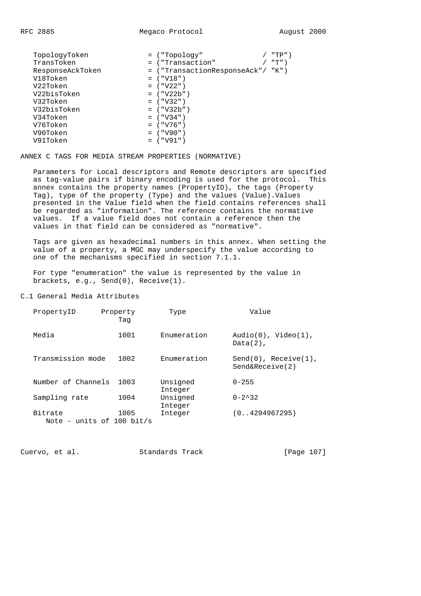| TopologyToken    | = ("Topology"                     | "TP") |
|------------------|-----------------------------------|-------|
| TransToken       | = ("Transaction"                  | "T")  |
| ResponseAckToken | = ("TransactionResponseAck"/ "K") |       |
| V18Token         | $=$ ("V18")                       |       |
| V22Token         | $=$ ("V22")                       |       |
| V22bisToken      | $=$ ("V22b")                      |       |
| V32Token         | $=$ ("V32")                       |       |
| V32bisToken      | $=$ ("V32b")                      |       |
| V34Token         | $=$ ("V34")                       |       |
| V76Token         | $=$ ("V76")                       |       |
| V90Token         | $=$ ("V90")                       |       |
| V91Token         | $=$ ("V91")                       |       |

ANNEX C TAGS FOR MEDIA STREAM PROPERTIES (NORMATIVE)

 Parameters for Local descriptors and Remote descriptors are specified as tag-value pairs if binary encoding is used for the protocol. This annex contains the property names (PropertyID), the tags (Property Tag), type of the property (Type) and the values (Value).Values presented in the Value field when the field contains references shall be regarded as "information". The reference contains the normative values. If a value field does not contain a reference then the values in that field can be considered as "normative".

 Tags are given as hexadecimal numbers in this annex. When setting the value of a property, a MGC may underspecify the value according to one of the mechanisms specified in section 7.1.1.

 For type "enumeration" the value is represented by the value in brackets, e.g., Send(0), Receive(1).

C.1 General Media Attributes

| PropertyID         | Property<br>Taq                   | Type                | Value                                         |
|--------------------|-----------------------------------|---------------------|-----------------------------------------------|
| Media              | 1001                              | Enumeration         | $Audio(0)$ , $Video(1)$ ,<br>$Data(2)$ ,      |
| Transmission mode  | 1002                              | Enumeration         | $Send(0)$ , $Receive(1)$ ,<br>Send&Receive(2) |
| Number of Channels | 1003                              | Unsigned<br>Integer | $0 - 255$                                     |
| Sampling rate      | 1004                              | Unsigned<br>Integer | $0 - 2^{\lambda}32$                           |
| Bitrate            | 1005<br>Note - units of 100 bit/s | Integer             | (0.14294967295)                               |

Cuervo, et al. Standards Track [Page 107]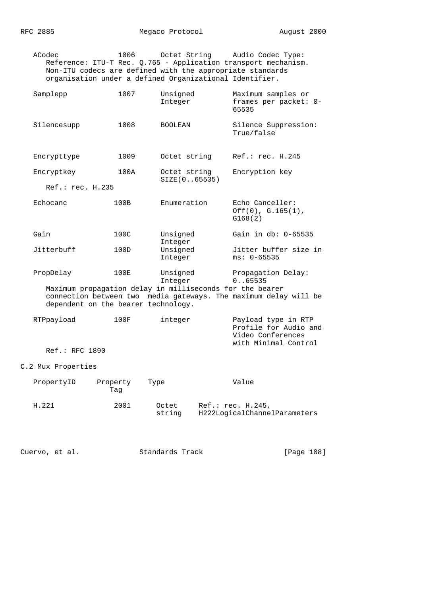ACodec 1006 Octet String Audio Codec Type: Reference: ITU-T Rec. Q.765 - Application transport mechanism. Non-ITU codecs are defined with the appropriate standards organisation under a defined Organizational Identifier.

| Samplepp                            | 1007     | Unsigned<br>Integer                                      | Maximum samples or<br>frames per packet: 0-<br>65535                                      |
|-------------------------------------|----------|----------------------------------------------------------|-------------------------------------------------------------------------------------------|
| Silencesupp                         | 1008     | <b>BOOLEAN</b>                                           | Silence Suppression:<br>True/false                                                        |
| Encrypttype                         | 1009     | Octet string                                             | Ref.: rec. H.245                                                                          |
| Encryptkey                          | 100A     | Octet string<br>SIZE(065535)                             | Encryption key                                                                            |
| Ref.: rec. H.235                    |          |                                                          |                                                                                           |
| Echocanc                            | 100B     | Enumeration                                              | Echo Canceller:<br>Off(0), G.165(1),<br>G168(2)                                           |
| Gain                                | 100C     | Unsigned<br>Integer                                      | Gain in db: 0-65535                                                                       |
| Jitterbuff                          | 100D     | Unsigned<br>Integer                                      | Jitter buffer size in<br>$ms: 0-65535$                                                    |
| PropDelay                           | 100E     | Unsigned<br>Integer                                      | Propagation Delay:<br>0.065535                                                            |
| dependent on the bearer technology. |          | Maximum propagation delay in milliseconds for the bearer | connection between two media gateways. The maximum delay will be                          |
| RTPpayload                          | 100F     | integer                                                  | Payload type in RTP<br>Profile for Audio and<br>Video Conferences<br>with Minimal Control |
| Ref.: RFC 1890                      |          |                                                          |                                                                                           |
| C.2 Mux Properties                  |          |                                                          |                                                                                           |
| PropertyID                          | Property | Type                                                     | Value                                                                                     |

|       | Taq  |                 |                                                   |
|-------|------|-----------------|---------------------------------------------------|
| H.221 | 2001 | Octet<br>string | Ref.: rec. H.245,<br>H222LogicalChannelParameters |

Cuervo, et al. Standards Track [Page 108]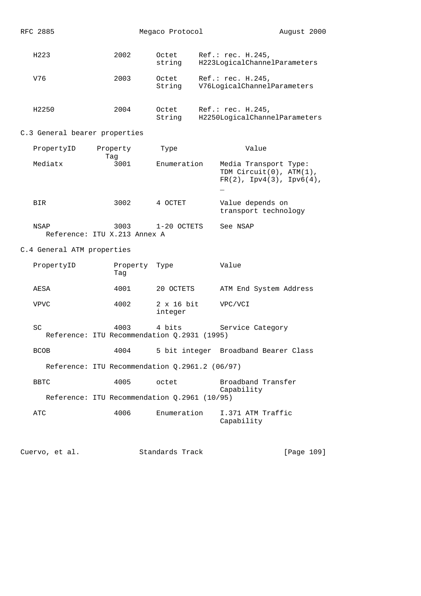| RFC 2885                      |                                                     | Megaco Protocol              | August 2000                                                                           |
|-------------------------------|-----------------------------------------------------|------------------------------|---------------------------------------------------------------------------------------|
| H223                          | 2002                                                | Octet<br>string              | Ref.: rec. H.245,<br>H223LogicalChannelParameters                                     |
| V76                           | 2003                                                | Octet<br>String              | Ref.: rec. H.245,<br>V76LogicalChannelParameters                                      |
| H2250                         | 2004                                                | Octet<br>String              | Ref.: rec. H.245,<br>H2250LogicalChannelParameters                                    |
| C.3 General bearer properties |                                                     |                              |                                                                                       |
| PropertyID                    | Property                                            | Type                         | Value                                                                                 |
| Mediatx                       | Tag<br>3001                                         | Enumeration                  | Media Transport Type:<br>TDM Circuit(0), ATM(1),<br>$FR(2)$ , $Ipv4(3)$ , $Ipv6(4)$ , |
| BIR                           | 3002                                                | 4 OCTET                      | Value depends on<br>transport technology                                              |
| NSAP                          | 3003<br>Reference: ITU X.213 Annex A                | 1-20 OCTETS                  | See NSAP                                                                              |
| C.4 General ATM properties    |                                                     |                              |                                                                                       |
| PropertyID                    | Property<br>Tag                                     | Type                         | Value                                                                                 |
| AESA                          | 4001                                                | 20 OCTETS                    | ATM End System Address                                                                |
| <b>VPVC</b>                   | 4002                                                | $2 \times 16$ bit<br>integer | VPC/VCI                                                                               |
| SC                            | 4003<br>Reference: ITU Recommendation Q.2931 (1995) | 4 bits                       | Service Category                                                                      |
| <b>BCOB</b>                   | 4004                                                |                              | 5 bit integer Broadband Bearer Class                                                  |
|                               | Reference: ITU Recommendation Q.2961.2 (06/97)      |                              |                                                                                       |
| <b>BBTC</b>                   | 4005                                                | octet                        | Broadband Transfer                                                                    |
|                               | Reference: ITU Recommendation Q.2961 (10/95)        |                              | Capability                                                                            |
| ATC                           | 4006                                                | Enumeration                  | I.371 ATM Traffic<br>Capability                                                       |
|                               |                                                     |                              |                                                                                       |

Cuervo, et al. Standards Track [Page 109]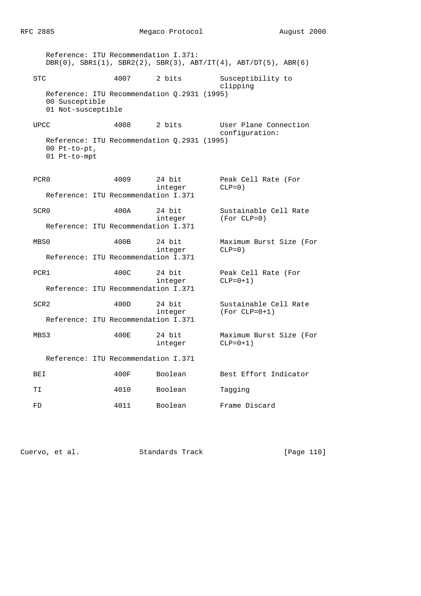RFC 2885 Megaco Protocol August 2000

 Reference: ITU Recommendation I.371: DBR(0), SBR1(1), SBR2(2), SBR(3), ABT/IT(4), ABT/DT(5), ABR(6) STC 4007 2 bits Susceptibility to clipping Reference: ITU Recommendation Q.2931 (1995) 00 Susceptible 01 Not-susceptible UPCC 4008 2 bits User Plane Connection configuration: Reference: ITU Recommendation Q.2931 (1995) 00 Pt-to-pt, 01 Pt-to-mpt PCR0 4009 24 bit Peak Cell Rate (For integer CLP=0) Reference: ITU Recommendation I.371 SCR0 400A 24 bit Sustainable Cell Rate integer (For CLP=0) Reference: ITU Recommendation I.371 MBS0 400B 24 bit Maximum Burst Size (For integer CLP=0) Reference: ITU Recommendation I.371 PCR1 400C 24 bit Peak Cell Rate (For integer reak Cel<br>integer CLP=0+1) Reference: ITU Recommendation I.371 SCR2 400D 24 bit Sustainable Cell Rate<br>integer (For CLP=0+1)  $(For CLP=0+1)$  Reference: ITU Recommendation I.371 MBS3 400E 24 bit Maximum Burst Size (For integer CLP=0+1) Reference: ITU Recommendation I.371 BEI 400F Boolean Best Effort Indicator TI 1010 Boolean Tagging FD 4011 Boolean Frame Discard

Cuervo, et al. Standards Track [Page 110]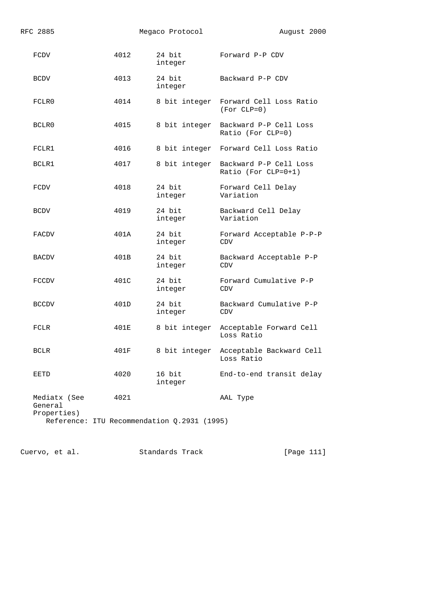| RFC 2885                               |      | Megaco Protocol                             | August 2000                                      |
|----------------------------------------|------|---------------------------------------------|--------------------------------------------------|
| FCDV                                   | 4012 | 24 bit<br>integer                           | Forward P-P CDV                                  |
| <b>BCDV</b>                            | 4013 | 24 bit<br>integer                           | Backward P-P CDV                                 |
| FCLR0                                  | 4014 | 8 bit integer                               | Forward Cell Loss Ratio<br>$(For CLP=0)$         |
| BCLR0                                  | 4015 | 8 bit integer                               | Backward P-P Cell Loss<br>Ratio (For CLP=0)      |
| FCLR1                                  | 4016 | 8 bit integer                               | Forward Cell Loss Ratio                          |
| BCLR1                                  | 4017 | 8 bit integer                               | Backward P-P Cell Loss<br>Ratio (For $CLP=0+1$ ) |
| FCDV                                   | 4018 | 24 bit<br>integer                           | Forward Cell Delay<br>Variation                  |
| <b>BCDV</b>                            | 4019 | 24 bit<br>integer                           | Backward Cell Delay<br>Variation                 |
| FACDV                                  | 401A | 24 bit<br>integer                           | Forward Acceptable P-P-P<br><b>CDV</b>           |
| BACDV                                  | 401B | 24 bit<br>integer                           | Backward Acceptable P-P<br><b>CDV</b>            |
| <b>FCCDV</b>                           | 401C | 24 bit<br>integer                           | Forward Cumulative P-P<br>CDV                    |
| <b>BCCDV</b>                           | 401D | 24 bit<br>integer                           | Backward Cumulative P-P<br>CDV                   |
| FCLR                                   | 401E | 8 bit integer                               | Acceptable Forward Cell<br>Loss Ratio            |
| <b>BCLR</b>                            | 401F | 8 bit integer                               | Acceptable Backward Cell<br>Loss Ratio           |
| EETD                                   | 4020 | 16 bit<br>integer                           | End-to-end transit delay                         |
| Mediatx (See<br>General<br>Properties) | 4021 |                                             | AAL Type                                         |
|                                        |      | Reference: ITU Recommendation Q.2931 (1995) |                                                  |

Cuervo, et al. Standards Track [Page 111]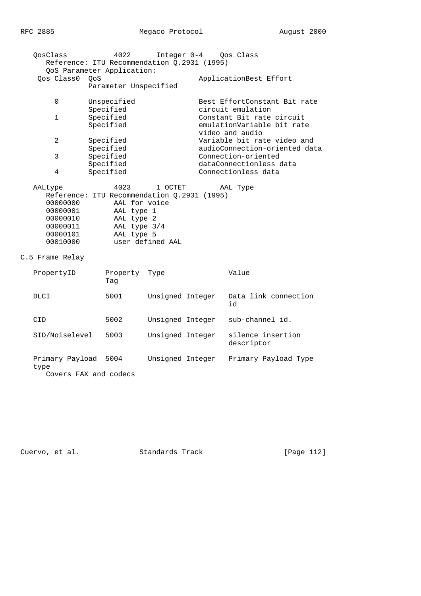| OosClass        | 4022                                        | Integer 0-4 Oos Class         |
|-----------------|---------------------------------------------|-------------------------------|
|                 | Reference: ITU Recommendation Q.2931 (1995) |                               |
|                 | QoS Parameter Application:                  |                               |
| Oos Class0 OoS  |                                             | ApplicationBest Effort        |
|                 | Parameter Unspecified                       |                               |
| $\Omega$        | Unspecified                                 | Best EffortConstant Bit rate  |
|                 | Specified                                   | circuit emulation             |
| $\mathbf{1}$    | Specified                                   | Constant Bit rate circuit     |
|                 | Specified                                   | emulationVariable bit rate    |
|                 |                                             | video and audio               |
| $\mathfrak{D}$  | Specified                                   | Variable bit rate video and   |
|                 | Specified                                   | audioConnection-oriented data |
| 3               | Specified                                   | Connection-oriented           |
|                 | Specified                                   | dataConnectionless data       |
| 4               | Specified                                   | Connectionless data           |
|                 |                                             |                               |
| AALtype         | 4023<br>1 OCTET                             | AAL Type                      |
|                 | Reference: ITU Recommendation Q.2931 (1995) |                               |
| 00000000        | AAL for voice                               |                               |
| 00000001        | AAL type 1                                  |                               |
| 00000010        | AAL type 2                                  |                               |
| 00000011        | AAL type 3/4                                |                               |
| 00000101        | AAL type 5                                  |                               |
| 00010000        | user defined AAL                            |                               |
| C.5 Frame Relay |                                             |                               |
| PropertyID      | Property<br>Type                            | Value                         |

|                                                  | Taq  |                  |                                 |
|--------------------------------------------------|------|------------------|---------------------------------|
| DLCI                                             | 5001 | Unsigned Integer | Data link connection<br>id      |
| CID                                              | 5002 | Unsigned Integer | sub-channel id.                 |
| SID/Noiselevel                                   | 5003 | Unsigned Integer | silence insertion<br>descriptor |
| Primary Payload<br>type<br>Covers FAX and codecs | 5004 | Unsigned Integer | Primary Payload Type            |

Cuervo, et al. Standards Track [Page 112]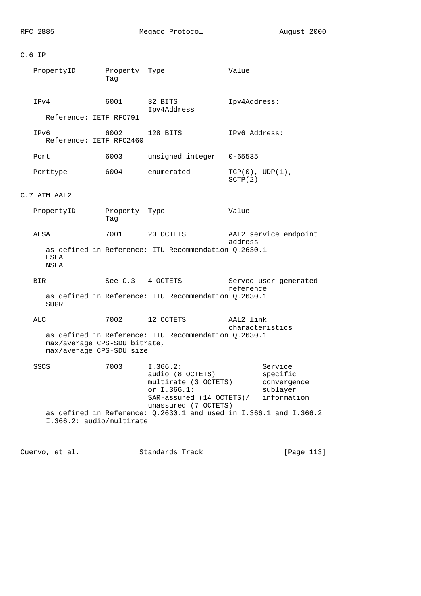# C.6 IP

| PropertyID                                               | Property Type<br>Tag |                                                                                                                         | Value                                                             |
|----------------------------------------------------------|----------------------|-------------------------------------------------------------------------------------------------------------------------|-------------------------------------------------------------------|
| IPv4<br>Reference: IETF RFC791                           | 6001                 | 32 BITS<br>Ipv4Address                                                                                                  | Ipv4Address:                                                      |
| IPv6<br>Reference: IETF RFC2460                          | 6002                 | 128 BITS                                                                                                                | IPv6 Address:                                                     |
| Port                                                     | 6003                 | unsigned integer                                                                                                        | $0 - 65535$                                                       |
| Porttype                                                 | 6004                 | enumerated                                                                                                              | TCP(0), UDP(1),<br>SCTP(2)                                        |
| C.7 ATM AAL2                                             |                      |                                                                                                                         |                                                                   |
| PropertyID                                               | Property Type<br>Tag |                                                                                                                         | Value                                                             |
| AESA                                                     | 7001                 | 20 OCTETS                                                                                                               | AAL2 service endpoint<br>address                                  |
| ESEA<br>NSEA                                             |                      | as defined in Reference: ITU Recommendation Q.2630.1                                                                    |                                                                   |
| BIR.                                                     | See C.3 4 OCTETS     |                                                                                                                         | Served user generated<br>reference                                |
| SUGR                                                     |                      | as defined in Reference: ITU Recommendation Q.2630.1                                                                    |                                                                   |
| ALC                                                      | 7002                 | 12 OCTETS                                                                                                               | AAL2 link<br>characteristics                                      |
| max/average CPS-SDU bitrate,<br>max/average CPS-SDU size |                      | as defined in Reference: ITU Recommendation Q.2630.1                                                                    |                                                                   |
| <b>SSCS</b>                                              | 7003                 | I.366.2:<br>audio (8 OCTETS)<br>multirate (3 OCTETS)<br>or I.366.1:<br>SAR-assured (14 OCTETS)/<br>unassured (7 OCTETS) | Service<br>specific<br>convergence<br>sublayer<br>information     |
| I.366.2: audio/multirate                                 |                      |                                                                                                                         | as defined in Reference: 0.2630.1 and used in I.366.1 and I.366.2 |

Cuervo, et al. Standards Track [Page 113]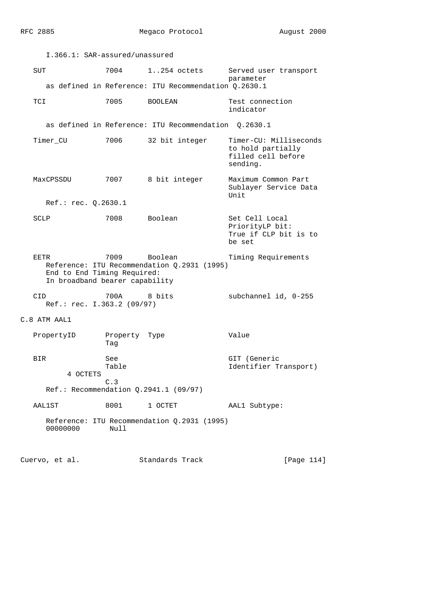| I.366.1: SAR-assured/unassured                                        |                            |                                                        |                                                                               |
|-----------------------------------------------------------------------|----------------------------|--------------------------------------------------------|-------------------------------------------------------------------------------|
| SUT                                                                   | 7004                       | $1.254$ octets                                         | Served user transport<br>parameter                                            |
|                                                                       |                            | as defined in Reference: ITU Recommendation Q.2630.1   |                                                                               |
| TCI                                                                   | 7005                       | BOOLEAN                                                | Test connection<br>indicator                                                  |
|                                                                       |                            | as defined in Reference: ITU Recommendation Q.2630.1   |                                                                               |
| Timer_CU                                                              | 7006                       | 32 bit integer                                         | Timer-CU: Milliseconds<br>to hold partially<br>filled cell before<br>sending. |
| MaxCPSSDU                                                             | 7007                       | 8 bit integer                                          | Maximum Common Part<br>Sublayer Service Data<br>Unit                          |
| Ref.: rec. Q.2630.1                                                   |                            |                                                        |                                                                               |
| SCLP                                                                  | 7008                       | Boolean                                                | Set Cell Local<br>PriorityLP bit:<br>True if CLP bit is to<br>be set          |
| EETR<br>End to End Timing Required:<br>In broadband bearer capability | 7009                       | Boolean<br>Reference: ITU Recommendation Q.2931 (1995) | Timing Requirements                                                           |
| CID<br>Ref.: rec. I.363.2 (09/97)                                     | 700A                       | 8 bits                                                 | subchannel id, 0-255                                                          |
| C.8 ATM AAL1                                                          |                            |                                                        |                                                                               |
| PropertyID                                                            | Property Type<br>Taq       |                                                        | Value                                                                         |
| BIR.<br>4 OCTETS                                                      | <b>See</b><br>Table<br>C.3 | $Ref.:$ Recommendation $Q.2941.1$ (09/97)              | GIT (Generic<br>Identifier Transport)                                         |
| AAL1ST                                                                | 8001                       | 1 OCTET                                                | AAL1 Subtype:                                                                 |
| 00000000                                                              | Null                       | Reference: ITU Recommendation Q.2931 (1995)            |                                                                               |
| Cuervo, et al.                                                        |                            | Standards Track                                        | [Page 114]                                                                    |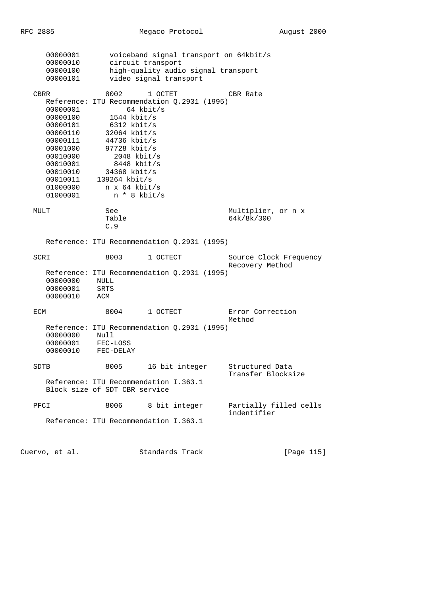| 00000001             |                                             |             | voiceband signal transport on 64kbit/s |                                           |
|----------------------|---------------------------------------------|-------------|----------------------------------------|-------------------------------------------|
| 00000010             | circuit transport                           |             |                                        |                                           |
| 00000100             |                                             |             | high-quality audio signal transport    |                                           |
| 00000101             | video signal transport                      |             |                                        |                                           |
| CBRR                 | 8002                                        | 1 OCTET     |                                        | CBR Rate                                  |
|                      | Reference: ITU Recommendation Q.2931 (1995) |             |                                        |                                           |
| 00000001             |                                             | $64$ kbit/s |                                        |                                           |
| 00000100             | $1544$ kbit/s                               |             |                                        |                                           |
| 00000101             | $6312$ kbit/s                               |             |                                        |                                           |
| 00000110             | $32064$ kbit/s                              |             |                                        |                                           |
| 00000111             | 44736 kbit/s                                |             |                                        |                                           |
| 00001000             | $97728$ kbit/s                              |             |                                        |                                           |
| 00010000             | $2048$ kbit/s                               |             |                                        |                                           |
| 00010001<br>00010010 | $8448$ kbit/s<br>34368 kbit/s               |             |                                        |                                           |
| 00010011             | $139264$ kbit/s                             |             |                                        |                                           |
| 01000000             | n x 64 kbit/s                               |             |                                        |                                           |
| 01000001             | n * 8 kbit/s                                |             |                                        |                                           |
| MULT                 | See                                         |             |                                        | Multiplier, or n x                        |
|                      | Table                                       |             |                                        | 64k/8k/300                                |
|                      | C.9                                         |             |                                        |                                           |
|                      | Reference: ITU Recommendation Q.2931 (1995) |             |                                        |                                           |
| SCRI                 | 8003                                        | 1 OCTECT    |                                        | Source Clock Frequency<br>Recovery Method |
|                      | Reference: ITU Recommendation Q.2931 (1995) |             |                                        |                                           |
| 00000000             | NULL                                        |             |                                        |                                           |
| 00000001             | <b>SRTS</b>                                 |             |                                        |                                           |
| 00000010             | ACM                                         |             |                                        |                                           |
| ECM                  | 8004                                        | 1 OCTECT    |                                        | Error Correction                          |
|                      |                                             |             |                                        | Method                                    |
|                      | Reference: ITU Recommendation Q.2931 (1995) |             |                                        |                                           |
| 00000000             | Null                                        |             |                                        |                                           |
| 00000001             | FEC-LOSS                                    |             |                                        |                                           |
| 00000010             | FEC-DELAY                                   |             |                                        |                                           |
| SDTB                 | 8005                                        |             | 16 bit integer                         | Structured Data                           |
|                      | Reference: ITU Recommendation I.363.1       |             |                                        | Transfer Blocksize                        |
|                      | Block size of SDT CBR service               |             |                                        |                                           |
|                      |                                             |             |                                        |                                           |
| PFCI                 | 8006                                        |             | 8 bit integer                          | Partially filled cells                    |
|                      | Reference: ITU Recommendation I.363.1       |             |                                        | indentifier                               |
|                      |                                             |             |                                        |                                           |
| Cuervo, et al.       |                                             |             | Standards Track                        | [Page 115]                                |
|                      |                                             |             |                                        |                                           |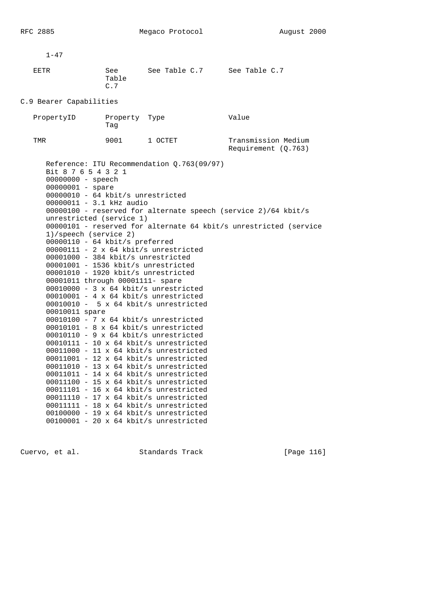$1 - 47$  EETR See See Table C.7 See Table C.7 Table C.7 C.9 Bearer Capabilities PropertyID Property Type Value Tag TMR 9001 1 OCTET Transmission Medium Requirement (Q.763) Reference: ITU Recommendation Q.763(09/97) Bit 8 7 6 5 4 3 2 1 00000000 - speech 00000001 - spare 00000010 - 64 kbit/s unrestricted 00000011 - 3.1 kHz audio 00000100 - reserved for alternate speech (service 2)/64 kbit/s unrestricted (service 1) 00000101 - reserved for alternate 64 kbit/s unrestricted (service 1)/speech (service 2) 00000110 - 64 kbit/s preferred 00000111 - 2 x 64 kbit/s unrestricted 00001000 - 384 kbit/s unrestricted 00001001 - 1536 kbit/s unrestricted 00001010 - 1920 kbit/s unrestricted 00001011 through 00001111- spare 00010000 - 3 x 64 kbit/s unrestricted 00010001 - 4 x 64 kbit/s unrestricted 00010010 - 5 x 64 kbit/s unrestricted 00010011 spare 00010100 - 7 x 64 kbit/s unrestricted 00010101 - 8 x 64 kbit/s unrestricted 00010110 - 9 x 64 kbit/s unrestricted 00010111 - 10 x 64 kbit/s unrestricted 00011000 - 11 x 64 kbit/s unrestricted 00011001 - 12 x 64 kbit/s unrestricted 00011010 - 13 x 64 kbit/s unrestricted 00011011 - 14 x 64 kbit/s unrestricted 00011100 - 15 x 64 kbit/s unrestricted 00011101 - 16 x 64 kbit/s unrestricted 00011110 - 17 x 64 kbit/s unrestricted 00011111 - 18 x 64 kbit/s unrestricted 00100000 - 19 x 64 kbit/s unrestricted

Cuervo, et al. Standards Track [Page 116]

00100001 - 20 x 64 kbit/s unrestricted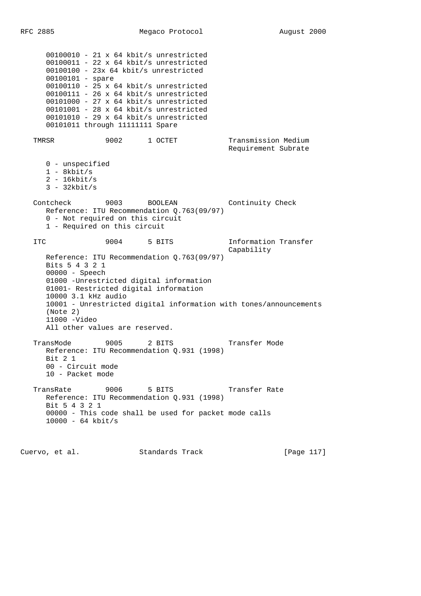```
 00100010 - 21 x 64 kbit/s unrestricted
   00100011 - 22 x 64 kbit/s unrestricted
   00100100 - 23x 64 kbit/s unrestricted
   00100101 - spare
   00100110 - 25 x 64 kbit/s unrestricted
   00100111 - 26 x 64 kbit/s unrestricted
   00101000 - 27 x 64 kbit/s unrestricted
   00101001 - 28 x 64 kbit/s unrestricted
   00101010 - 29 x 64 kbit/s unrestricted
   00101011 through 11111111 Spare
TMRSR 5002 1 OCTET Transmission Medium
                                           Requirement Subrate
   0 - unspecified
   1 - 8kbit/s
   2 - 16kbit/s
   3 - 32kbit/s
Contcheck 9003 BOOLEAN Continuity Check
   Reference: ITU Recommendation Q.763(09/97)
   0 - Not required on this circuit
   1 - Required on this circuit
ITC 3004 5 BITS 1nformation Transfer
                                            Capability
   Reference: ITU Recommendation Q.763(09/97)
   Bits 5 4 3 2 1
   00000 - Speech
   01000 -Unrestricted digital information
   01001- Restricted digital information
   10000 3.1 kHz audio
   10001 - Unrestricted digital information with tones/announcements
   (Note 2)
   11000 -Video
   All other values are reserved.
 TransMode 9005 2 BITS Transfer Mode
   Reference: ITU Recommendation Q.931 (1998)
   Bit 2 1
   00 - Circuit mode
   10 - Packet mode
```
RFC 2885 Megaco Protocol August 2000

TransRate 9006 5 BITS Transfer Rate Reference: ITU Recommendation Q.931 (1998) Bit 5 4 3 2 1 00000 - This code shall be used for packet mode calls 10000 - 64 kbit/s

Cuervo, et al. Standards Track [Page 117]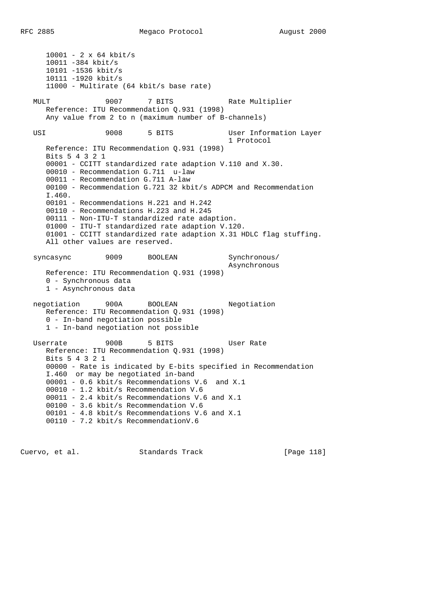10001 - 2 x 64 kbit/s 10011 -384 kbit/s 10101 -1536 kbit/s 10111 -1920 kbit/s 11000 - Multirate (64 kbit/s base rate) MULT 5007 7 BITS Rate Multiplier Reference: ITU Recommendation Q.931 (1998) Any value from 2 to n (maximum number of B-channels) USI 9008 5 BITS User Information Layer 1 Protocol Reference: ITU Recommendation Q.931 (1998) Bits 5 4 3 2 1 00001 - CCITT standardized rate adaption V.110 and X.30. 00010 - Recommendation G.711 u-law 00011 - Recommendation G.711 A-law 00100 - Recommendation G.721 32 kbit/s ADPCM and Recommendation I.460. 00101 - Recommendations H.221 and H.242 00110 - Recommendations H.223 and H.245 00111 - Non-ITU-T standardized rate adaption. 01000 - ITU-T standardized rate adaption V.120. 01001 - CCITT standardized rate adaption X.31 HDLC flag stuffing. All other values are reserved. syncasync 9009 BOOLEAN Synchronous/ Asynchronous Reference: ITU Recommendation Q.931 (1998) 0 - Synchronous data 1 - Asynchronous data negotiation 900A BOOLEAN Negotiation Reference: ITU Recommendation Q.931 (1998) 0 - In-band negotiation possible 1 - In-band negotiation not possible Userrate 900B 5 BITS User Rate Reference: ITU Recommendation Q.931 (1998) Bits 5 4 3 2 1 00000 - Rate is indicated by E-bits specified in Recommendation I.460 or may be negotiated in-band 00001 - 0.6 kbit/s Recommendations V.6 and X.1 00010 - 1.2 kbit/s Recommendation V.6 00011 - 2.4 kbit/s Recommendations V.6 and X.1 00100 - 3.6 kbit/s Recommendation V.6 00101 - 4.8 kbit/s Recommendations V.6 and X.1 00110 - 7.2 kbit/s RecommendationV.6

Cuervo, et al. Standards Track [Page 118]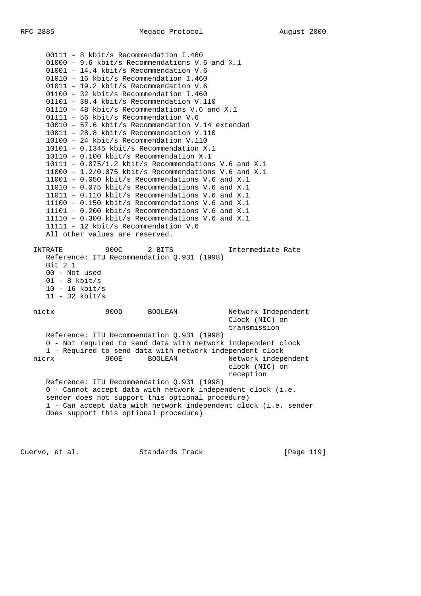00111 - 8 kbit/s Recommendation I.460 01000 - 9.6 kbit/s Recommendations V.6 and X.1 01001 - 14.4 kbit/s Recommendation V.6 01010 - 16 kbit/s Recommendation I.460 01011 - 19.2 kbit/s Recommendation V.6 01100 - 32 kbit/s Recommendation I.460 01101 - 38.4 kbit/s Recommendation V.110 01110 - 48 kbit/s Recommendations V.6 and X.1 01111 - 56 kbit/s Recommendation V.6 10010 - 57.6 kbit/s Recommendation V.14 extended 10011 - 28.8 kbit/s Recommendation V.110 10100 - 24 kbit/s Recommendation V.110 10101 - 0.1345 kbit/s Recommendation X.1 10110 - 0.100 kbit/s Recommendation X.1  $10111 - 0.075/1.2$  kbit/s Recommendations V.6 and X.1 11000 - 1.2/0.075 kbit/s Recommendations V.6 and X.1 11001 - 0.050 kbit/s Recommendations V.6 and X.1 11010 - 0.075 kbit/s Recommendations V.6 and X.1 11011 - 0.110 kbit/s Recommendations V.6 and X.1 11100 - 0.150 kbit/s Recommendations V.6 and X.1 11101 - 0.200 kbit/s Recommendations V.6 and X.1 11110 - 0.300 kbit/s Recommendations V.6 and X.1 11111 - 12 kbit/s Recommendation V.6 All other values are reserved. INTRATE 900C 2 BITS Intermediate Rate Reference: ITU Recommendation Q.931 (1998) Bit 2 1 00 - Not used  $01 - 8$  kbit/s 10 - 16 kbit/s 11 - 32 kbit/s nictx 900D BOOLEAN Network Independent Clock (NIC) on transmission Reference: ITU Recommendation Q.931 (1998) 0 - Not required to send data with network independent clock 1 - Required to send data with network independent clock nicrx 900E BOOLEAN Network independent clock (NIC) on reception Reference: ITU Recommendation Q.931 (1998) 0 - Cannot accept data with network independent clock (i.e. sender does not support this optional procedure) 1 - Can accept data with network independent clock (i.e. sender does support this optional procedure)

Cuervo, et al. Standards Track [Page 119]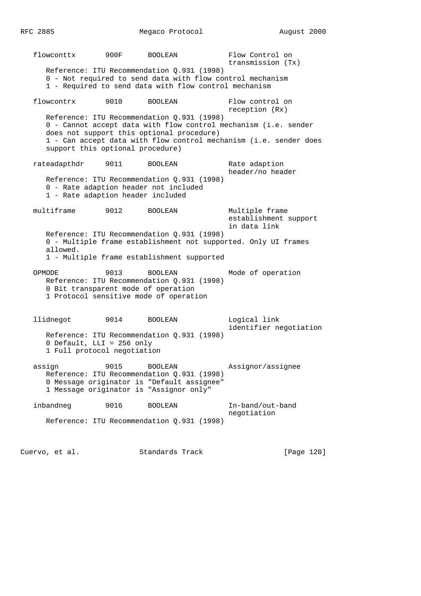RFC 2885 Megaco Protocol August 2000

 flowconttx 900F BOOLEAN Flow Control on transmission (Tx) Reference: ITU Recommendation Q.931 (1998) 0 - Not required to send data with flow control mechanism 1 - Required to send data with flow control mechanism flowcontrx 9010 BOOLEAN Flow control on reception (Rx) Reference: ITU Recommendation Q.931 (1998) 0 - Cannot accept data with flow control mechanism (i.e. sender does not support this optional procedure) 1 - Can accept data with flow control mechanism (i.e. sender does support this optional procedure) rateadapthdr 9011 BOOLEAN Rate adaption header/no header Reference: ITU Recommendation Q.931 (1998) 0 - Rate adaption header not included 1 - Rate adaption header included multiframe 9012 BOOLEAN Multiple frame establishment support in data link Reference: ITU Recommendation Q.931 (1998) 0 - Multiple frame establishment not supported. Only UI frames allowed. 1 - Multiple frame establishment supported OPMODE 9013 BOOLEAN Mode of operation Reference: ITU Recommendation Q.931 (1998) 0 Bit transparent mode of operation 1 Protocol sensitive mode of operation llidnegot 9014 BOOLEAN Logical link identifier negotiation Reference: ITU Recommendation Q.931 (1998) 0 Default, LLI = 256 only 1 Full protocol negotiation assign 9015 BOOLEAN Assignor/assignee Reference: ITU Recommendation Q.931 (1998) 0 Message originator is "Default assignee" 1 Message originator is "Assignor only" inbandneg 9016 BOOLEAN In-band/out-band negotiation Reference: ITU Recommendation Q.931 (1998) Cuervo, et al. Standards Track [Page 120]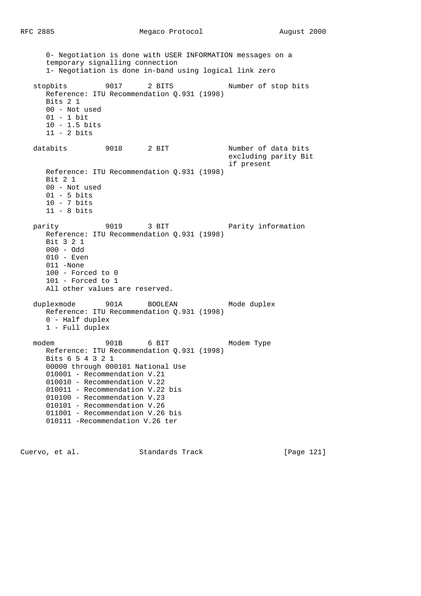0- Negotiation is done with USER INFORMATION messages on a temporary signalling connection 1- Negotiation is done in-band using logical link zero stopbits 9017 2 BITS Number of stop bits Reference: ITU Recommendation Q.931 (1998) Bits 2 1 00 - Not used 01 - 1 bit 10 - 1.5 bits 11 - 2 bits databits 9018 2 BIT Number of data bits excluding parity Bit if present Reference: ITU Recommendation Q.931 (1998) Bit 2 1 00 - Not used 01 - 5 bits 10 - 7 bits 11 - 8 bits parity 9019 3 BIT Parity information Reference: ITU Recommendation Q.931 (1998) Bit 3 2 1 000 - Odd 010 - Even 011 -None 100 - Forced to 0 101 - Forced to 1 All other values are reserved. duplexmode 901A BOOLEAN Mode duplex Reference: ITU Recommendation Q.931 (1998) 0 - Half duplex 1 - Full duplex modem 901B 6 BIT Modem Type Reference: ITU Recommendation Q.931 (1998) Bits 6 5 4 3 2 1 00000 through 000101 National Use 010001 - Recommendation V.21 010010 - Recommendation V.22 010011 - Recommendation V.22 bis 010100 - Recommendation V.23 010101 - Recommendation V.26 011001 - Recommendation V.26 bis 010111 -Recommendation V.26 ter

Cuervo, et al. Standards Track [Page 121]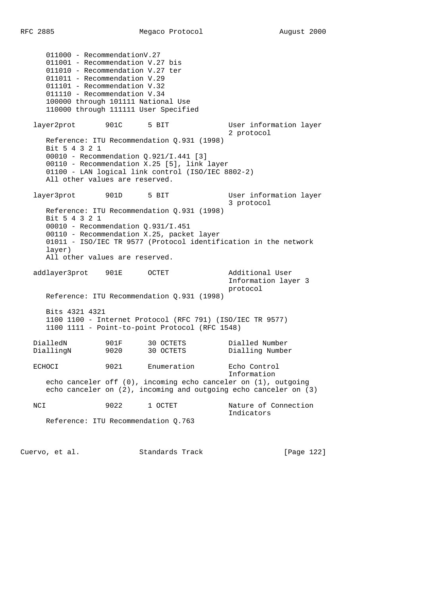011000 - RecommendationV.27 011001 - Recommendation V.27 bis 011010 - Recommendation V.27 ter 011011 - Recommendation V.29 011101 - Recommendation V.32 011110 - Recommendation V.34 100000 through 101111 National Use 110000 through 111111 User Specified layer2prot 901C 5 BIT User information layer 2 protocol Reference: ITU Recommendation Q.931 (1998) Bit 5 4 3 2 1 00010 - Recommendation Q.921/I.441 [3] 00110 - Recommendation X.25 [5], link layer 01100 - LAN logical link control (ISO/IEC 8802-2) All other values are reserved. layer3prot 901D 5 BIT User information layer 3 protocol Reference: ITU Recommendation Q.931 (1998) Bit 5 4 3 2 1 00010 - Recommendation Q.931/I.451 00110 - Recommendation X.25, packet layer 01011 - ISO/IEC TR 9577 (Protocol identification in the network layer) All other values are reserved. addlayer3prot 901E OCTET Additional User Information layer 3 protocol Reference: ITU Recommendation Q.931 (1998) Bits 4321 4321 1100 1100 - Internet Protocol (RFC 791) (ISO/IEC TR 9577) 1100 1111 - Point-to-point Protocol (RFC 1548) DialledN 901F 30 OCTETS Dialled Number DiallingN 9020 30 OCTETS Dialling Number ECHOCI 9021 Enumeration Echo Control Information echo canceler off (0), incoming echo canceler on (1), outgoing echo canceler on (2), incoming and outgoing echo canceler on (3) NCI 9022 1 OCTET Nature of Connection Indicators Reference: ITU Recommendation Q.763

Cuervo, et al. Standards Track [Page 122]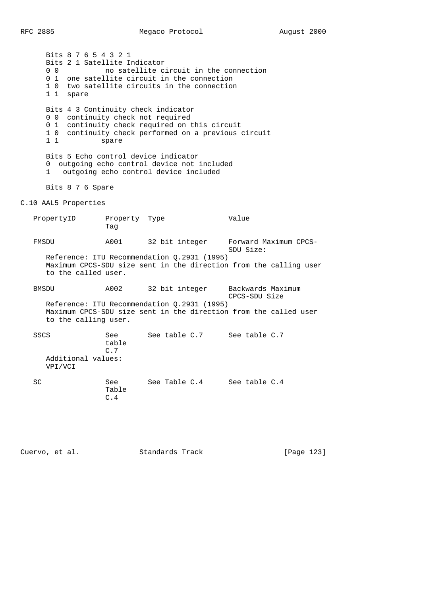Bits 8 7 6 5 4 3 2 1 Bits 2 1 Satellite Indicator 0 0 0 0 no satellite circuit in the connection 0 1 one satellite circuit in the connection 1 0 two satellite circuits in the connection 1 1 spare Bits 4 3 Continuity check indicator 0 0 continuity check not required 0 1 continuity check required on this circuit 1 0 continuity check performed on a previous circuit 1 1 spare Bits 5 Echo control device indicator 0 outgoing echo control device not included 1 outgoing echo control device included Bits 8 7 6 Spare C.10 AAL5 Properties PropertyID Property Type Value Tag FMSDU A001 32 bit integer Forward Maximum CPCS- SDU Size: Reference: ITU Recommendation Q.2931 (1995) Maximum CPCS-SDU size sent in the direction from the calling user to the called user. BMSDU A002 32 bit integer Backwards Maximum CPCS-SDU Size Reference: ITU Recommendation Q.2931 (1995) Maximum CPCS-SDU size sent in the direction from the called user to the calling user. SSCS See See table C.7 See table C.7 table C.7 Additional values: VPI/VCI SC See See Table C.4 See table C.4 Table C.4

Cuervo, et al. Standards Track [Page 123]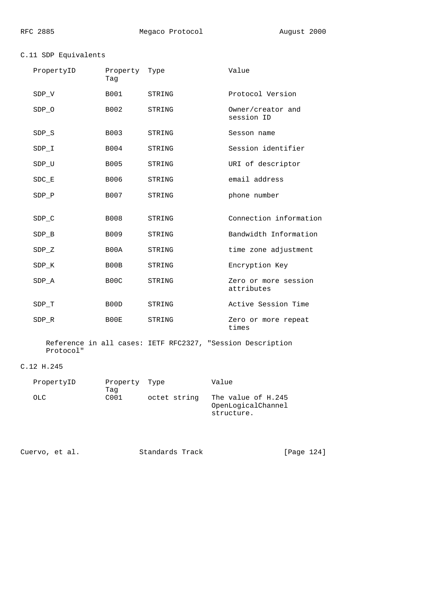# C.11 SDP Equivalents

| PropertyID | Property Type<br>Taq |        | Value                              |
|------------|----------------------|--------|------------------------------------|
| SDP V      | <b>B001</b>          | STRING | Protocol Version                   |
| SDP 0      | B002                 | STRING | Owner/creator and<br>session ID    |
| SDP S      | B003                 | STRING | Sesson name                        |
| SDP I      | B004                 | STRING | Session identifier                 |
| SDP U      | <b>B005</b>          | STRING | URI of descriptor                  |
| $SDC$ $E$  | B006                 | STRING | email address                      |
| SDP P      | B007                 | STRING | phone number                       |
|            |                      |        |                                    |
| $SDP_C$    | <b>B008</b>          | STRING | Connection information             |
| SDP B      | B009                 | STRING | Bandwidth Information              |
| $SDP_Z$    | B00A                 | STRING | time zone adjustment               |
| SDP K      | B00B                 | STRING | Encryption Key                     |
| SDP A      | B <sub>0</sub> 0C    | STRING | Zero or more session<br>attributes |
| SDP T      | B00D                 | STRING | Active Session Time                |
| SDP R      | B00E                 | STRING | Zero or more repeat<br>times       |

 Reference in all cases: IETF RFC2327, "Session Description Protocol"

# C.12 H.245

| PropertyID | Property Type    |              | Value              |
|------------|------------------|--------------|--------------------|
|            | Taq              |              |                    |
| OLC.       | C <sub>001</sub> | octet string | The value of H.245 |
|            |                  |              | OpenLogicalChannel |
|            |                  |              | structure.         |

Cuervo, et al. Standards Track [Page 124]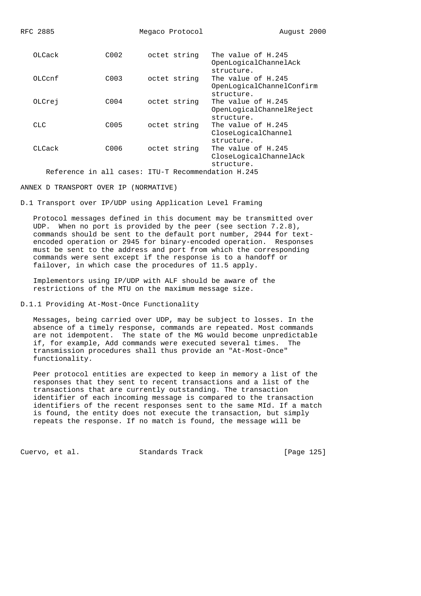RFC 2885 Megaco Protocol August 2000 OLCack C002 octet string The value of H.245 OpenLogicalChannelAck structure.<br>، C003 octet string The value OLCcnf C003 octet string The value of H.245 OpenLogicalChannelConfirm structure. OLCrej C004 octet string The value of H.245 OpenLogicalChannelReject structure. CLC C005 octet string The value of H.245 CloseLogicalChannel structure. CLCack C006 octet string The value of H.245 CloseLogicalChannelAck structure. Reference in all cases: ITU-T Recommendation H.245

ANNEX D TRANSPORT OVER IP (NORMATIVE)

D.1 Transport over IP/UDP using Application Level Framing

 Protocol messages defined in this document may be transmitted over UDP. When no port is provided by the peer (see section 7.2.8), commands should be sent to the default port number, 2944 for text encoded operation or 2945 for binary-encoded operation. Responses must be sent to the address and port from which the corresponding commands were sent except if the response is to a handoff or failover, in which case the procedures of 11.5 apply.

 Implementors using IP/UDP with ALF should be aware of the restrictions of the MTU on the maximum message size.

D.1.1 Providing At-Most-Once Functionality

 Messages, being carried over UDP, may be subject to losses. In the absence of a timely response, commands are repeated. Most commands are not idempotent. The state of the MG would become unpredictable if, for example, Add commands were executed several times. The transmission procedures shall thus provide an "At-Most-Once" functionality.

 Peer protocol entities are expected to keep in memory a list of the responses that they sent to recent transactions and a list of the transactions that are currently outstanding. The transaction identifier of each incoming message is compared to the transaction identifiers of the recent responses sent to the same MId. If a match is found, the entity does not execute the transaction, but simply repeats the response. If no match is found, the message will be

Cuervo, et al. Standards Track [Page 125]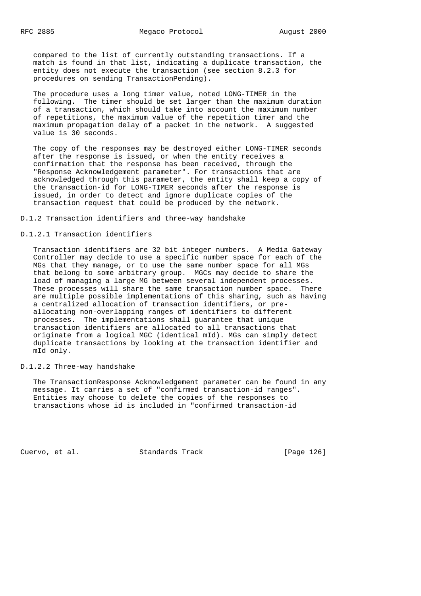compared to the list of currently outstanding transactions. If a match is found in that list, indicating a duplicate transaction, the entity does not execute the transaction (see section 8.2.3 for procedures on sending TransactionPending).

 The procedure uses a long timer value, noted LONG-TIMER in the following. The timer should be set larger than the maximum duration of a transaction, which should take into account the maximum number of repetitions, the maximum value of the repetition timer and the maximum propagation delay of a packet in the network. A suggested value is 30 seconds.

 The copy of the responses may be destroyed either LONG-TIMER seconds after the response is issued, or when the entity receives a confirmation that the response has been received, through the "Response Acknowledgement parameter". For transactions that are acknowledged through this parameter, the entity shall keep a copy of the transaction-id for LONG-TIMER seconds after the response is issued, in order to detect and ignore duplicate copies of the transaction request that could be produced by the network.

D.1.2 Transaction identifiers and three-way handshake

#### D.1.2.1 Transaction identifiers

 Transaction identifiers are 32 bit integer numbers. A Media Gateway Controller may decide to use a specific number space for each of the MGs that they manage, or to use the same number space for all MGs that belong to some arbitrary group. MGCs may decide to share the load of managing a large MG between several independent processes. These processes will share the same transaction number space. There are multiple possible implementations of this sharing, such as having a centralized allocation of transaction identifiers, or pre allocating non-overlapping ranges of identifiers to different processes. The implementations shall guarantee that unique transaction identifiers are allocated to all transactions that originate from a logical MGC (identical mId). MGs can simply detect duplicate transactions by looking at the transaction identifier and mId only.

## D.1.2.2 Three-way handshake

 The TransactionResponse Acknowledgement parameter can be found in any message. It carries a set of "confirmed transaction-id ranges". Entities may choose to delete the copies of the responses to transactions whose id is included in "confirmed transaction-id

Cuervo, et al. Standards Track [Page 126]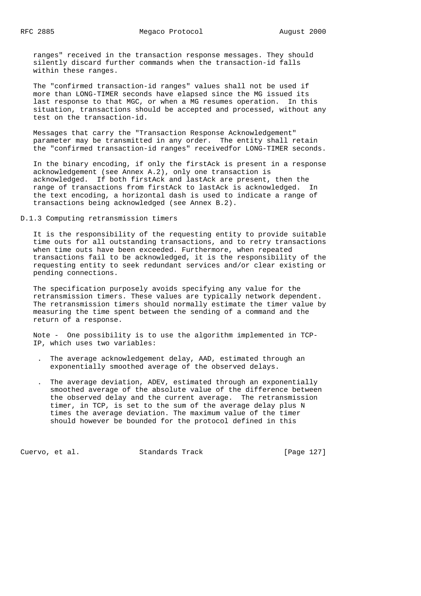ranges" received in the transaction response messages. They should silently discard further commands when the transaction-id falls within these ranges.

 The "confirmed transaction-id ranges" values shall not be used if more than LONG-TIMER seconds have elapsed since the MG issued its last response to that MGC, or when a MG resumes operation. In this situation, transactions should be accepted and processed, without any test on the transaction-id.

 Messages that carry the "Transaction Response Acknowledgement" parameter may be transmitted in any order. The entity shall retain the "confirmed transaction-id ranges" receivedfor LONG-TIMER seconds.

 In the binary encoding, if only the firstAck is present in a response acknowledgement (see Annex A.2), only one transaction is acknowledged. If both firstAck and lastAck are present, then the range of transactions from firstAck to lastAck is acknowledged. In the text encoding, a horizontal dash is used to indicate a range of transactions being acknowledged (see Annex B.2).

D.1.3 Computing retransmission timers

 It is the responsibility of the requesting entity to provide suitable time outs for all outstanding transactions, and to retry transactions when time outs have been exceeded. Furthermore, when repeated transactions fail to be acknowledged, it is the responsibility of the requesting entity to seek redundant services and/or clear existing or pending connections.

 The specification purposely avoids specifying any value for the retransmission timers. These values are typically network dependent. The retransmission timers should normally estimate the timer value by measuring the time spent between the sending of a command and the return of a response.

 Note - One possibility is to use the algorithm implemented in TCP- IP, which uses two variables:

- . The average acknowledgement delay, AAD, estimated through an exponentially smoothed average of the observed delays.
- . The average deviation, ADEV, estimated through an exponentially smoothed average of the absolute value of the difference between the observed delay and the current average. The retransmission timer, in TCP, is set to the sum of the average delay plus N times the average deviation. The maximum value of the timer should however be bounded for the protocol defined in this

Cuervo, et al. Standards Track [Page 127]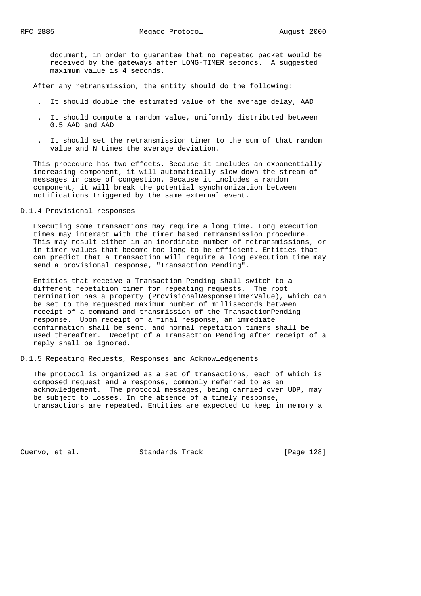document, in order to guarantee that no repeated packet would be received by the gateways after LONG-TIMER seconds. A suggested maximum value is 4 seconds.

After any retransmission, the entity should do the following:

- . It should double the estimated value of the average delay, AAD
- . It should compute a random value, uniformly distributed between 0.5 AAD and AAD
- . It should set the retransmission timer to the sum of that random value and N times the average deviation.

 This procedure has two effects. Because it includes an exponentially increasing component, it will automatically slow down the stream of messages in case of congestion. Because it includes a random component, it will break the potential synchronization between notifications triggered by the same external event.

## D.1.4 Provisional responses

 Executing some transactions may require a long time. Long execution times may interact with the timer based retransmission procedure. This may result either in an inordinate number of retransmissions, or in timer values that become too long to be efficient. Entities that can predict that a transaction will require a long execution time may send a provisional response, "Transaction Pending".

 Entities that receive a Transaction Pending shall switch to a different repetition timer for repeating requests. The root termination has a property (ProvisionalResponseTimerValue), which can be set to the requested maximum number of milliseconds between receipt of a command and transmission of the TransactionPending response. Upon receipt of a final response, an immediate confirmation shall be sent, and normal repetition timers shall be used thereafter. Receipt of a Transaction Pending after receipt of a reply shall be ignored.

## D.1.5 Repeating Requests, Responses and Acknowledgements

 The protocol is organized as a set of transactions, each of which is composed request and a response, commonly referred to as an acknowledgement. The protocol messages, being carried over UDP, may be subject to losses. In the absence of a timely response, transactions are repeated. Entities are expected to keep in memory a

Cuervo, et al. Standards Track [Page 128]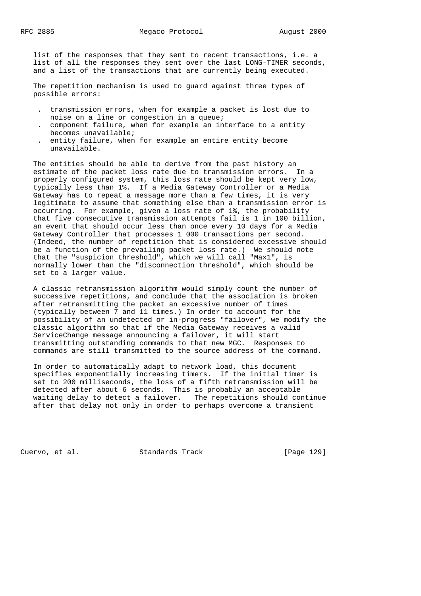list of the responses that they sent to recent transactions, i.e. a list of all the responses they sent over the last LONG-TIMER seconds, and a list of the transactions that are currently being executed.

 The repetition mechanism is used to guard against three types of possible errors:

- . transmission errors, when for example a packet is lost due to noise on a line or congestion in a queue;
- . component failure, when for example an interface to a entity becomes unavailable;
- . entity failure, when for example an entire entity become unavailable.

 The entities should be able to derive from the past history an estimate of the packet loss rate due to transmission errors. In a properly configured system, this loss rate should be kept very low, typically less than 1%. If a Media Gateway Controller or a Media Gateway has to repeat a message more than a few times, it is very legitimate to assume that something else than a transmission error is occurring. For example, given a loss rate of 1%, the probability that five consecutive transmission attempts fail is 1 in 100 billion, an event that should occur less than once every 10 days for a Media Gateway Controller that processes 1 000 transactions per second. (Indeed, the number of repetition that is considered excessive should be a function of the prevailing packet loss rate.) We should note that the "suspicion threshold", which we will call "Max1", is normally lower than the "disconnection threshold", which should be set to a larger value.

 A classic retransmission algorithm would simply count the number of successive repetitions, and conclude that the association is broken after retransmitting the packet an excessive number of times (typically between 7 and 11 times.) In order to account for the possibility of an undetected or in-progress "failover", we modify the classic algorithm so that if the Media Gateway receives a valid ServiceChange message announcing a failover, it will start transmitting outstanding commands to that new MGC. Responses to commands are still transmitted to the source address of the command.

 In order to automatically adapt to network load, this document specifies exponentially increasing timers. If the initial timer is set to 200 milliseconds, the loss of a fifth retransmission will be detected after about 6 seconds. This is probably an acceptable waiting delay to detect a failover. The repetitions should continue after that delay not only in order to perhaps overcome a transient

Cuervo, et al. Standards Track [Page 129]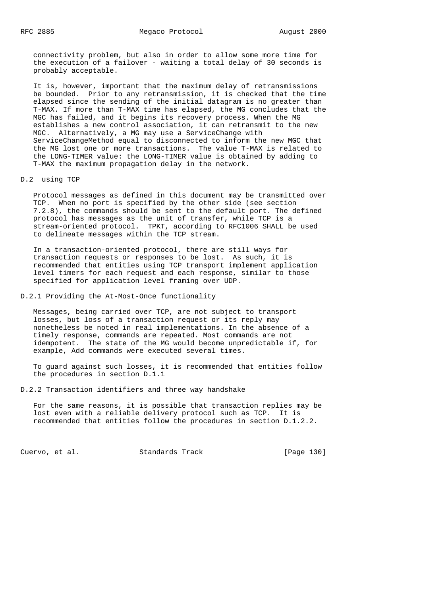connectivity problem, but also in order to allow some more time for the execution of a failover - waiting a total delay of 30 seconds is probably acceptable.

 It is, however, important that the maximum delay of retransmissions be bounded. Prior to any retransmission, it is checked that the time elapsed since the sending of the initial datagram is no greater than T-MAX. If more than T-MAX time has elapsed, the MG concludes that the MGC has failed, and it begins its recovery process. When the MG establishes a new control association, it can retransmit to the new MGC. Alternatively, a MG may use a ServiceChange with ServiceChangeMethod equal to disconnected to inform the new MGC that the MG lost one or more transactions. The value T-MAX is related to the LONG-TIMER value: the LONG-TIMER value is obtained by adding to T-MAX the maximum propagation delay in the network.

D.2 using TCP

 Protocol messages as defined in this document may be transmitted over TCP. When no port is specified by the other side (see section 7.2.8), the commands should be sent to the default port. The defined protocol has messages as the unit of transfer, while TCP is a stream-oriented protocol. TPKT, according to RFC1006 SHALL be used to delineate messages within the TCP stream.

 In a transaction-oriented protocol, there are still ways for transaction requests or responses to be lost. As such, it is recommended that entities using TCP transport implement application level timers for each request and each response, similar to those specified for application level framing over UDP.

D.2.1 Providing the At-Most-Once functionality

 Messages, being carried over TCP, are not subject to transport losses, but loss of a transaction request or its reply may nonetheless be noted in real implementations. In the absence of a timely response, commands are repeated. Most commands are not idempotent. The state of the MG would become unpredictable if, for example, Add commands were executed several times.

 To guard against such losses, it is recommended that entities follow the procedures in section D.1.1

D.2.2 Transaction identifiers and three way handshake

 For the same reasons, it is possible that transaction replies may be lost even with a reliable delivery protocol such as TCP. It is recommended that entities follow the procedures in section D.1.2.2.

Cuervo, et al. Standards Track [Page 130]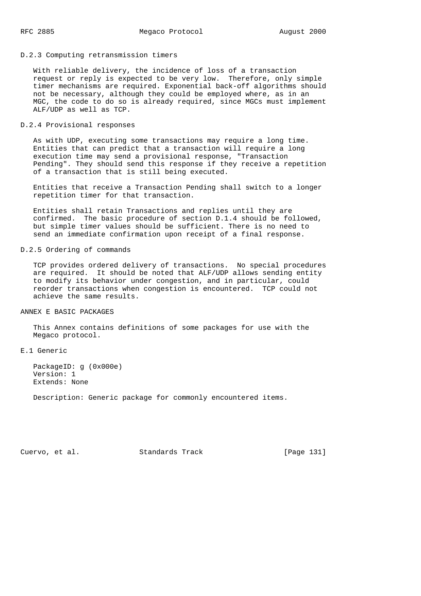#### D.2.3 Computing retransmission timers

 With reliable delivery, the incidence of loss of a transaction request or reply is expected to be very low. Therefore, only simple timer mechanisms are required. Exponential back-off algorithms should not be necessary, although they could be employed where, as in an MGC, the code to do so is already required, since MGCs must implement ALF/UDP as well as TCP.

## D.2.4 Provisional responses

 As with UDP, executing some transactions may require a long time. Entities that can predict that a transaction will require a long execution time may send a provisional response, "Transaction Pending". They should send this response if they receive a repetition of a transaction that is still being executed.

 Entities that receive a Transaction Pending shall switch to a longer repetition timer for that transaction.

 Entities shall retain Transactions and replies until they are confirmed. The basic procedure of section D.1.4 should be followed, but simple timer values should be sufficient. There is no need to send an immediate confirmation upon receipt of a final response.

#### D.2.5 Ordering of commands

 TCP provides ordered delivery of transactions. No special procedures are required. It should be noted that ALF/UDP allows sending entity to modify its behavior under congestion, and in particular, could reorder transactions when congestion is encountered. TCP could not achieve the same results.

## ANNEX E BASIC PACKAGES

 This Annex contains definitions of some packages for use with the Megaco protocol.

# E.1 Generic

 PackageID: g (0x000e) Version: 1 Extends: None

Description: Generic package for commonly encountered items.

Cuervo, et al. Standards Track [Page 131]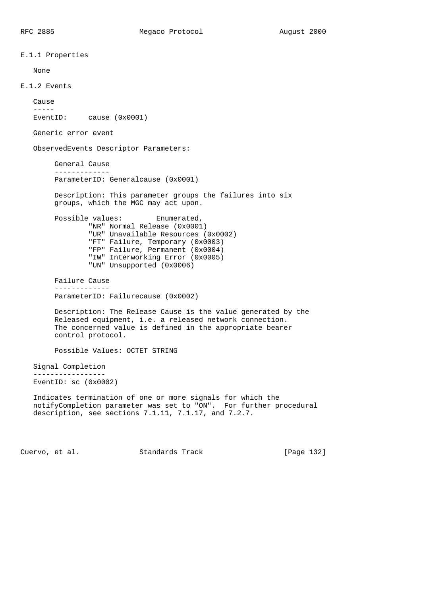E.1.1 Properties None E.1.2 Events Cause ----- EventID: cause (0x0001) Generic error event ObservedEvents Descriptor Parameters: General Cause ------------- ParameterID: Generalcause (0x0001) Description: This parameter groups the failures into six groups, which the MGC may act upon. Possible values: Enumerated, "NR" Normal Release (0x0001) "UR" Unavailable Resources (0x0002) "FT" Failure, Temporary (0x0003) "FP" Failure, Permanent (0x0004) "IW" Interworking Error (0x0005) "UN" Unsupported (0x0006) Failure Cause ------------- ParameterID: Failurecause (0x0002) Description: The Release Cause is the value generated by the Released equipment, i.e. a released network connection. The concerned value is defined in the appropriate bearer control protocol. Possible Values: OCTET STRING Signal Completion ----------------- EventID: sc (0x0002) Indicates termination of one or more signals for which the notifyCompletion parameter was set to "ON". For further procedural description, see sections 7.1.11, 7.1.17, and 7.2.7.

Cuervo, et al. Standards Track [Page 132]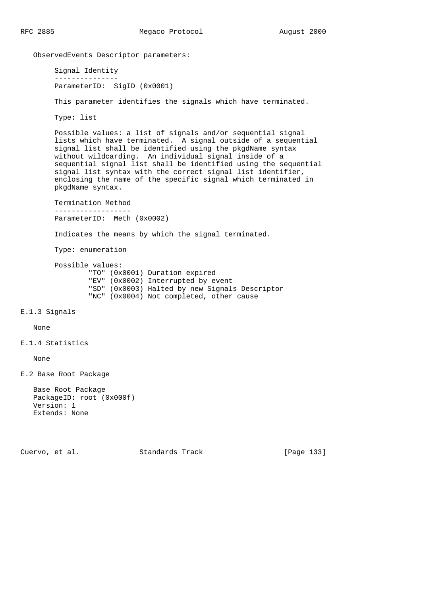ObservedEvents Descriptor parameters:

 Signal Identity --------------- ParameterID: SigID (0x0001)

This parameter identifies the signals which have terminated.

Type: list

 Possible values: a list of signals and/or sequential signal lists which have terminated. A signal outside of a sequential signal list shall be identified using the pkgdName syntax without wildcarding. An individual signal inside of a sequential signal list shall be identified using the sequential signal list syntax with the correct signal list identifier, enclosing the name of the specific signal which terminated in pkgdName syntax.

 Termination Method ------------------ ParameterID: Meth (0x0002) Indicates the means by which the signal terminated. Type: enumeration Possible values: "TO" (0x0001) Duration expired "EV" (0x0002) Interrupted by event "SD" (0x0003) Halted by new Signals Descriptor "NC" (0x0004) Not completed, other cause

```
E.1.3 Signals
```
None

```
E.1.4 Statistics
```
None

E.2 Base Root Package

 Base Root Package PackageID: root (0x000f) Version: 1 Extends: None

Cuervo, et al. Standards Track [Page 133]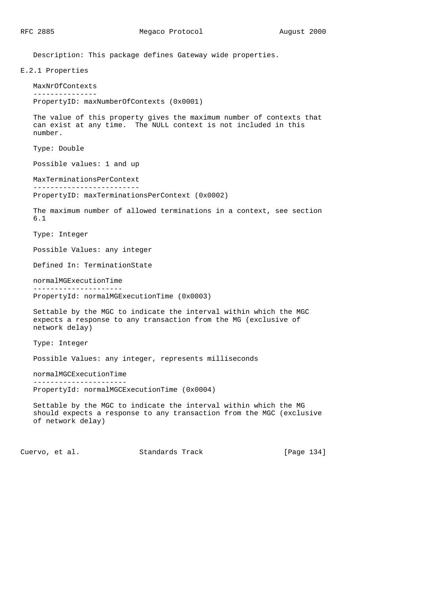Description: This package defines Gateway wide properties.

```
E.2.1 Properties
   MaxNrOfContexts
    ---------------
    PropertyID: maxNumberOfContexts (0x0001)
    The value of this property gives the maximum number of contexts that
    can exist at any time. The NULL context is not included in this
    number.
    Type: Double
    Possible values: 1 and up
    MaxTerminationsPerContext
    -------------------------
    PropertyID: maxTerminationsPerContext (0x0002)
    The maximum number of allowed terminations in a context, see section
    6.1
    Type: Integer
    Possible Values: any integer
    Defined In: TerminationState
    normalMGExecutionTime
    ---------------------
    PropertyId: normalMGExecutionTime (0x0003)
    Settable by the MGC to indicate the interval within which the MGC
    expects a response to any transaction from the MG (exclusive of
    network delay)
    Type: Integer
    Possible Values: any integer, represents milliseconds
    normalMGCExecutionTime
    ----------------------
    PropertyId: normalMGCExecutionTime (0x0004)
    Settable by the MGC to indicate the interval within which the MG
    should expects a response to any transaction from the MGC (exclusive
    of network delay)
Cuervo, et al. Standards Track [Page 134]
```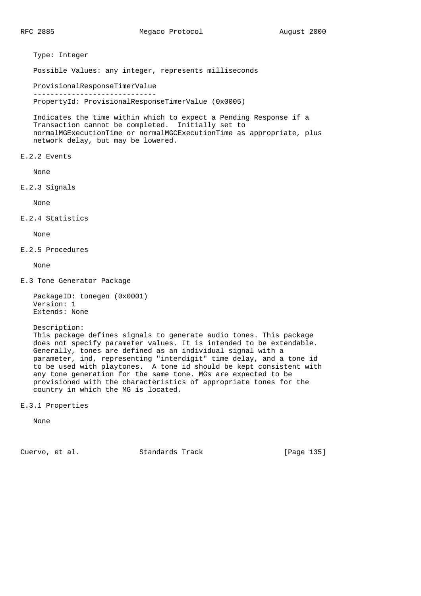Type: Integer

Possible Values: any integer, represents milliseconds

 ProvisionalResponseTimerValue ----------------------------- PropertyId: ProvisionalResponseTimerValue (0x0005)

 Indicates the time within which to expect a Pending Response if a Transaction cannot be completed. Initially set to normalMGExecutionTime or normalMGCExecutionTime as appropriate, plus network delay, but may be lowered.

E.2.2 Events

None

E.2.3 Signals

None

E.2.4 Statistics

None

E.2.5 Procedures

None

- E.3 Tone Generator Package
	- PackageID: tonegen (0x0001) Version: 1 Extends: None
	- Description:

 This package defines signals to generate audio tones. This package does not specify parameter values. It is intended to be extendable. Generally, tones are defined as an individual signal with a parameter, ind, representing "interdigit" time delay, and a tone id to be used with playtones. A tone id should be kept consistent with any tone generation for the same tone. MGs are expected to be provisioned with the characteristics of appropriate tones for the country in which the MG is located.

E.3.1 Properties

None

Cuervo, et al. Standards Track [Page 135]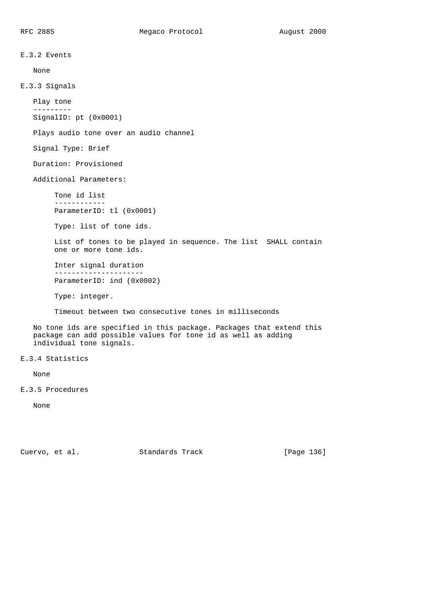E.3.2 Events None E.3.3 Signals Play tone --------- SignalID: pt (0x0001) Plays audio tone over an audio channel Signal Type: Brief Duration: Provisioned Additional Parameters: Tone id list ------------ ParameterID: tl (0x0001) Type: list of tone ids. List of tones to be played in sequence. The list SHALL contain one or more tone ids. Inter signal duration --------------------- ParameterID: ind (0x0002) Type: integer. Timeout between two consecutive tones in milliseconds No tone ids are specified in this package. Packages that extend this package can add possible values for tone id as well as adding individual tone signals. E.3.4 Statistics None E.3.5 Procedures None

Cuervo, et al. Standards Track [Page 136]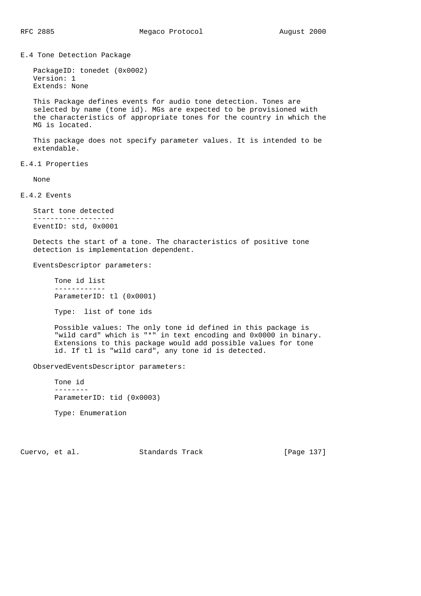E.4 Tone Detection Package

```
 PackageID: tonedet (0x0002)
 Version: 1
 Extends: None
```
 This Package defines events for audio tone detection. Tones are selected by name (tone id). MGs are expected to be provisioned with the characteristics of appropriate tones for the country in which the MG is located.

 This package does not specify parameter values. It is intended to be extendable.

E.4.1 Properties

None

E.4.2 Events

```
 Start tone detected
 -------------------
 EventID: std, 0x0001
```
 Detects the start of a tone. The characteristics of positive tone detection is implementation dependent.

EventsDescriptor parameters:

 Tone id list ------------ ParameterID: tl (0x0001)

Type: list of tone ids

 Possible values: The only tone id defined in this package is "wild card" which is "\*" in text encoding and 0x0000 in binary. Extensions to this package would add possible values for tone id. If tl is "wild card", any tone id is detected.

ObservedEventsDescriptor parameters:

 Tone id -------- ParameterID: tid (0x0003) Type: Enumeration

Cuervo, et al. Standards Track [Page 137]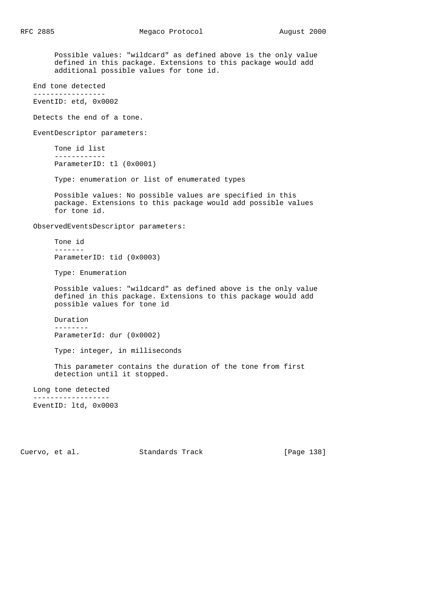Possible values: "wildcard" as defined above is the only value defined in this package. Extensions to this package would add additional possible values for tone id. End tone detected ----------------- EventID: etd, 0x0002 Detects the end of a tone. EventDescriptor parameters: Tone id list ------------ ParameterID: tl (0x0001) Type: enumeration or list of enumerated types Possible values: No possible values are specified in this package. Extensions to this package would add possible values for tone id. ObservedEventsDescriptor parameters: Tone id ------- ParameterID: tid (0x0003) Type: Enumeration Possible values: "wildcard" as defined above is the only value defined in this package. Extensions to this package would add possible values for tone id Duration -------- ParameterId: dur (0x0002) Type: integer, in milliseconds This parameter contains the duration of the tone from first detection until it stopped. Long tone detected ------------------ EventID: ltd, 0x0003

Cuervo, et al. Standards Track [Page 138]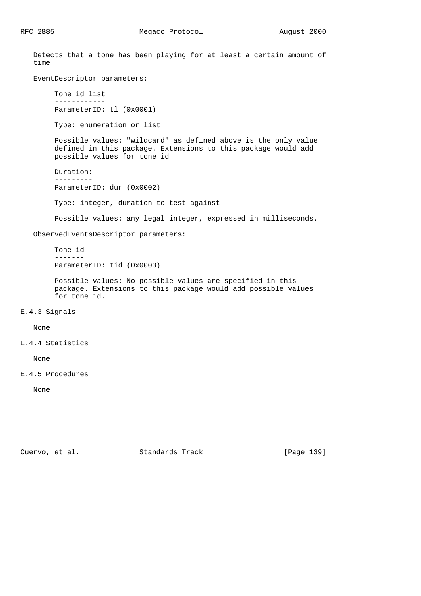Detects that a tone has been playing for at least a certain amount of time

EventDescriptor parameters:

 Tone id list ------------ ParameterID: tl (0x0001)

Type: enumeration or list

 Possible values: "wildcard" as defined above is the only value defined in this package. Extensions to this package would add possible values for tone id

 Duration: --------- ParameterID: dur (0x0002)

Type: integer, duration to test against

Possible values: any legal integer, expressed in milliseconds.

ObservedEventsDescriptor parameters:

 Tone id ------- ParameterID: tid (0x0003)

 Possible values: No possible values are specified in this package. Extensions to this package would add possible values for tone id.

E.4.3 Signals

None

# E.4.4 Statistics

None

E.4.5 Procedures

None

Cuervo, et al. Standards Track [Page 139]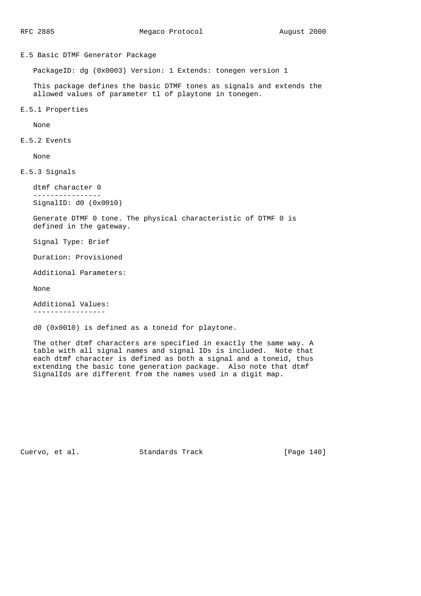E.5 Basic DTMF Generator Package

PackageID: dg (0x0003) Version: 1 Extends: tonegen version 1

 This package defines the basic DTMF tones as signals and extends the allowed values of parameter tl of playtone in tonegen.

E.5.1 Properties

None

E.5.2 Events

None

E.5.3 Signals

 dtmf character 0 ---------------- SignalID: d0 (0x0010)

 Generate DTMF 0 tone. The physical characteristic of DTMF 0 is defined in the gateway.

Signal Type: Brief

Duration: Provisioned

Additional Parameters:

None

 Additional Values: -----------------

d0 (0x0010) is defined as a toneid for playtone.

 The other dtmf characters are specified in exactly the same way. A table with all signal names and signal IDs is included. Note that each dtmf character is defined as both a signal and a toneid, thus extending the basic tone generation package. Also note that dtmf SignalIds are different from the names used in a digit map.

Cuervo, et al. Standards Track [Page 140]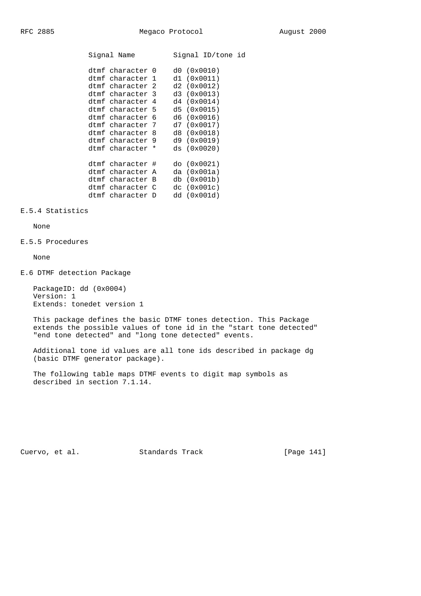| Signal Name                                                                                                                                                                                                              |  | Signal ID/tone id                                                                                                                                         |  |
|--------------------------------------------------------------------------------------------------------------------------------------------------------------------------------------------------------------------------|--|-----------------------------------------------------------------------------------------------------------------------------------------------------------|--|
| dtmf character 0<br>dtmf character 1<br>dtmf character 2<br>dtmf character 3<br>dtmf character 4<br>dtmf character 5<br>dtmf character 6<br>dtmf character 7<br>dtmf character 8<br>dtmf character 9<br>dtmf character * |  | d0(0x0010)<br>d1 (0x0011)<br>d2(0x0012)<br>d3 (0x0013)<br>d4 (0x0014)<br>d5(0x0015)<br>d6(0x0016)<br>d7(0x0017)<br>d8(0x0018)<br>d9(0x0019)<br>ds(0x0020) |  |
| dtmf character #<br>dtmf character A<br>dtmf character B<br>dtmf character C<br>dtmf character D                                                                                                                         |  | do (0x0021)<br>da $(0x001a)$<br>db (0x001b)<br>dc (0x001c)<br>dd(0x001d)                                                                                  |  |

## E.5.4 Statistics

# None

## E.5.5 Procedures

None

E.6 DTMF detection Package

 PackageID: dd (0x0004) Version: 1 Extends: tonedet version 1

 This package defines the basic DTMF tones detection. This Package extends the possible values of tone id in the "start tone detected" "end tone detected" and "long tone detected" events.

 Additional tone id values are all tone ids described in package dg (basic DTMF generator package).

 The following table maps DTMF events to digit map symbols as described in section 7.1.14.

Cuervo, et al. Standards Track [Page 141]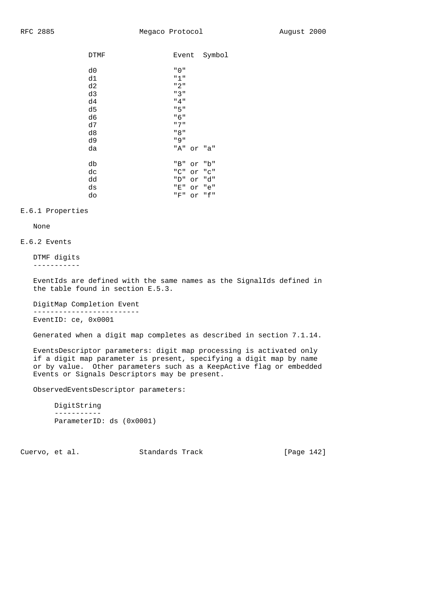| <b>DTMF</b> | Event |    | Symbol |
|-------------|-------|----|--------|
| d0          | "0"   |    |        |
|             |       |    |        |
| d1          | "1"   |    |        |
| d2          | "2"   |    |        |
| d3          | "3"   |    |        |
| d4          | "4"   |    |        |
| d5          | "5"   |    |        |
| d6          | "6"   |    |        |
| d7          | " 7 " |    |        |
| d8          | " 8 " |    |        |
| d9          | " 9"  |    |        |
| da          | "A"   |    | or "a" |
| db          | "B"   | or | "b"    |
| dc          | "C"   | or | "C"    |
| dd          | "D"   | or | "d"    |
| ds          | "E"   | or | "e"    |
| do          | "F"   | or | "f"    |

## E.6.1 Properties

None

## E.6.2 Events

 DTMF digits -----------

 EventIds are defined with the same names as the SignalIds defined in the table found in section E.5.3.

 DigitMap Completion Event ------------------------- EventID: ce, 0x0001

Generated when a digit map completes as described in section 7.1.14.

 EventsDescriptor parameters: digit map processing is activated only if a digit map parameter is present, specifying a digit map by name or by value. Other parameters such as a KeepActive flag or embedded Events or Signals Descriptors may be present.

ObservedEventsDescriptor parameters:

```
 DigitString
 -----------
 ParameterID: ds (0x0001)
```
Cuervo, et al. Standards Track [Page 142]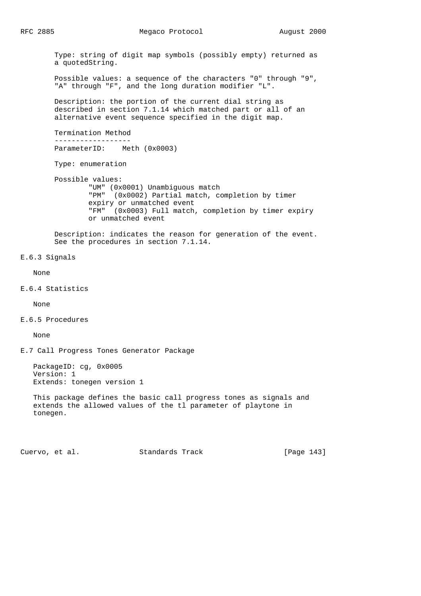Type: string of digit map symbols (possibly empty) returned as a quotedString. Possible values: a sequence of the characters "0" through "9", "A" through "F", and the long duration modifier "L". Description: the portion of the current dial string as described in section 7.1.14 which matched part or all of an alternative event sequence specified in the digit map. Termination Method ------------------ ParameterID: Meth (0x0003) Type: enumeration Possible values: "UM" (0x0001) Unambiguous match "PM" (0x0002) Partial match, completion by timer expiry or unmatched event "FM" (0x0003) Full match, completion by timer expiry or unmatched event Description: indicates the reason for generation of the event. See the procedures in section 7.1.14. E.6.3 Signals None E.6.4 Statistics None E.6.5 Procedures None E.7 Call Progress Tones Generator Package PackageID: cg, 0x0005 Version: 1 Extends: tonegen version 1 This package defines the basic call progress tones as signals and extends the allowed values of the tl parameter of playtone in tonegen.

Cuervo, et al. Standards Track [Page 143]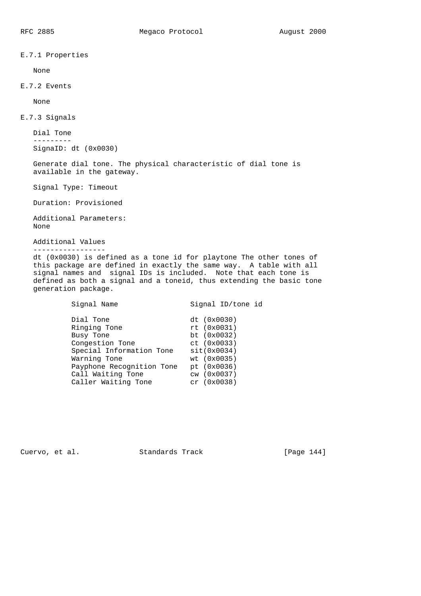E.7.1 Properties

None

E.7.2 Events

None

E.7.3 Signals

 Dial Tone --------- SignaID: dt (0x0030)

 Generate dial tone. The physical characteristic of dial tone is available in the gateway.

Signal Type: Timeout

Duration: Provisioned

 Additional Parameters: None

 Additional Values -----------------

 dt (0x0030) is defined as a tone id for playtone The other tones of this package are defined in exactly the same way. A table with all signal names and signal IDs is included. Note that each tone is defined as both a signal and a toneid, thus extending the basic tone generation package.

| Signal Name               | Signal ID/tone id |
|---------------------------|-------------------|
| Dial Tone                 | dt (0x0030)       |
| Ringing Tone              | rt(0x0031)        |
| Busy Tone                 | bt $(0x0032)$     |
| Congestion Tone           | ct (0x0033)       |
| Special Information Tone  | sit(0x0034)       |
| Warning Tone              | wt (0x0035)       |
| Payphone Recognition Tone | pt (0x0036)       |
| Call Waiting Tone         | cw (0x0037)       |
| Caller Waiting Tone       | $cr$ $(0x0038)$   |
|                           |                   |

Cuervo, et al. Standards Track [Page 144]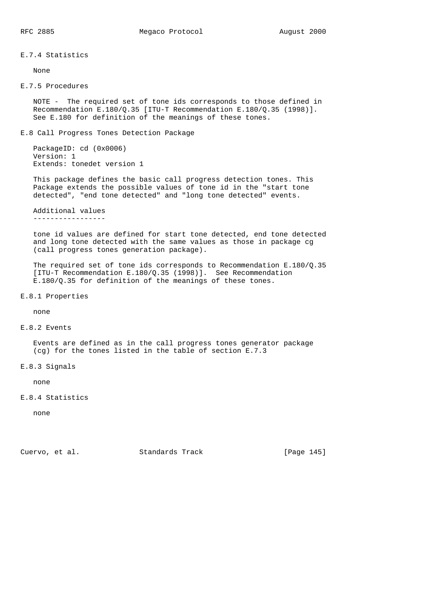### E.7.4 Statistics

None

### E.7.5 Procedures

 NOTE - The required set of tone ids corresponds to those defined in Recommendation E.180/Q.35 [ITU-T Recommendation E.180/Q.35 (1998)]. See E.180 for definition of the meanings of these tones.

E.8 Call Progress Tones Detection Package

 PackageID: cd (0x0006) Version: 1 Extends: tonedet version 1

 This package defines the basic call progress detection tones. This Package extends the possible values of tone id in the "start tone detected", "end tone detected" and "long tone detected" events.

# Additional values

-----------------

 tone id values are defined for start tone detected, end tone detected and long tone detected with the same values as those in package cg (call progress tones generation package).

 The required set of tone ids corresponds to Recommendation E.180/Q.35 [ITU-T Recommendation E.180/Q.35 (1998)]. See Recommendation E.180/Q.35 for definition of the meanings of these tones.

E.8.1 Properties

none

### E.8.2 Events

 Events are defined as in the call progress tones generator package (cg) for the tones listed in the table of section E.7.3

E.8.3 Signals

none

## E.8.4 Statistics

none

Cuervo, et al. Standards Track [Page 145]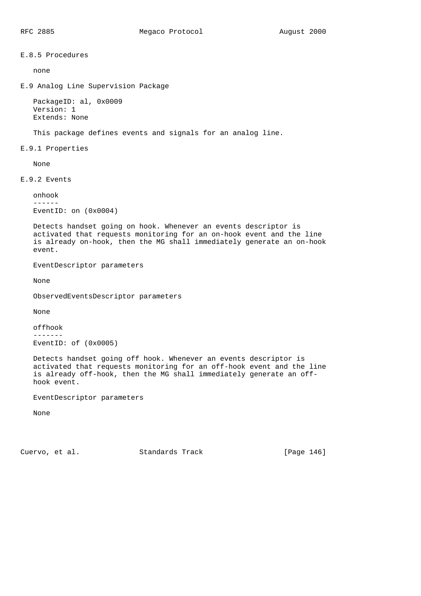E.8.5 Procedures

none

E.9 Analog Line Supervision Package

```
 PackageID: al, 0x0009
 Version: 1
 Extends: None
```
This package defines events and signals for an analog line.

E.9.1 Properties

None

E.9.2 Events

```
 onhook
 ------
 EventID: on (0x0004)
```
 Detects handset going on hook. Whenever an events descriptor is activated that requests monitoring for an on-hook event and the line is already on-hook, then the MG shall immediately generate an on-hook event.

EventDescriptor parameters

None

ObservedEventsDescriptor parameters

None

 offhook -------

EventID: of (0x0005)

 Detects handset going off hook. Whenever an events descriptor is activated that requests monitoring for an off-hook event and the line is already off-hook, then the MG shall immediately generate an off hook event.

EventDescriptor parameters

None

Cuervo, et al. Standards Track [Page 146]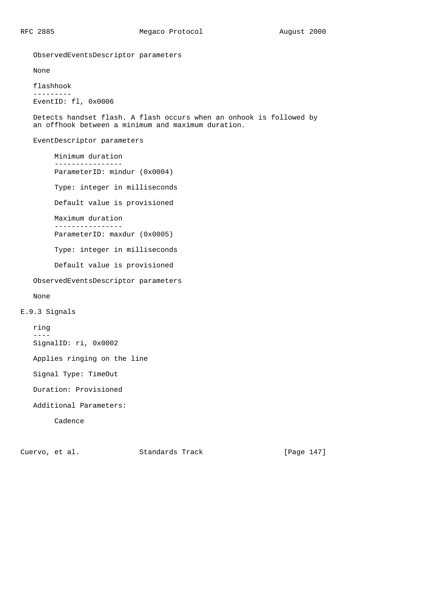ObservedEventsDescriptor parameters

None

 flashhook --------- EventID: fl, 0x0006

 Detects handset flash. A flash occurs when an onhook is followed by an offhook between a minimum and maximum duration.

EventDescriptor parameters

 Minimum duration ---------------- ParameterID: mindur (0x0004) Type: integer in milliseconds Default value is provisioned Maximum duration ---------------- ParameterID: maxdur (0x0005) Type: integer in milliseconds Default value is provisioned ObservedEventsDescriptor parameters

None

ring

E.9.3 Signals

 ---- SignalID: ri, 0x0002

Applies ringing on the line

Signal Type: TimeOut

Duration: Provisioned

Additional Parameters:

Cadence

Cuervo, et al. Standards Track [Page 147]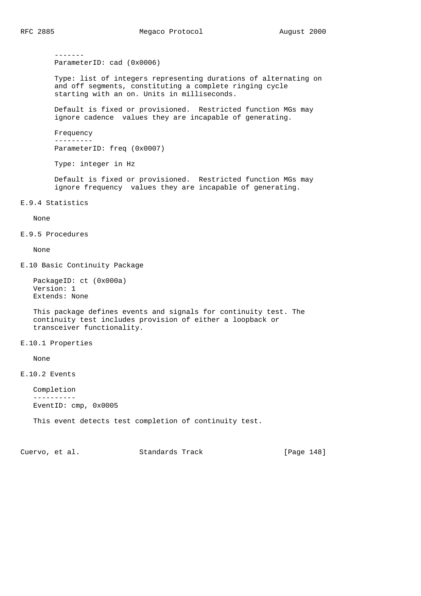ParameterID: cad (0x0006) Type: list of integers representing durations of alternating on and off segments, constituting a complete ringing cycle starting with an on. Units in milliseconds. Default is fixed or provisioned. Restricted function MGs may ignore cadence values they are incapable of generating. Frequency --------- ParameterID: freq (0x0007) Type: integer in Hz Default is fixed or provisioned. Restricted function MGs may ignore frequency values they are incapable of generating. E.9.4 Statistics None E.9.5 Procedures None E.10 Basic Continuity Package PackageID: ct (0x000a) Version: 1 Extends: None This package defines events and signals for continuity test. The continuity test includes provision of either a loopback or transceiver functionality. E.10.1 Properties None

E.10.2 Events

 Completion ---------- EventID: cmp, 0x0005

This event detects test completion of continuity test.

Cuervo, et al. Standards Track [Page 148]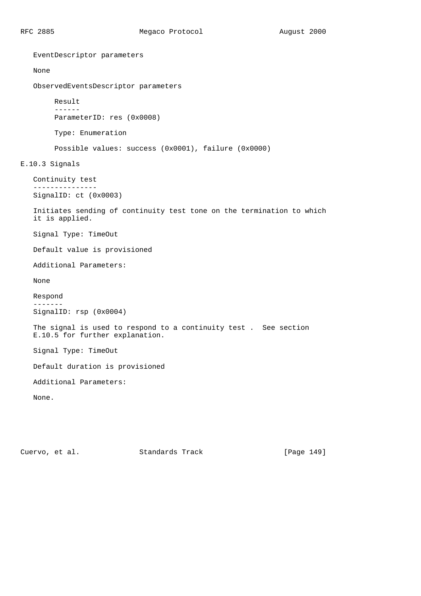EventDescriptor parameters None ObservedEventsDescriptor parameters Result ------ ParameterID: res (0x0008) Type: Enumeration Possible values: success (0x0001), failure (0x0000) E.10.3 Signals Continuity test --------------- SignalID: ct (0x0003) Initiates sending of continuity test tone on the termination to which it is applied. Signal Type: TimeOut Default value is provisioned Additional Parameters: None Respond ------- SignalID: rsp (0x0004) The signal is used to respond to a continuity test . See section E.10.5 for further explanation. Signal Type: TimeOut Default duration is provisioned Additional Parameters: None.

Cuervo, et al. Standards Track [Page 149]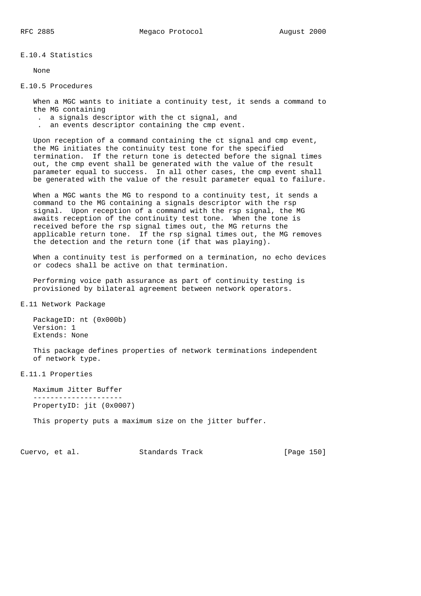E.10.4 Statistics

None

#### E.10.5 Procedures

 When a MGC wants to initiate a continuity test, it sends a command to the MG containing

- . a signals descriptor with the ct signal, and
- . an events descriptor containing the cmp event.

 Upon reception of a command containing the ct signal and cmp event, the MG initiates the continuity test tone for the specified termination. If the return tone is detected before the signal times out, the cmp event shall be generated with the value of the result parameter equal to success. In all other cases, the cmp event shall be generated with the value of the result parameter equal to failure.

 When a MGC wants the MG to respond to a continuity test, it sends a command to the MG containing a signals descriptor with the rsp signal. Upon reception of a command with the rsp signal, the MG awaits reception of the continuity test tone. When the tone is received before the rsp signal times out, the MG returns the applicable return tone. If the rsp signal times out, the MG removes the detection and the return tone (if that was playing).

 When a continuity test is performed on a termination, no echo devices or codecs shall be active on that termination.

 Performing voice path assurance as part of continuity testing is provisioned by bilateral agreement between network operators.

E.11 Network Package

 PackageID: nt (0x000b) Version: 1 Extends: None

 This package defines properties of network terminations independent of network type.

E.11.1 Properties

 Maximum Jitter Buffer --------------------- PropertyID: jit (0x0007)

This property puts a maximum size on the jitter buffer.

Cuervo, et al. Standards Track [Page 150]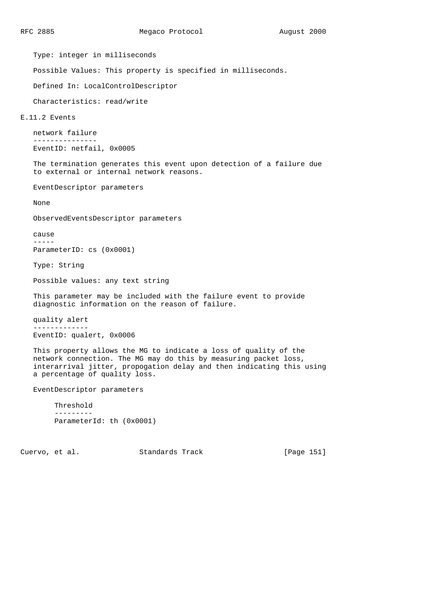Type: integer in milliseconds

Possible Values: This property is specified in milliseconds.

Defined In: LocalControlDescriptor

Characteristics: read/write

### E.11.2 Events

```
 network failure
 ---------------
 EventID: netfail, 0x0005
```
 The termination generates this event upon detection of a failure due to external or internal network reasons.

EventDescriptor parameters

None

ObservedEventsDescriptor parameters

 cause -----

ParameterID: cs (0x0001)

Type: String

Possible values: any text string

 This parameter may be included with the failure event to provide diagnostic information on the reason of failure.

```
 quality alert
 -------------
```

```
 EventID: qualert, 0x0006
```
 This property allows the MG to indicate a loss of quality of the network connection. The MG may do this by measuring packet loss, interarrival jitter, propogation delay and then indicating this using a percentage of quality loss.

EventDescriptor parameters

```
 Threshold
 ---------
 ParameterId: th (0x0001)
```
Cuervo, et al. Standards Track [Page 151]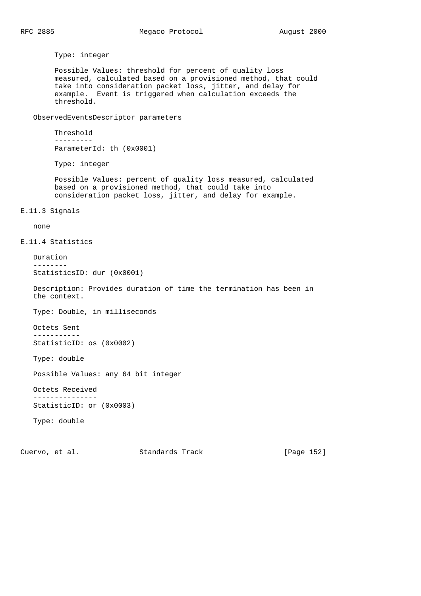Type: integer

 Possible Values: threshold for percent of quality loss measured, calculated based on a provisioned method, that could take into consideration packet loss, jitter, and delay for example. Event is triggered when calculation exceeds the threshold.

ObservedEventsDescriptor parameters

```
 Threshold
 ---------
 ParameterId: th (0x0001)
```
Type: integer

 Possible Values: percent of quality loss measured, calculated based on a provisioned method, that could take into consideration packet loss, jitter, and delay for example.

E.11.3 Signals

none

E.11.4 Statistics

```
 Duration
 --------
 StatisticsID: dur (0x0001)
```
 Description: Provides duration of time the termination has been in the context.

Type: Double, in milliseconds

 Octets Sent ----------- StatisticID: os (0x0002)

Type: double

Possible Values: any 64 bit integer

 Octets Received ---------------

```
 StatisticID: or (0x0003)
```
Type: double

Cuervo, et al. Standards Track [Page 152]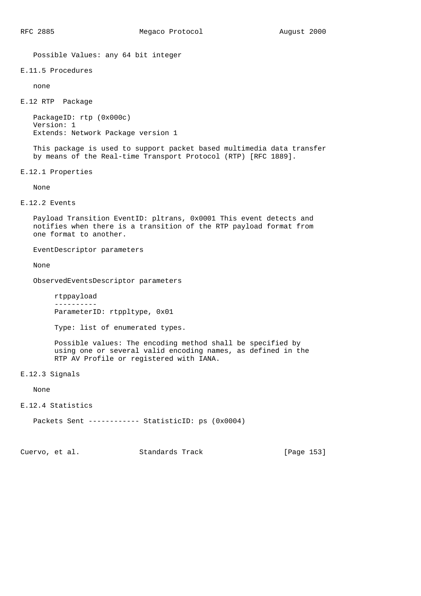Possible Values: any 64 bit integer

# E.11.5 Procedures

none

E.12 RTP Package

 PackageID: rtp (0x000c) Version: 1 Extends: Network Package version 1

 This package is used to support packet based multimedia data transfer by means of the Real-time Transport Protocol (RTP) [RFC 1889].

E.12.1 Properties

None

E.12.2 Events

 Payload Transition EventID: pltrans, 0x0001 This event detects and notifies when there is a transition of the RTP payload format from one format to another.

EventDescriptor parameters

None

ObservedEventsDescriptor parameters

 rtppayload ---------- ParameterID: rtppltype, 0x01

Type: list of enumerated types.

 Possible values: The encoding method shall be specified by using one or several valid encoding names, as defined in the RTP AV Profile or registered with IANA.

E.12.3 Signals

None

E.12.4 Statistics

Packets Sent ------------ StatisticID: ps (0x0004)

Cuervo, et al. Standards Track [Page 153]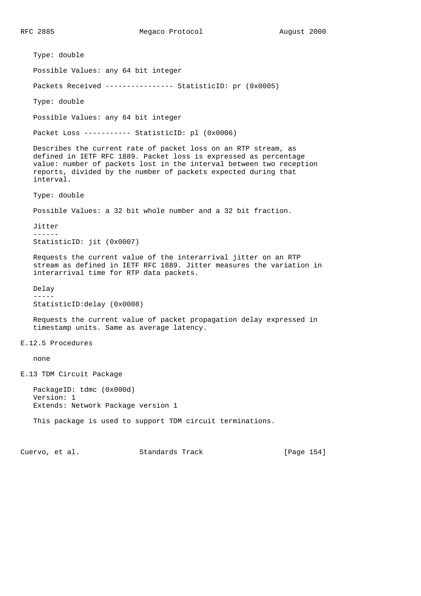RFC 2885 Megaco Protocol August 2000

 Type: double Possible Values: any 64 bit integer Packets Received ---------------- StatisticID: pr (0x0005) Type: double Possible Values: any 64 bit integer Packet Loss ----------- StatisticID: pl (0x0006) Describes the current rate of packet loss on an RTP stream, as defined in IETF RFC 1889. Packet loss is expressed as percentage value: number of packets lost in the interval between two reception reports, divided by the number of packets expected during that interval. Type: double Possible Values: a 32 bit whole number and a 32 bit fraction. Jitter ------ StatisticID: jit (0x0007) Requests the current value of the interarrival jitter on an RTP stream as defined in IETF RFC 1889. Jitter measures the variation in interarrival time for RTP data packets. Delay ----- StatisticID:delay (0x0008) Requests the current value of packet propagation delay expressed in timestamp units. Same as average latency. E.12.5 Procedures none E.13 TDM Circuit Package PackageID: tdmc (0x000d) Version: 1 Extends: Network Package version 1 This package is used to support TDM circuit terminations. Cuervo, et al. Standards Track [Page 154]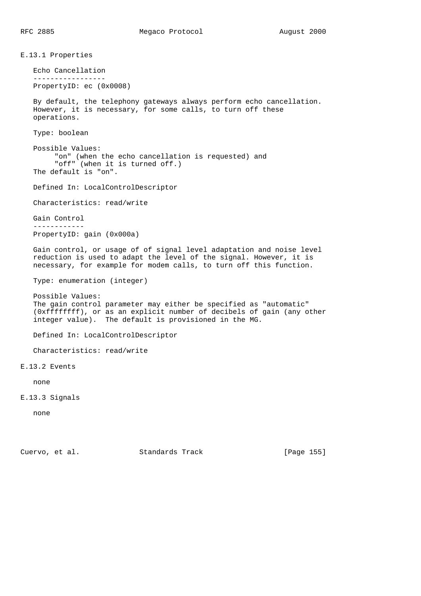E.13.1 Properties Echo Cancellation ----------------- PropertyID: ec (0x0008) By default, the telephony gateways always perform echo cancellation. However, it is necessary, for some calls, to turn off these operations. Type: boolean Possible Values: "on" (when the echo cancellation is requested) and "off" (when it is turned off.) The default is "on". Defined In: LocalControlDescriptor Characteristics: read/write Gain Control ------------ PropertyID: gain (0x000a) Gain control, or usage of of signal level adaptation and noise level reduction is used to adapt the level of the signal. However, it is necessary, for example for modem calls, to turn off this function. Type: enumeration (integer) Possible Values: The gain control parameter may either be specified as "automatic" (0xffffffff), or as an explicit number of decibels of gain (any other integer value). The default is provisioned in the MG. Defined In: LocalControlDescriptor Characteristics: read/write E.13.2 Events none E.13.3 Signals none

Cuervo, et al. Standards Track [Page 155]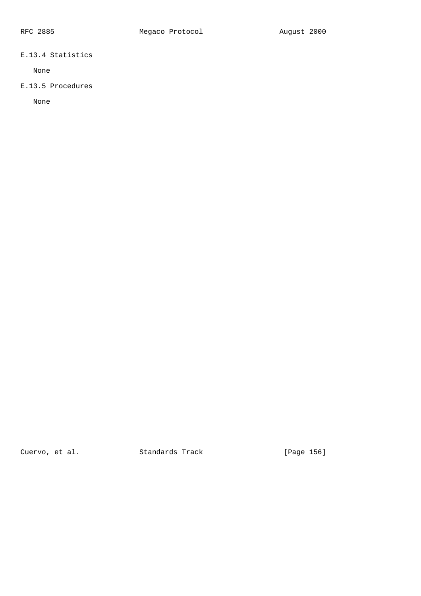# E.13.4 Statistics

None

# E.13.5 Procedures

None

Cuervo, et al. Standards Track [Page 156]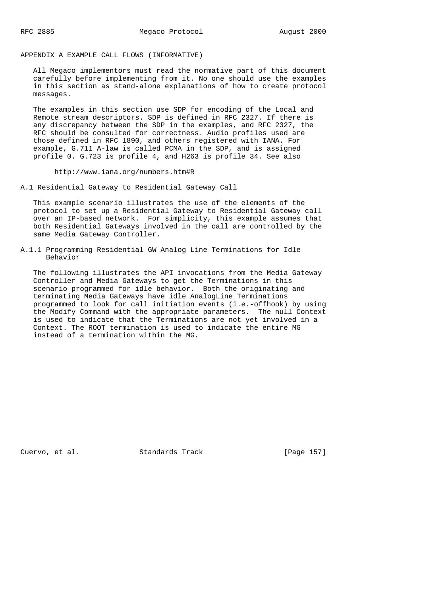## APPENDIX A EXAMPLE CALL FLOWS (INFORMATIVE)

 All Megaco implementors must read the normative part of this document carefully before implementing from it. No one should use the examples in this section as stand-alone explanations of how to create protocol messages.

 The examples in this section use SDP for encoding of the Local and Remote stream descriptors. SDP is defined in RFC 2327. If there is any discrepancy between the SDP in the examples, and RFC 2327, the RFC should be consulted for correctness. Audio profiles used are those defined in RFC 1890, and others registered with IANA. For example, G.711 A-law is called PCMA in the SDP, and is assigned profile 0. G.723 is profile 4, and H263 is profile 34. See also

http://www.iana.org/numbers.htm#R

A.1 Residential Gateway to Residential Gateway Call

 This example scenario illustrates the use of the elements of the protocol to set up a Residential Gateway to Residential Gateway call over an IP-based network. For simplicity, this example assumes that both Residential Gateways involved in the call are controlled by the same Media Gateway Controller.

A.1.1 Programming Residential GW Analog Line Terminations for Idle Behavior

 The following illustrates the API invocations from the Media Gateway Controller and Media Gateways to get the Terminations in this scenario programmed for idle behavior. Both the originating and terminating Media Gateways have idle AnalogLine Terminations programmed to look for call initiation events (i.e.-offhook) by using the Modify Command with the appropriate parameters. The null Context is used to indicate that the Terminations are not yet involved in a Context. The ROOT termination is used to indicate the entire MG instead of a termination within the MG.

Cuervo, et al. Standards Track [Page 157]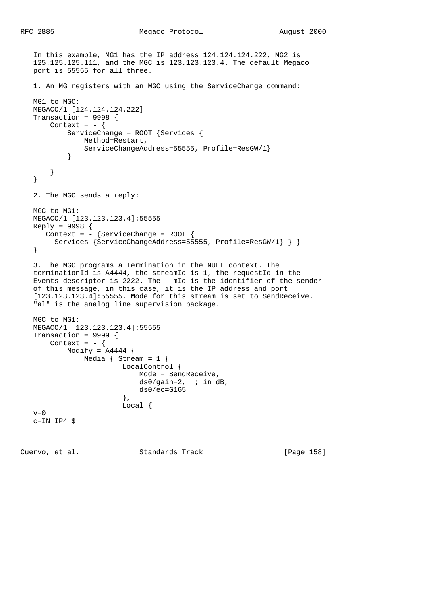```
 In this example, MG1 has the IP address 124.124.124.222, MG2 is
   125.125.125.111, and the MGC is 123.123.123.4. The default Megaco
   port is 55555 for all three.
   1. An MG registers with an MGC using the ServiceChange command:
   MG1 to MGC:
   MEGACO/1 [124.124.124.222]
   Transaction = 9998 {
      Context = - {
           ServiceChange = ROOT {Services {
               Method=Restart,
               ServiceChangeAddress=55555, Profile=ResGW/1}
 }
       }
    }
   2. The MGC sends a reply:
   MGC to MG1:
   MEGACO/1 [123.123.123.4]:55555
   Reply = 9998 {
     Context = - {ServiceChange = ROOT {
        Services {ServiceChangeAddress=55555, Profile=ResGW/1} } }
    }
    3. The MGC programs a Termination in the NULL context. The
    terminationId is A4444, the streamId is 1, the requestId in the
   Events descriptor is 2222. The mId is the identifier of the sender
   of this message, in this case, it is the IP address and port
    [123.123.123.4]:55555. Mode for this stream is set to SendReceive.
   "al" is the analog line supervision package.
   MGC to MG1:
   MEGACO/1 [123.123.123.4]:55555
   Transaction = 9999 {
      Context = - {
          Modify = A4444 {
               Media { Stream = 1 {
                        LocalControl {
                            Mode = SendReceive,
                           ds0/gain=2, ; in dB,
                       ds0/ec=G165},
\},
                        Local {
  v=0 c=IN IP4 $
Cuervo, et al. Standards Track [Page 158]
```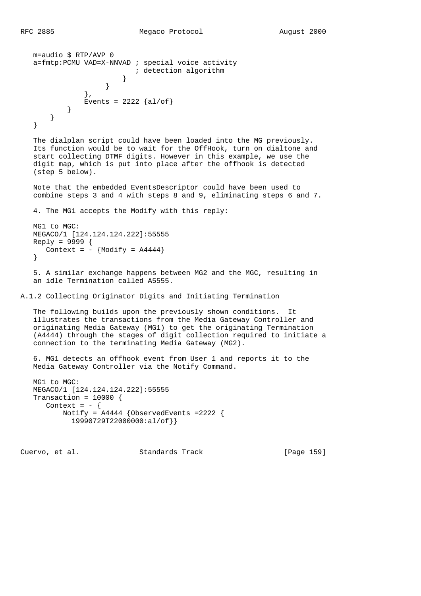```
 m=audio $ RTP/AVP 0
   a=fmtp:PCMU VAD=X-NNVAD ; special voice activity
                      ; detection algorithm
 }
 }
             },
           Events = 2222 {al/of}
         }
      }
   }
```
 The dialplan script could have been loaded into the MG previously. Its function would be to wait for the OffHook, turn on dialtone and start collecting DTMF digits. However in this example, we use the digit map, which is put into place after the offhook is detected (step 5 below).

 Note that the embedded EventsDescriptor could have been used to combine steps 3 and 4 with steps 8 and 9, eliminating steps 6 and 7.

```
 4. The MG1 accepts the Modify with this reply:
 MG1 to MGC:
 MEGACO/1 [124.124.124.222]:55555
 Reply = 9999 {
   Context = - {Modify = A4444}
 }
```
 5. A similar exchange happens between MG2 and the MGC, resulting in an idle Termination called A5555.

A.1.2 Collecting Originator Digits and Initiating Termination

 The following builds upon the previously shown conditions. It illustrates the transactions from the Media Gateway Controller and originating Media Gateway (MG1) to get the originating Termination (A4444) through the stages of digit collection required to initiate a connection to the terminating Media Gateway (MG2).

 6. MG1 detects an offhook event from User 1 and reports it to the Media Gateway Controller via the Notify Command.

```
 MG1 to MGC:
 MEGACO/1 [124.124.124.222]:55555
 Transaction = 10000 {
  Context = - {
      Notify = A4444 {ObservedEvents = 2222 {
          19990729T22000000:al/of}}
```
Cuervo, et al. Standards Track [Page 159]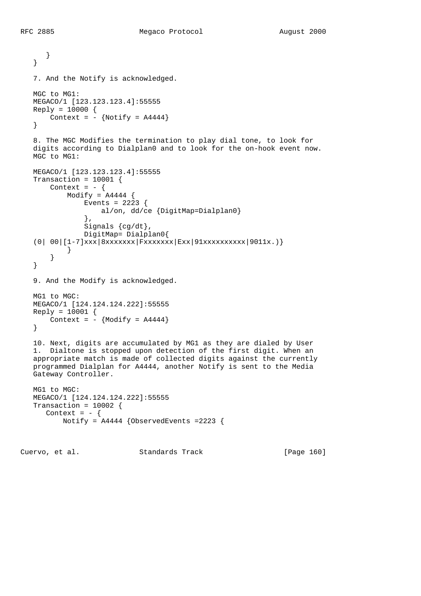```
 }
    }
    7. And the Notify is acknowledged.
    MGC to MG1:
    MEGACO/1 [123.123.123.4]:55555
   Reply = 10000 {
      Context = - {Notify = A4444}
    }
    8. The MGC Modifies the termination to play dial tone, to look for
    digits according to Dialplan0 and to look for the on-hook event now.
    MGC to MG1:
    MEGACO/1 [123.123.123.4]:55555
    Transaction = 10001 {
      Context = - {
          Modify = A4444 {
               Events = 2223 {
                    al/on, dd/ce {DigitMap=Dialplan0}
                },
                Signals {cg/dt},
                DigitMap= Dialplan0{
   (0| 00| [1-7]xxx|8xxxxxxx|Fxxxxxxx|Exx|91xxxxxxxxxxx|9011x. ) }
        }
    }
    9. And the Modify is acknowledged.
    MG1 to MGC:
    MEGACO/1 [124.124.124.222]:55555
    Reply = 10001 {
      Context = - {Modify = A4444}
    }
    10. Next, digits are accumulated by MG1 as they are dialed by User
    1. Dialtone is stopped upon detection of the first digit. When an
    appropriate match is made of collected digits against the currently
    programmed Dialplan for A4444, another Notify is sent to the Media
    Gateway Controller.
    MG1 to MGC:
    MEGACO/1 [124.124.124.222]:55555
    Transaction = 10002 {
     Context = - {
          Notify = A4444 {ObservedEvents =2223 {
Cuervo, et al. Standards Track [Page 160]
```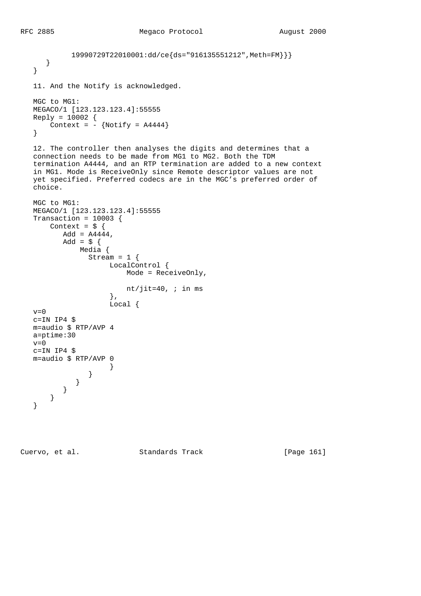```
 19990729T22010001:dd/ce{ds="916135551212",Meth=FM}}}
      }
   }
   11. And the Notify is acknowledged.
   MGC to MG1:
   MEGACO/1 [123.123.123.4]:55555
  Reply = 10002 {
      Context = - {Notify = A4444}
   }
   12. The controller then analyses the digits and determines that a
   connection needs to be made from MG1 to MG2. Both the TDM
   termination A4444, and an RTP termination are added to a new context
   in MG1. Mode is ReceiveOnly since Remote descriptor values are not
   yet specified. Preferred codecs are in the MGC's preferred order of
   choice.
   MGC to MG1:
   MEGACO/1 [123.123.123.4]:55555
   Transaction = 10003 {
      Context = \frac{1}{2} {
         Add = A4444,Add = \sharp {
              Media {
               Stream = 1 \{ LocalControl {
                         Mode = ReceiveOnly,
                        nt/jit=40, \mathfrak{i} in ms
\},
                     Local {
  v=0 c=IN IP4 $
   m=audio $ RTP/AVP 4
   a=ptime:30
  v=0 c=IN IP4 $
   m=audio $ RTP/AVP 0
 }
 }
             }
          }
       }
   }
```
Cuervo, et al. Standards Track [Page 161]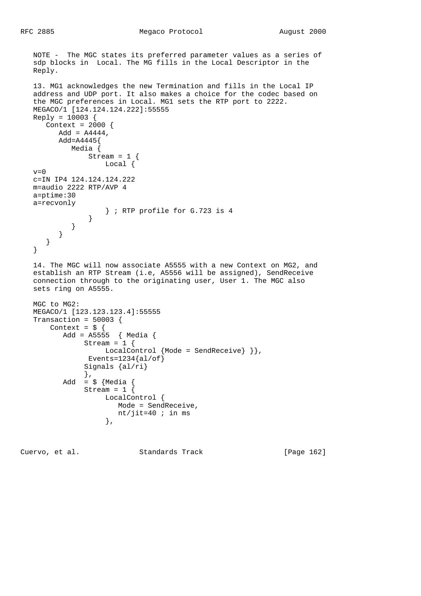```
 NOTE - The MGC states its preferred parameter values as a series of
   sdp blocks in Local. The MG fills in the Local Descriptor in the
   Reply.
   13. MG1 acknowledges the new Termination and fills in the Local IP
   address and UDP port. It also makes a choice for the codec based on
   the MGC preferences in Local. MG1 sets the RTP port to 2222.
   MEGACO/1 [124.124.124.222]:55555
   Reply = 10003 {
     Context = 2000 {
        Add = A4444, Add=A4445{
             Media {
                Stream = 1 \{ Local {
  v=0 c=IN IP4 124.124.124.222
   m=audio 2222 RTP/AVP 4
   a=ptime:30
   a=recvonly
                     } ; RTP profile for G.723 is 4
 }
             }
          }
       }
    }
   14. The MGC will now associate A5555 with a new Context on MG2, and
   establish an RTP Stream (i.e, A5556 will be assigned), SendReceive
   connection through to the originating user, User 1. The MGC also
   sets ring on A5555.
   MGC to MG2:
   MEGACO/1 [123.123.123.4]:55555
   Transaction = 50003 {
      Context = \frac{1}{2} {
           Add = A5555 { Media {
               Stream = 1 \{LocalControl {Mode = SendReceive} } },
                Events=1234{al/of}
                Signals {al/ri}
                },
          Add = \frac{1}{5} {Media {
               Stream = 1 {
                     LocalControl {
                        Mode = SendReceive,
                       nt/jit=40 i in ms
                     },
```
Cuervo, et al. Standards Track [Page 162]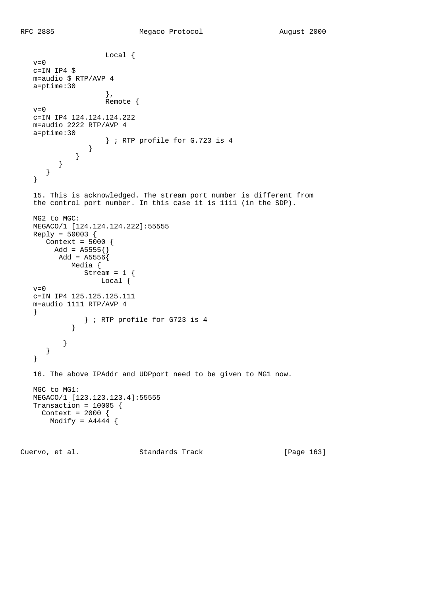```
 Local {
  v=0 c=IN IP4 $
   m=audio $ RTP/AVP 4
   a=ptime:30
\},
                    Remote {
  v=0 c=IN IP4 124.124.124.222
   m=audio 2222 RTP/AVP 4
   a=ptime:30
                } ; RTP profile for G.723 is 4
 }
 }
         }
      }
   }
   15. This is acknowledged. The stream port number is different from
   the control port number. In this case it is 1111 (in the SDP).
   MG2 to MGC:
   MEGACO/1 [124.124.124.222]:55555
  Reply = 50003 {
      Context = 5000 {
       Add = A5555\Add = A5556 Media {
               Stream = 1 {
                  Local {
  v=0 c=IN IP4 125.125.125.111
   m=audio 1111 RTP/AVP 4
   }
               } ; RTP profile for G723 is 4
 }
          }
      }
   }
   16. The above IPAddr and UDPport need to be given to MG1 now.
   MGC to MG1:
   MEGACO/1 [123.123.123.4]:55555
   Transaction = 10005 {
     Context = 2000 {
      Modify = A4444 {
```
Cuervo, et al. Standards Track [Page 163]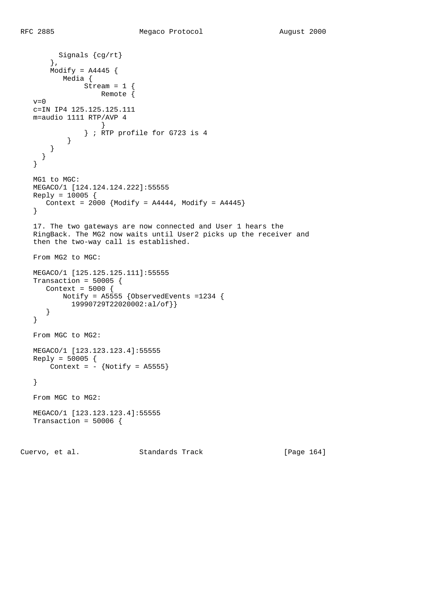```
 Signals {cg/rt}
       },
      Modify = A4445 Media {
             Stream = 1 {
                   Remote {
  v=0 c=IN IP4 125.125.125.111
   m=audio 1111 RTP/AVP 4
 }
                } ; RTP profile for G723 is 4
 }
       }
     }
   }
   MG1 to MGC:
   MEGACO/1 [124.124.124.222]:55555
   Reply = 10005 {
     Context = 2000 {Modify = A4444, Modify = A4445} }
   17. The two gateways are now connected and User 1 hears the
   RingBack. The MG2 now waits until User2 picks up the receiver and
   then the two-way call is established.
   From MG2 to MGC:
   MEGACO/1 [125.125.125.111]:55555
  Transaction = 50005 {
      Context = 5000 {
          Notify = A5555 {ObservedEvents =1234 {
            19990729T22020002:al/of}}
      }
   }
   From MGC to MG2:
   MEGACO/1 [123.123.123.4]:55555
   Reply = 50005 {
      Context = - {Notify = A5555}
   }
   From MGC to MG2:
   MEGACO/1 [123.123.123.4]:55555
  Transaction = 50006 {
```
Cuervo, et al. Standards Track [Page 164]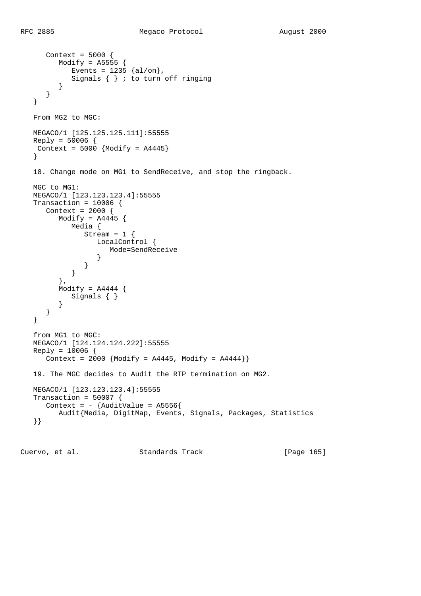```
 Context = 5000 {
        Modify = A5555 {
          Events = 1235 \{al/on\},
           Signals \{\} ; to turn off ringing
          }
      }
   }
   From MG2 to MGC:
   MEGACO/1 [125.125.125.111]:55555
  Reply = 50006 {
   Context = 5000 {Modify = A4445}
   }
   18. Change mode on MG1 to SendReceive, and stop the ringback.
   MGC to MG1:
   MEGACO/1 [123.123.123.4]:55555
   Transaction = 10006 {
      Context = 2000 {
        Modify = A4445 {
            Media {
               Stream = 1 \{ LocalControl {
                  Mode=SendReceive<br>}
 }
 }
            }
          },
        Modify = A4444 {
           Signals { }
          }
      }
   }
   from MG1 to MGC:
   MEGACO/1 [124.124.124.222]:55555
   Reply = 10006 {
     Context = 2000 {Modify = A4445, Modify = A4444} 19. The MGC decides to Audit the RTP termination on MG2.
   MEGACO/1 [123.123.123.4]:55555
   Transaction = 50007 {
     Context = - {AuditValue = A5556}
         Audit{Media, DigitMap, Events, Signals, Packages, Statistics
   }}
```
Cuervo, et al. Standards Track [Page 165]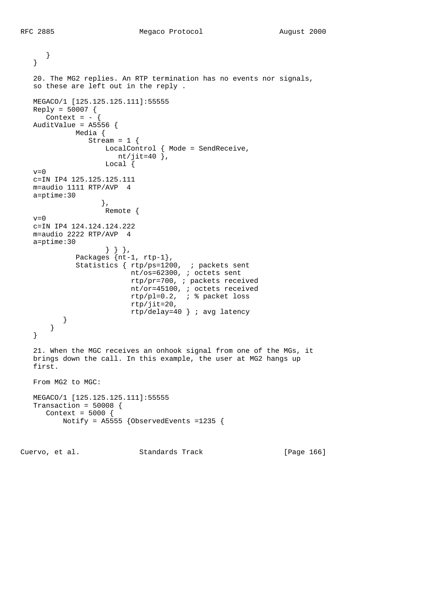```
 }
   }
   20. The MG2 replies. An RTP termination has no events nor signals,
   so these are left out in the reply .
   MEGACO/1 [125.125.125.111]:55555
  Reply = 50007 {
   Context = - {
  AuditValue = A5556 {
             Media {
               Stream = 1 \{ LocalControl { Mode = SendReceive,
                       nt/jit=40 },
                    Local {
  v=0 c=IN IP4 125.125.125.111
   m=audio 1111 RTP/AVP 4
   a=ptime:30
                    },
                    Remote {
  v=0 c=IN IP4 124.124.124.222
   m=audio 2222 RTP/AVP 4
   a=ptime:30
 } } },
 Packages {nt-1, rtp-1},
             Statistics { rtp/ps=1200, ; packets sent
                          nt/os=62300, ; octets sent
                          rtp/pr=700, ; packets received
                          nt/or=45100, ; octets received
                          rtp/pl=0.2, ; % packet loss
                          rtp/jit=20,
                          rtp/delay=40 } ; avg latency
          }
      }
   }
   21. When the MGC receives an onhook signal from one of the MGs, it
   brings down the call. In this example, the user at MG2 hangs up
   first.
   From MG2 to MGC:
   MEGACO/1 [125.125.125.111]:55555
   Transaction = 50008 {
     Context = 5000 {
          Notify = A5555 {ObservedEvents =1235 {
```
Cuervo, et al. Standards Track [Page 166]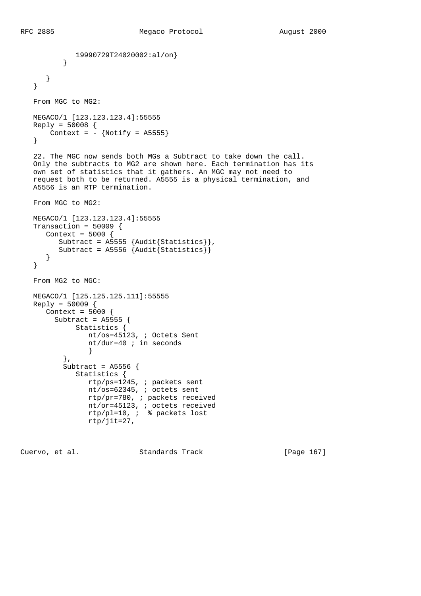```
19990729T24020002:al/on}<br>}
 }
      }
   }
   From MGC to MG2:
   MEGACO/1 [123.123.123.4]:55555
  Reply = 50008 {
     Context = - {Notify = A5555}
   }
   22. The MGC now sends both MGs a Subtract to take down the call.
   Only the subtracts to MG2 are shown here. Each termination has its
   own set of statistics that it gathers. An MGC may not need to
   request both to be returned. A5555 is a physical termination, and
   A5556 is an RTP termination.
   From MGC to MG2:
   MEGACO/1 [123.123.123.4]:55555
   Transaction = 50009 {
      Context = 5000 {
 Subtract = A5555 {Audit{Statistics}},
 Subtract = A5556 {Audit{Statistics}}
      }
   }
   From MG2 to MGC:
   MEGACO/1 [125.125.125.111]:55555
   Reply = 50009 {
     Context = 5000 {
        Subtract = A5555 {
             Statistics {
                nt/os=45123, ; Octets Sent
                nt/dur=40 ; in seconds
 }
          },
          Subtract = A5556 {
             Statistics {
                rtp/ps=1245, ; packets sent
                nt/os=62345, ; octets sent
                rtp/pr=780, ; packets received
                nt/or=45123, ; octets received
                rtp/pl=10, ; % packets lost
                rtp/jit=27,
```
Cuervo, et al. Standards Track [Page 167]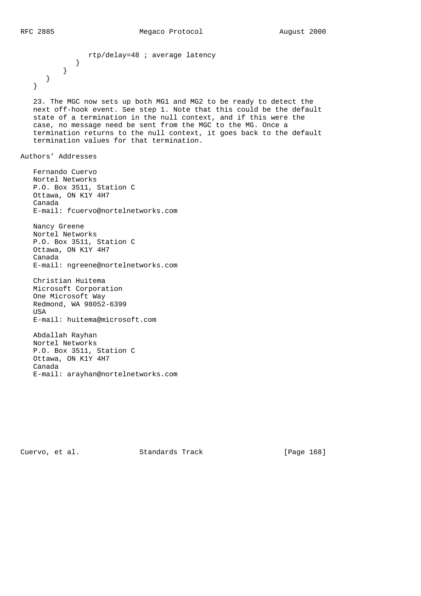}

```
 rtp/delay=48 ; average latency
        }
    }
 }
```
 23. The MGC now sets up both MG1 and MG2 to be ready to detect the next off-hook event. See step 1. Note that this could be the default state of a termination in the null context, and if this were the case, no message need be sent from the MGC to the MG. Once a termination returns to the null context, it goes back to the default termination values for that termination.

Authors' Addresses

 Fernando Cuervo Nortel Networks P.O. Box 3511, Station C Ottawa, ON K1Y 4H7 Canada E-mail: fcuervo@nortelnetworks.com Nancy Greene Nortel Networks

 P.O. Box 3511, Station C Ottawa, ON K1Y 4H7 Canada E-mail: ngreene@nortelnetworks.com

 Christian Huitema Microsoft Corporation One Microsoft Way Redmond, WA 98052-6399 USA E-mail: huitema@microsoft.com

 Abdallah Rayhan Nortel Networks P.O. Box 3511, Station C Ottawa, ON K1Y 4H7 Canada E-mail: arayhan@nortelnetworks.com

Cuervo, et al. Standards Track [Page 168]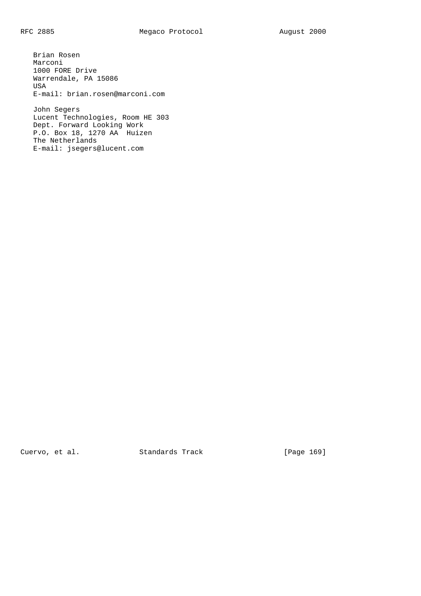Brian Rosen Marconi 1000 FORE Drive Warrendale, PA 15086 USA E-mail: brian.rosen@marconi.com

 John Segers Lucent Technologies, Room HE 303 Dept. Forward Looking Work P.O. Box 18, 1270 AA Huizen The Netherlands E-mail: jsegers@lucent.com

Cuervo, et al. Standards Track [Page 169]